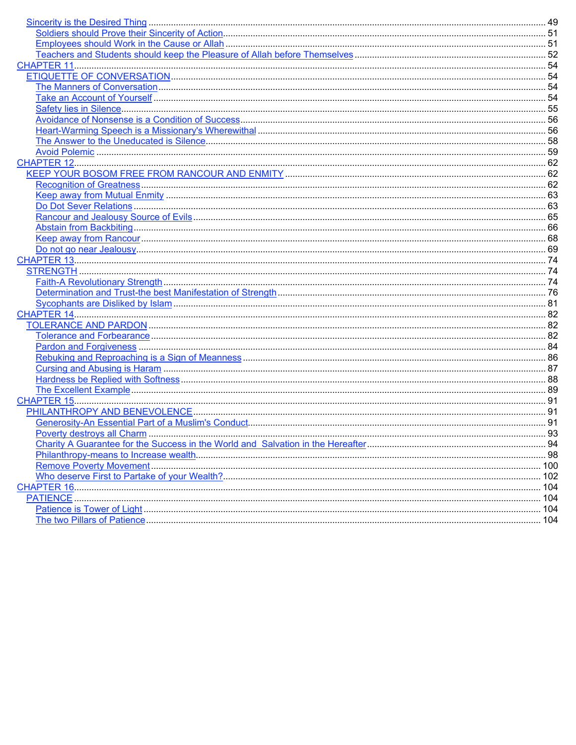| <b>PATIENCE</b> |  |
|-----------------|--|
|                 |  |
|                 |  |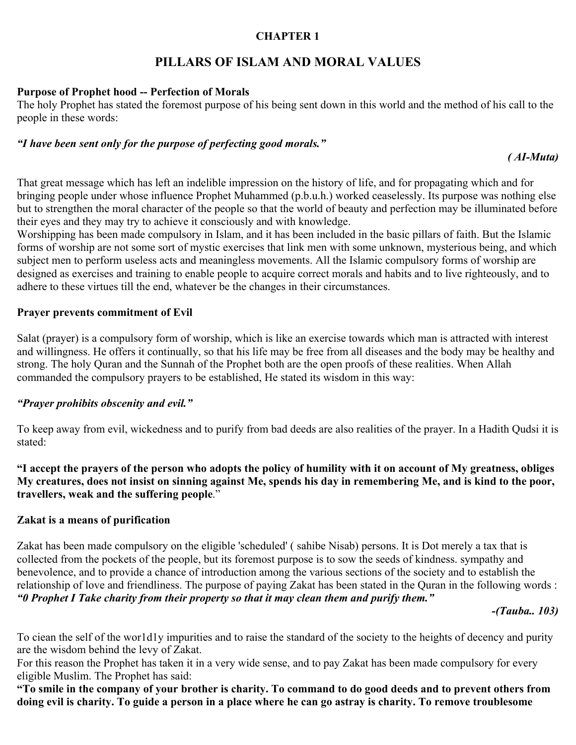## **PILLARS OF ISLAM AND MORAL VALUES**

## **Purpose of Prophet hood -- Perfection of Morals**

The holy Prophet has stated the foremost purpose of his being sent down in this world and the method of his call to the people in these words:

### *"I have been sent only for the purpose of perfecting good morals."*

*( AI-Muta)*

That great message which has left an indelible impression on the history of life, and for propagating which and for bringing people under whose influence Prophet Muhammed (p.b.u.h.) worked ceaselessly. Its purpose was nothing else but to strengthen the moral character of the people so that the world of beauty and perfection may be illuminated before their eyes and they may try to achieve it consciously and with knowledge.

Worshipping has been made compulsory in Islam, and it has been included in the basic pillars of faith. But the Islamic forms of worship are not some sort of mystic exercises that link men with some unknown, mysterious being, and which subject men to perform useless acts and meaningless movements. All the Islamic compulsory forms of worship are designed as exercises and training to enable people to acquire correct morals and habits and to live righteously, and to adhere to these virtues till the end, whatever be the changes in their circumstances.

### **Prayer prevents commitment of Evil**

Salat (prayer) is a compulsory form of worship, which is like an exercise towards which man is attracted with interest and willingness. He offers it continually, so that his life may be free from all diseases and the body may be healthy and strong. The holy Quran and the Sunnah of the Prophet both are the open proofs of these realities. When Allah commanded the compulsory prayers to be established, He stated its wisdom in this way:

#### *"Prayer prohibits obscenity and evil."*

To keep away from evil, wickedness and to purify from bad deeds are also realities of the prayer. In a Hadith Qudsi it is stated:

**"I accept the prayers of the person who adopts the policy of humility with it on account of My greatness, obliges My creatures, does not insist on sinning against Me, spends his day in remembering Me, and is kind to the poor, travellers, weak and the suffering people**."

## **Zakat is a means of purification**

Zakat has been made compulsory on the eligible 'scheduled' ( sahibe Nisab) persons. It is Dot merely a tax that is collected from the pockets of the people, but its foremost purpose is to sow the seeds of kindness. sympathy and benevolence, and to provide a chance of introduction among the various sections of the society and to establish the relationship of love and friendliness. The purpose of paying Zakat has been stated in the Quran in the following words : *"0 Prophet I Take charity from their property so that it may clean them and purify them."*

*-(Tauba.. 103)*

To ciean the self of the wor1d1y impurities and to raise the standard of the society to the heights of decency and purity are the wisdom behind the levy of Zakat.

For this reason the Prophet has taken it in a very wide sense, and to pay Zakat has been made compulsory for every eligible Muslim. The Prophet has said:

**"To smile in the company of your brother is charity. To command to do good deeds and to prevent others from doing evil is charity. To guide a person in a place where he can go astray is charity. To remove troublesome**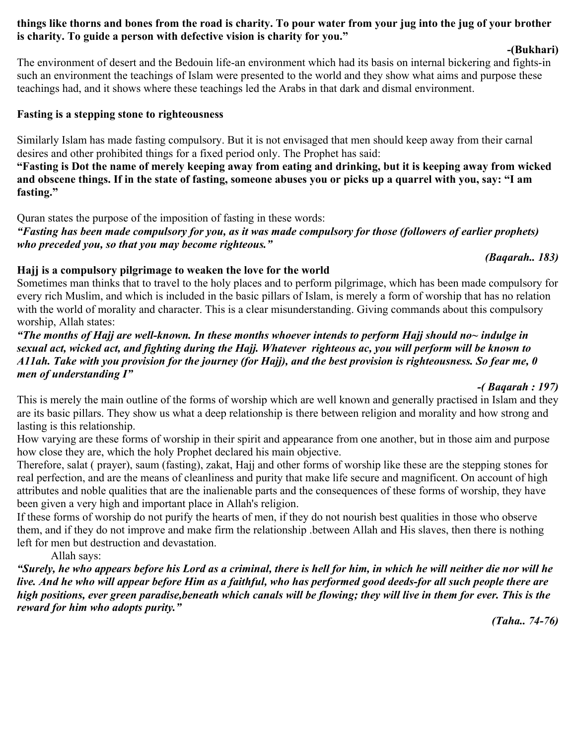## **things like thorns and bones from the road is charity. To pour water from your jug into the jug of your brother is charity. To guide a person with defective vision is charity for you."**

**-(Bukhari)**

The environment of desert and the Bedouin life-an environment which had its basis on internal bickering and fights-in such an environment the teachings of Islam were presented to the world and they show what aims and purpose these teachings had, and it shows where these teachings led the Arabs in that dark and dismal environment.

## **Fasting is a stepping stone to righteousness**

Similarly Islam has made fasting compulsory. But it is not envisaged that men should keep away from their carnal desires and other prohibited things for a fixed period only. The Prophet has said:

**"Fasting is Dot the name of merely keeping away from eating and drinking, but it is keeping away from wicked and obscene things. If in the state of fasting, someone abuses you or picks up a quarrel with you, say: "I am fasting."**

Quran states the purpose of the imposition of fasting in these words:

*"Fasting has been made compulsory for you, as it was made compulsory for those (followers of earlier prophets) who preceded you, so that you may become righteous."*

*(Baqarah.. 183)*

## **Hajj is a compulsory pilgrimage to weaken the love for the world**

Sometimes man thinks that to travel to the holy places and to perform pilgrimage, which has been made compulsory for every rich Muslim, and which is included in the basic pillars of Islam, is merely a form of worship that has no relation with the world of morality and character. This is a clear misunderstanding. Giving commands about this compulsory worship, Allah states:

*"The months of Hajj are well-known. In these months whoever intends to perform Hajj should no~ indulge in sexual act, wicked act, and fighting during the Hajj. Whatever righteous ac, you will perform will be known to A11ah. Take with you provision for the journey (for Hajj), and the best provision is righteousness. So fear me, 0 men of understanding I"*

## *-( Baqarah : 197)*

This is merely the main outline of the forms of worship which are well known and generally practised in Islam and they are its basic pillars. They show us what a deep relationship is there between religion and morality and how strong and lasting is this relationship.

How varying are these forms of worship in their spirit and appearance from one another, but in those aim and purpose how close they are, which the holy Prophet declared his main objective.

Therefore, salat ( prayer), saum (fasting), zakat, Hajj and other forms of worship like these are the stepping stones for real perfection, and are the means of cleanliness and purity that make life secure and magnificent. On account of high attributes and noble qualities that are the inalienable parts and the consequences of these forms of worship, they have been given a very high and important place in Allah's religion.

If these forms of worship do not purify the hearts of men, if they do not nourish best qualities in those who observe them, and if they do not improve and make firm the relationship .between Allah and His slaves, then there is nothing left for men but destruction and devastation.

Allah says:

*"Surely, he who appears before his Lord as a criminal, there is hell for him, in which he will neither die nor will he live. And he who will appear before Him as a faithful, who has performed good deeds-for all such people there are high positions, ever green paradise,beneath which canals will be flowing; they will live in them for ever. This is the reward for him who adopts purity."*

*(Taha.. 74-76)*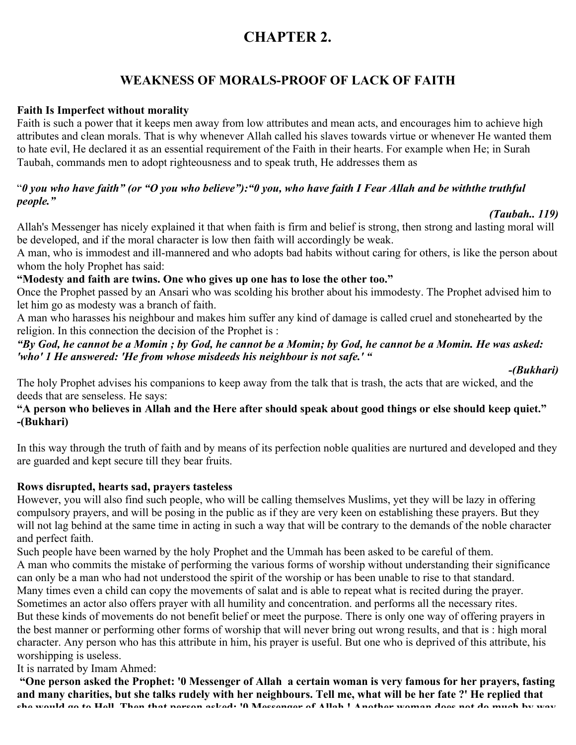# **CHAPTER 2.**

## **WEAKNESS OF MORALS-PROOF OF LACK OF FAITH**

### **Faith Is Imperfect without morality**

Faith is such a power that it keeps men away from low attributes and mean acts, and encourages him to achieve high attributes and clean morals. That is why whenever Allah called his slaves towards virtue or whenever He wanted them to hate evil, He declared it as an essential requirement of the Faith in their hearts. For example when He; in Surah Taubah, commands men to adopt righteousness and to speak truth, He addresses them as

## "*0 you who have faith" (or "O you who believe"):"0 you, who have faith I Fear Allah and be withthe truthful people."*

### *(Taubah.. 119)*

Allah's Messenger has nicely explained it that when faith is firm and belief is strong, then strong and lasting moral will be developed, and if the moral character is low then faith will accordingly be weak.

A man, who is immodest and ill-mannered and who adopts bad habits without caring for others, is like the person about whom the holy Prophet has said:

## **"Modesty and faith are twins. One who gives up one has to lose the other too."**

Once the Prophet passed by an Ansari who was scolding his brother about his immodesty. The Prophet advised him to let him go as modesty was a branch of faith.

A man who harasses his neighbour and makes him suffer any kind of damage is called cruel and stonehearted by the religion. In this connection the decision of the Prophet is :

## *"By God, he cannot be a Momin ; by God, he cannot be a Momin; by God, he cannot be a Momin. He was asked: 'who' 1 He answered: 'He from whose misdeeds his neighbour is not safe.' "*

*-(Bukhari)*

The holy Prophet advises his companions to keep away from the talk that is trash, the acts that are wicked, and the deeds that are senseless. He says:

## **"A person who believes in Allah and the Here after should speak about good things or else should keep quiet." -(Bukhari)**

In this way through the truth of faith and by means of its perfection noble qualities are nurtured and developed and they are guarded and kept secure till they bear fruits.

## **Rows disrupted, hearts sad, prayers tasteless**

However, you will also find such people, who will be calling themselves Muslims, yet they will be lazy in offering compulsory prayers, and will be posing in the public as if they are very keen on establishing these prayers. But they will not lag behind at the same time in acting in such a way that will be contrary to the demands of the noble character and perfect faith.

Such people have been warned by the holy Prophet and the Ummah has been asked to be careful of them. A man who commits the mistake of performing the various forms of worship without understanding their significance can only be a man who had not understood the spirit of the worship or has been unable to rise to that standard. Many times even a child can copy the movements of salat and is able to repeat what is recited during the prayer. Sometimes an actor also offers prayer with all humility and concentration. and performs all the necessary rites. But these kinds of movements do not benefit belief or meet the purpose. There is only one way of offering prayers in the best manner or performing other forms of worship that will never bring out wrong results, and that is : high moral character. Any person who has this attribute in him, his prayer is useful. But one who is deprived of this attribute, his worshipping is useless.

It is narrated by Imam Ahmed:

 **"One person asked the Prophet: '0 Messenger of Allah a certain woman is very famous for her prayers, fasting and many charities, but she talks rudely with her neighbours. Tell me, what will be her fate ?' He replied that she would go to Hell. Then that person asked: '0 Messenger of Allah ! Another woman does not do much by way**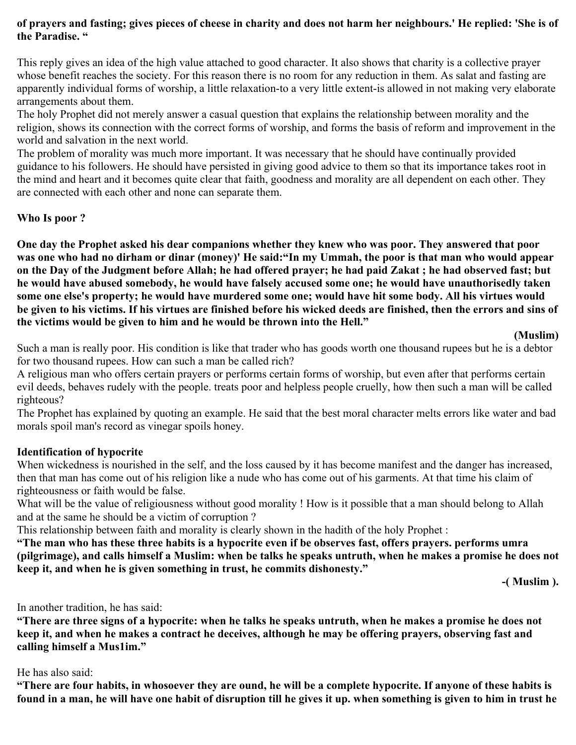## **of prayers and fasting; gives pieces of cheese in charity and does not harm her neighbours.' He replied: 'She is of the Paradise. "**

This reply gives an idea of the high value attached to good character. It also shows that charity is a collective prayer whose benefit reaches the society. For this reason there is no room for any reduction in them. As salat and fasting are apparently individual forms of worship, a little relaxation-to a very little extent-is allowed in not making very elaborate arrangements about them.

The holy Prophet did not merely answer a casual question that explains the relationship between morality and the religion, shows its connection with the correct forms of worship, and forms the basis of reform and improvement in the world and salvation in the next world.

The problem of morality was much more important. It was necessary that he should have continually provided guidance to his followers. He should have persisted in giving good advice to them so that its importance takes root in the mind and heart and it becomes quite clear that faith, goodness and morality are all dependent on each other. They are connected with each other and none can separate them.

## **Who Is poor ?**

**One day the Prophet asked his dear companions whether they knew who was poor. They answered that poor was one who had no dirham or dinar (money)' He said:"In my Ummah, the poor is that man who would appear on the Day of the Judgment before Allah; he had offered prayer; he had paid Zakat ; he had observed fast; but he would have abused somebody, he would have falsely accused some one; he would have unauthorisedly taken some one else's property; he would have murdered some one; would have hit some body. All his virtues would be given to his victims. If his virtues are finished before his wicked deeds are finished, then the errors and sins of the victims would be given to him and he would be thrown into the Hell."**

**(Muslim)**

Such a man is really poor. His condition is like that trader who has goods worth one thousand rupees but he is a debtor for two thousand rupees. How can such a man be called rich?

A religious man who offers certain prayers or performs certain forms of worship, but even after that performs certain evil deeds, behaves rudely with the people. treats poor and helpless people cruelly, how then such a man will be called righteous?

The Prophet has explained by quoting an example. He said that the best moral character melts errors like water and bad morals spoil man's record as vinegar spoils honey.

## **Identification of hypocrite**

When wickedness is nourished in the self, and the loss caused by it has become manifest and the danger has increased, then that man has come out of his religion like a nude who has come out of his garments. At that time his claim of righteousness or faith would be false.

What will be the value of religiousness without good morality ! How is it possible that a man should belong to Allah and at the same he should be a victim of corruption ?

This relationship between faith and morality is clearly shown in the hadith of the holy Prophet :

**"The man who has these three habits is a hypocrite even if be observes fast, offers prayers. performs umra (pilgrimage), and calls himself a Muslim: when be talks he speaks untruth, when he makes a promise he does not keep it, and when he is given something in trust, he commits dishonesty."**

**-( Muslim ).**

In another tradition, he has said:

**"There are three signs of a hypocrite: when he talks he speaks untruth, when he makes a promise he does not keep it, and when he makes a contract he deceives, although he may be offering prayers, observing fast and calling himself a Mus1im."**

He has also said:

**"There are four habits, in whosoever they are ound, he will be a complete hypocrite. If anyone of these habits is found in a man, he will have one habit of disruption till he gives it up. when something is given to him in trust he**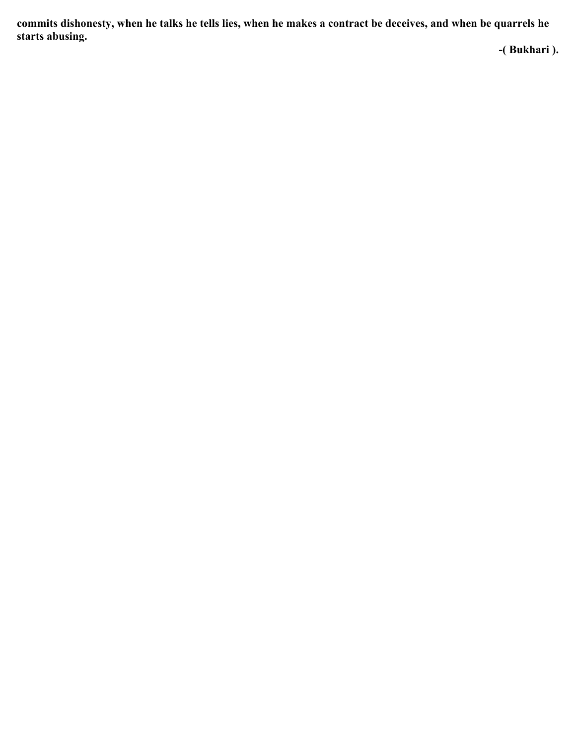**commits dishonesty, when he talks he tells lies, when he makes a contract be deceives, and when be quarrels he starts abusing.**

**-( Bukhari ).**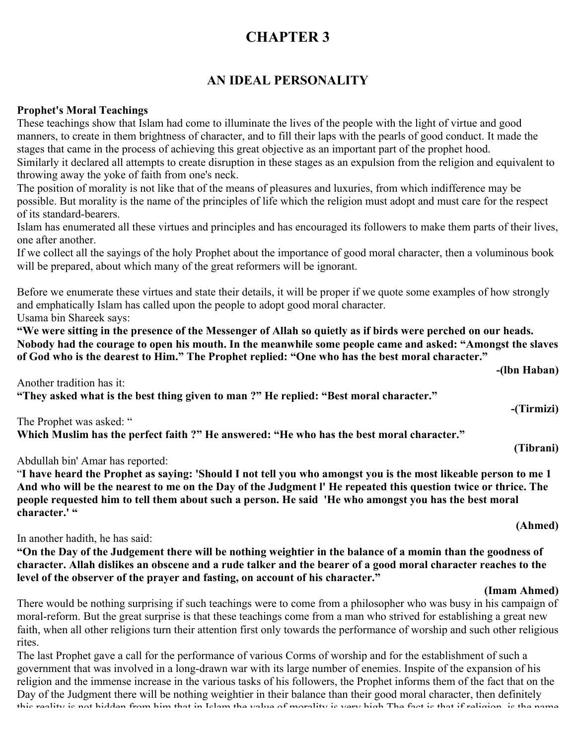## **AN IDEAL PERSONALITY**

### **Prophet's Moral Teachings**

These teachings show that Islam had come to illuminate the lives of the people with the light of virtue and good manners, to create in them brightness of character, and to fill their laps with the pearls of good conduct. It made the stages that came in the process of achieving this great objective as an important part of the prophet hood. Similarly it declared all attempts to create disruption in these stages as an expulsion from the religion and equivalent to throwing away the yoke of faith from one's neck.

The position of morality is not like that of the means of pleasures and luxuries, from which indifference may be possible. But morality is the name of the principles of life which the religion must adopt and must care for the respect of its standard-bearers.

Islam has enumerated all these virtues and principles and has encouraged its followers to make them parts of their lives, one after another.

If we collect all the sayings of the holy Prophet about the importance of good moral character, then a voluminous book will be prepared, about which many of the great reformers will be ignorant.

Before we enumerate these virtues and state their details, it will be proper if we quote some examples of how strongly and emphatically Islam has called upon the people to adopt good moral character.

Usama bin Shareek says:

**"We were sitting in the presence of the Messenger of Allah so quietly as if birds were perched on our heads. Nobody had the courage to open his mouth. In the meanwhile some people came and asked: "Amongst the slaves of God who is the dearest to Him." The Prophet replied: "One who has the best moral character."**

Another tradition has it:

**"They asked what is the best thing given to man ?" He replied: "Best moral character."**

The Prophet was asked: " **Which Muslim has the perfect faith ?" He answered: "He who has the best moral character."**

Abdullah bin' Amar has reported:

"**I have heard the Prophet as saying: 'Should I not tell you who amongst you is the most likeable person to me 1 And who will be the nearest to me on the Day of the Judgment l' He repeated this question twice or thrice. The people requested him to tell them about such a person. He said 'He who amongst you has the best moral character.' "**

In another hadith, he has said:

**"On the Day of the Judgement there will be nothing weightier in the balance of a momin than the goodness of character. Allah dislikes an obscene and a rude talker and the bearer of a good moral character reaches to the level of the observer of the prayer and fasting, on account of his character."**

**(Imam Ahmed)**

There would be nothing surprising if such teachings were to come from a philosopher who was busy in his campaign of moral-reform. But the great surprise is that these teachings come from a man who strived for establishing a great new faith, when all other religions turn their attention first only towards the performance of worship and such other religious rites.

The last Prophet gave a call for the performance of various Corms of worship and for the establishment of such a government that was involved in a long-drawn war with its large number of enemies. Inspite of the expansion of his religion and the immense increase in the various tasks of his followers, the Prophet informs them of the fact that on the Day of the Judgment there will be nothing weightier in their balance than their good moral character, then definitely this reality is not hidden from him that in Islam the value of morality is very high.The fact is that if religion. is the name

**(Ahmed)**

**-(lbn Haban)**

**-(Tirmizi)**

**(Tibrani)**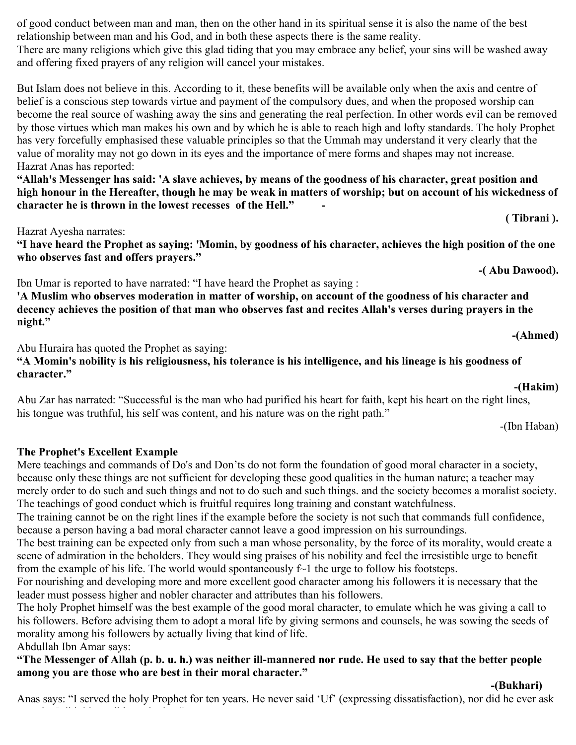of good conduct between man and man, then on the other hand in its spiritual sense it is also the name of the best relationship between man and his God, and in both these aspects there is the same reality.

There are many religions which give this glad tiding that you may embrace any belief, your sins will be washed away and offering fixed prayers of any religion will cancel your mistakes.

But Islam does not believe in this. According to it, these benefits will be available only when the axis and centre of belief is a conscious step towards virtue and payment of the compulsory dues, and when the proposed worship can become the real source of washing away the sins and generating the real perfection. In other words evil can be removed by those virtues which man makes his own and by which he is able to reach high and lofty standards. The holy Prophet has very forcefully emphasised these valuable principles so that the Ummah may understand it very clearly that the value of morality may not go down in its eyes and the importance of mere forms and shapes may not increase. Hazrat Anas has reported:

**"Allah's Messenger has said: 'A slave achieves, by means of the goodness of his character, great position and high honour in the Hereafter, though he may be weak in matters of worship; but on account of his wickedness of character he is thrown in the lowest recesses of the Hell." -**

Hazrat Ayesha narrates:

**"I have heard the Prophet as saying: 'Momin, by goodness of his character, achieves the high position of the one who observes fast and offers prayers." -( Abu Dawood).**

Ibn Umar is reported to have narrated: "I have heard the Prophet as saying :

**'A Muslim who observes moderation in matter of worship, on account of the goodness of his character and decency achieves the position of that man who observes fast and recites Allah's verses during prayers in the night."**

Abu Huraira has quoted the Prophet as saying:

**"A Momin's nobility is his religiousness, his tolerance is his intelligence, and his lineage is his goodness of character."**

**-(Hakim)** Abu Zar has narrated: "Successful is the man who had purified his heart for faith, kept his heart on the right lines, his tongue was truthful, his self was content, and his nature was on the right path."

-(Ibn Haban)

## **The Prophet's Excellent Example**

Mere teachings and commands of Do's and Don'ts do not form the foundation of good moral character in a society, because only these things are not sufficient for developing these good qualities in the human nature; a teacher may merely order to do such and such things and not to do such and such things. and the society becomes a moralist society. The teachings of good conduct which is fruitful requires long training and constant watchfulness.

The training cannot be on the right lines if the example before the society is not such that commands full confidence, because a person having a bad moral character cannot leave a good impression on his surroundings.

The best training can be expected only from such a man whose personality, by the force of its morality, would create a scene of admiration in the beholders. They would sing praises of his nobility and feel the irresistible urge to benefit from the example of his life. The world would spontaneously f~1 the urge to follow his footsteps.

For nourishing and developing more and more excellent good character among his followers it is necessary that the leader must possess higher and nobler character and attributes than his followers.

The holy Prophet himself was the best example of the good moral character, to emulate which he was giving a call to his followers. Before advising them to adopt a moral life by giving sermons and counsels, he was sowing the seeds of morality among his followers by actually living that kind of life.

Abdullah Ibn Amar says:

**"The Messenger of Allah (p. b. u. h.) was neither ill-mannered nor rude. He used to say that the better people among you are those who are best in their moral character."**

**-(Bukhari)** 

Anas says: "I served the holy Prophet for ten years. He never said 'Uf' (expressing dissatisfaction), nor did he ever ask

**-(Ahmed)**

**( Tibrani ).**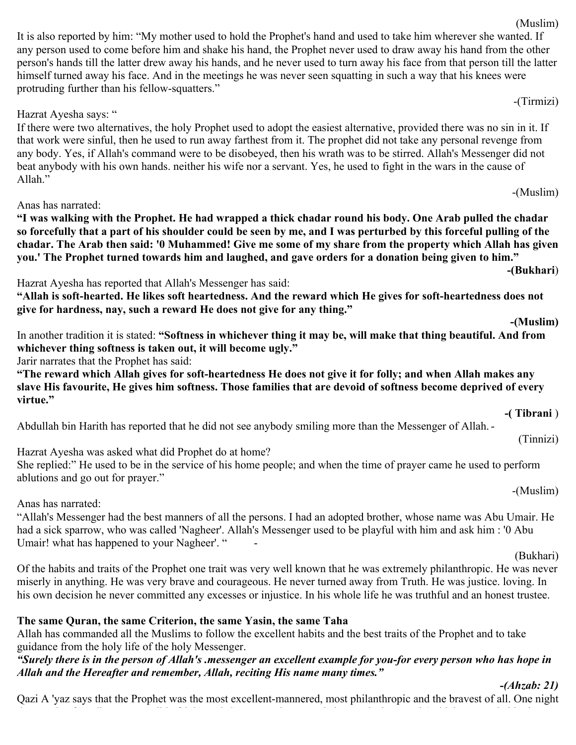(Muslim)

It is also reported by him: "My mother used to hold the Prophet's hand and used to take him wherever she wanted. If any person used to come before him and shake his hand, the Prophet never used to draw away his hand from the other person's hands till the latter drew away his hands, and he never used to turn away his face from that person till the latter himself turned away his face. And in the meetings he was never seen squatting in such a way that his knees were protruding further than his fellow-squatters."

-(Tirmizi)

If there were two alternatives, the holy Prophet used to adopt the easiest alternative, provided there was no sin in it. If that work were sinful, then he used to run away farthest from it. The prophet did not take any personal revenge from any body. Yes, if Allah's command were to be disobeyed, then his wrath was to be stirred. Allah's Messenger did not beat anybody with his own hands. neither his wife nor a servant. Yes, he used to fight in the wars in the cause of Allah."

Anas has narrated:

Hazrat Ayesha says: "

**"I was walking with the Prophet. He had wrapped a thick chadar round his body. One Arab pulled the chadar so forcefully that a part of his shoulder could be seen by me, and I was perturbed by this forceful pulling of the chadar. The Arab then said: '0 Muhammed! Give me some of my share from the property which Allah has given you.' The Prophet turned towards him and laughed, and gave orders for a donation being given to him."**

Hazrat Ayesha has reported that Allah's Messenger has said:

**"Allah is soft-hearted. He likes soft heartedness. And the reward which He gives for soft-heartedness does not give for hardness, nay, such a reward He does not give for any thing."**

In another tradition it is stated: **"Softness in whichever thing it may be, will make that thing beautiful. And from whichever thing softness is taken out, it will become ugly."**

Jarir narrates that the Prophet has said:

**"The reward which Allah gives for soft-heartedness He does not give it for folly; and when Allah makes any slave His favourite, He gives him softness. Those families that are devoid of softness become deprived of every virtue."**

Abdullah bin Harith has reported that he did not see anybody smiling more than the Messenger of Allah.-

Hazrat Ayesha was asked what did Prophet do at home?

She replied:" He used to be in the service of his home people; and when the time of prayer came he used to perform ablutions and go out for prayer."

Anas has narrated:

"Allah's Messenger had the best manners of all the persons. I had an adopted brother, whose name was Abu Umair. He had a sick sparrow, who was called 'Nagheer'. Allah's Messenger used to be playful with him and ask him : '0 Abu Umair! what has happened to your Nagheer'. "

(Bukhari)

Of the habits and traits of the Prophet one trait was very well known that he was extremely philanthropic. He was never miserly in anything. He was very brave and courageous. He never turned away from Truth. He was justice. loving. In his own decision he never committed any excesses or injustice. In his whole life he was truthful and an honest trustee.

## **The same Quran, the same Criterion, the same Yasin, the same Taha**

Allah has commanded all the Muslims to follow the excellent habits and the best traits of the Prophet and to take guidance from the holy life of the holy Messenger.

## *"Surely there is in the person of Allah's .messenger an excellent example for you-for every person who has hope in Allah and the Hereafter and remember, Allah, reciting His name many times."*

*-(Ahzab: 21)*

Qazi A 'yaz says that the Prophet was the most excellent-mannered, most philanthropic and the bravest of all. One night

the people of Medina were terribly frightened. Some people proceeded towards the sound ( which was probably the

#### **-(Muslim)**

## -(Muslim)

**-( Tibrani** )

(Tinnizi)

**-(Bukhari**)

-(Muslim)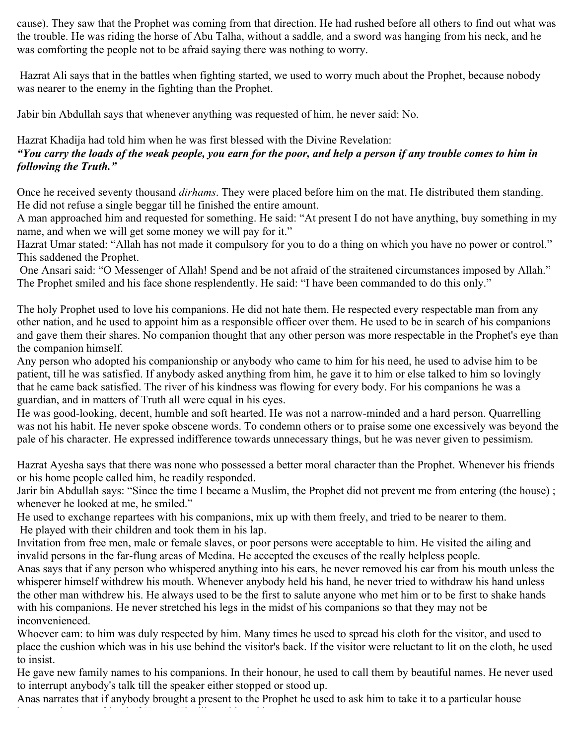cause). They saw that the Prophet was coming from that direction. He had rushed before all others to find out what was the trouble. He was riding the horse of Abu Talha, without a saddle, and a sword was hanging from his neck, and he was comforting the people not to be afraid saying there was nothing to worry.

 Hazrat Ali says that in the battles when fighting started, we used to worry much about the Prophet, because nobody was nearer to the enemy in the fighting than the Prophet.

Jabir bin Abdullah says that whenever anything was requested of him, he never said: No.

Hazrat Khadija had told him when he was first blessed with the Divine Revelation:

## *"You carry the loads of the weak people, you earn for the poor, and help a person if any trouble comes to him in following the Truth."*

Once he received seventy thousand *dirhams*. They were placed before him on the mat. He distributed them standing. He did not refuse a single beggar till he finished the entire amount.

A man approached him and requested for something. He said: "At present I do not have anything, buy something in my name, and when we will get some money we will pay for it."

Hazrat Umar stated: "Allah has not made it compulsory for you to do a thing on which you have no power or control." This saddened the Prophet.

 One Ansari said: "O Messenger of Allah! Spend and be not afraid of the straitened circumstances imposed by Allah." The Prophet smiled and his face shone resplendently. He said: "I have been commanded to do this only."

The holy Prophet used to love his companions. He did not hate them. He respected every respectable man from any other nation, and he used to appoint him as a responsible officer over them. He used to be in search of his companions and gave them their shares. No companion thought that any other person was more respectable in the Prophet's eye than the companion himself.

Any person who adopted his companionship or anybody who came to him for his need, he used to advise him to be patient, till he was satisfied. If anybody asked anything from him, he gave it to him or else talked to him so lovingly that he came back satisfied. The river of his kindness was flowing for every body. For his companions he was a guardian, and in matters of Truth all were equal in his eyes.

He was good-looking, decent, humble and soft hearted. He was not a narrow-minded and a hard person. Quarrelling was not his habit. He never spoke obscene words. To condemn others or to praise some one excessively was beyond the pale of his character. He expressed indifference towards unnecessary things, but he was never given to pessimism.

Hazrat Ayesha says that there was none who possessed a better moral character than the Prophet. Whenever his friends or his home people called him, he readily responded.

Jarir bin Abdullah says: "Since the time I became a Muslim, the Prophet did not prevent me from entering (the house) ; whenever he looked at me, he smiled."

He used to exchange repartees with his companions, mix up with them freely, and tried to be nearer to them. He played with their children and took them in his lap.

Invitation from free men, male or female slaves, or poor persons were acceptable to him. He visited the ailing and invalid persons in the far-flung areas of Medina. He accepted the excuses of the really helpless people.

Anas says that if any person who whispered anything into his ears, he never removed his ear from his mouth unless the whisperer himself withdrew his mouth. Whenever anybody held his hand, he never tried to withdraw his hand unless the other man withdrew his. He always used to be the first to salute anyone who met him or to be first to shake hands with his companions. He never stretched his legs in the midst of his companions so that they may not be inconvenienced.

Whoever cam: to him was duly respected by him. Many times he used to spread his cloth for the visitor, and used to place the cushion which was in his use behind the visitor's back. If the visitor were reluctant to lit on the cloth, he used to insist.

He gave new family names to his companions. In their honour, he used to call them by beautiful names. He never used to interrupt anybody's talk till the speaker either stopped or stood up.

Anas narrates that if anybody brought a present to the Prophet he used to ask him to take it to a particular house

because she was a friend of Hazrat Khadija and loved her. Here, the was a friend of Hazrat Khadija and loved h<br>The control of Hazrat Khadija and loved here was a friend of Hazrat Khadija and loved here was a friend of the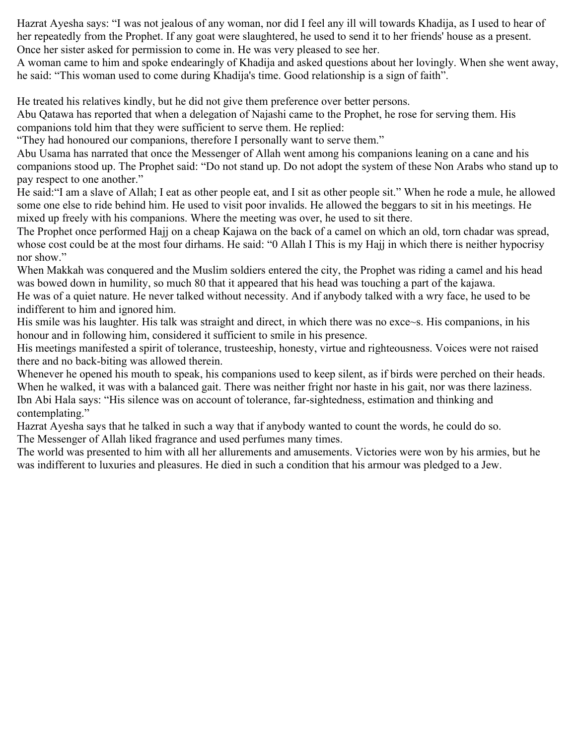Hazrat Ayesha says: "I was not jealous of any woman, nor did I feel any ill will towards Khadija, as I used to hear of her repeatedly from the Prophet. If any goat were slaughtered, he used to send it to her friends' house as a present. Once her sister asked for permission to come in. He was very pleased to see her.

A woman came to him and spoke endearingly of Khadija and asked questions about her lovingly. When she went away, he said: "This woman used to come during Khadija's time. Good relationship is a sign of faith".

He treated his relatives kindly, but he did not give them preference over better persons.

Abu Qatawa has reported that when a delegation of Najashi came to the Prophet, he rose for serving them. His companions told him that they were sufficient to serve them. He replied:

"They had honoured our companions, therefore I personally want to serve them."

Abu Usama has narrated that once the Messenger of Allah went among his companions leaning on a cane and his companions stood up. The Prophet said: "Do not stand up. Do not adopt the system of these Non Arabs who stand up to pay respect to one another."

He said:"I am a slave of Allah; I eat as other people eat, and I sit as other people sit." When he rode a mule, he allowed some one else to ride behind him. He used to visit poor invalids. He allowed the beggars to sit in his meetings. He mixed up freely with his companions. Where the meeting was over, he used to sit there.

The Prophet once performed Hajj on a cheap Kajawa on the back of a camel on which an old, torn chadar was spread, whose cost could be at the most four dirhams. He said: "0 Allah I This is my Hajj in which there is neither hypocrisy nor show."

When Makkah was conquered and the Muslim soldiers entered the city, the Prophet was riding a camel and his head was bowed down in humility, so much 80 that it appeared that his head was touching a part of the kajawa.

He was of a quiet nature. He never talked without necessity. And if anybody talked with a wry face, he used to be indifferent to him and ignored him.

His smile was his laughter. His talk was straight and direct, in which there was no exce~s. His companions, in his honour and in following him, considered it sufficient to smile in his presence.

His meetings manifested a spirit of tolerance, trusteeship, honesty, virtue and righteousness. Voices were not raised there and no back-biting was allowed therein.

Whenever he opened his mouth to speak, his companions used to keep silent, as if birds were perched on their heads. When he walked, it was with a balanced gait. There was neither fright nor haste in his gait, nor was there laziness. Ibn Abi Hala says: "His silence was on account of tolerance, far-sightedness, estimation and thinking and contemplating."

Hazrat Ayesha says that he talked in such a way that if anybody wanted to count the words, he could do so. The Messenger of Allah liked fragrance and used perfumes many times.

The world was presented to him with all her allurements and amusements. Victories were won by his armies, but he was indifferent to luxuries and pleasures. He died in such a condition that his armour was pledged to a Jew.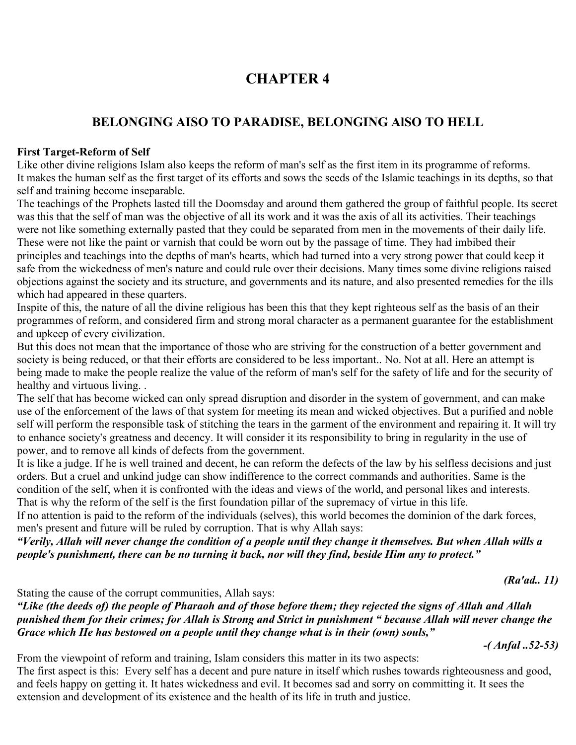## **BELONGING AISO TO PARADISE, BELONGING AlSO TO HELL**

## **First Target-Reform of Self**

Like other divine religions Islam also keeps the reform of man's self as the first item in its programme of reforms. It makes the human self as the first target of its efforts and sows the seeds of the Islamic teachings in its depths, so that self and training become inseparable.

The teachings of the Prophets lasted till the Doomsday and around them gathered the group of faithful people. Its secret was this that the self of man was the objective of all its work and it was the axis of all its activities. Their teachings were not like something externally pasted that they could be separated from men in the movements of their daily life. These were not like the paint or varnish that could be worn out by the passage of time. They had imbibed their principles and teachings into the depths of man's hearts, which had turned into a very strong power that could keep it safe from the wickedness of men's nature and could rule over their decisions. Many times some divine religions raised objections against the society and its structure, and governments and its nature, and also presented remedies for the ills which had appeared in these quarters.

Inspite of this, the nature of all the divine religious has been this that they kept righteous self as the basis of an their programmes of reform, and considered firm and strong moral character as a permanent guarantee for the establishment and upkeep of every civilization.

But this does not mean that the importance of those who are striving for the construction of a better government and society is being reduced, or that their efforts are considered to be less important.. No. Not at all. Here an attempt is being made to make the people realize the value of the reform of man's self for the safety of life and for the security of healthy and virtuous living. .

The self that has become wicked can only spread disruption and disorder in the system of government, and can make use of the enforcement of the laws of that system for meeting its mean and wicked objectives. But a purified and noble self will perform the responsible task of stitching the tears in the garment of the environment and repairing it. It will try to enhance society's greatness and decency. It will consider it its responsibility to bring in regularity in the use of power, and to remove all kinds of defects from the government.

It is like a judge. If he is well trained and decent, he can reform the defects of the law by his selfless decisions and just orders. But a cruel and unkind judge can show indifference to the correct commands and authorities. Same is the condition of the self, when it is confronted with the ideas and views of the world, and personal likes and interests. That is why the reform of the self is the first foundation pillar of the supremacy of virtue in this life.

If no attention is paid to the reform of the individuals (selves), this world becomes the dominion of the dark forces, men's present and future will be ruled by corruption. That is why Allah says:

## *"Verily, Allah will never change the condition of a people until they change it themselves. But when Allah wills a people's punishment, there can be no turning it back, nor will they find, beside Him any to protect."*

*(Ra'ad.. 11)*

Stating the cause of the corrupt communities, Allah says:

*"Like (the deeds of) the people of Pharaoh and of those before them; they rejected the signs of Allah and Allah punished them for their crimes; for Allah is Strong and Strict in punishment " because Allah will never change the Grace which He has bestowed on a people until they change what is in their (own) souls,"*

*-( Anfal ..52-53)*

From the viewpoint of reform and training, Islam considers this matter in its two aspects:

The first aspect is this: Every self has a decent and pure nature in itself which rushes towards righteousness and good, and feels happy on getting it. It hates wickedness and evil. It becomes sad and sorry on committing it. It sees the extension and development of its existence and the health of its life in truth and justice.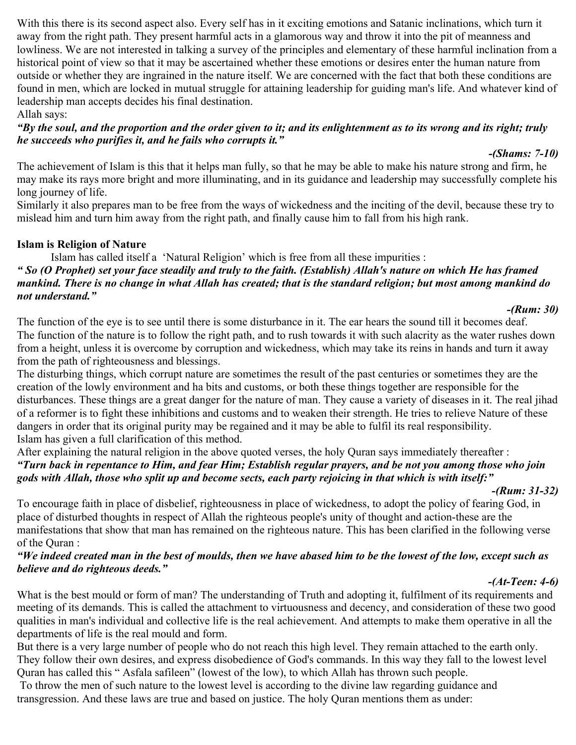With this there is its second aspect also. Every self has in it exciting emotions and Satanic inclinations, which turn it away from the right path. They present harmful acts in a glamorous way and throw it into the pit of meanness and lowliness. We are not interested in talking a survey of the principles and elementary of these harmful inclination from a historical point of view so that it may be ascertained whether these emotions or desires enter the human nature from outside or whether they are ingrained in the nature itself. We are concerned with the fact that both these conditions are found in men, which are locked in mutual struggle for attaining leadership for guiding man's life. And whatever kind of leadership man accepts decides his final destination. Allah says:

## *"By the soul, and the proportion and the order given to it; and its enlightenment as to its wrong and its right; truly he succeeds who purifies it, and he fails who corrupts it."*

*-(Shams: 7-10)*

The achievement of Islam is this that it helps man fully, so that he may be able to make his nature strong and firm, he may make its rays more bright and more illuminating, and in its guidance and leadership may successfully complete his long journey of life.

Similarly it also prepares man to be free from the ways of wickedness and the inciting of the devil, because these try to mislead him and turn him away from the right path, and finally cause him to fall from his high rank.

## **Islam is Religion of Nature**

Islam has called itself a 'Natural Religion' which is free from all these impurities : *" So (O Prophet) set your face steadily and truly to the faith. (Establish) Allah's nature on which He has framed mankind. There is no change in what Allah has created; that is the standard religion; but most among mankind do not understand."*

*-(Rum: 30)*

The function of the eve is to see until there is some disturbance in it. The ear hears the sound till it becomes deaf. The function of the nature is to follow the right path, and to rush towards it with such alacrity as the water rushes down from a height, unless it is overcome by corruption and wickedness, which may take its reins in hands and turn it away from the path of righteousness and blessings.

The disturbing things, which corrupt nature are sometimes the result of the past centuries or sometimes they are the creation of the lowly environment and ha bits and customs, or both these things together are responsible for the disturbances. These things are a great danger for the nature of man. They cause a variety of diseases in it. The real jihad of a reformer is to fight these inhibitions and customs and to weaken their strength. He tries to relieve Nature of these dangers in order that its original purity may be regained and it may be able to fulfil its real responsibility. Islam has given a full clarification of this method.

After explaining the natural religion in the above quoted verses, the holy Quran says immediately thereafter : *"Turn back in repentance to Him, and fear Him; Establish regular prayers, and be not you among those who join gods with Allah, those who split up and become sects, each party rejoicing in that which is with itself:"*

*-(Rum: 31-32)*

To encourage faith in place of disbelief, righteousness in place of wickedness, to adopt the policy of fearing God, in place of disturbed thoughts in respect of Allah the righteous people's unity of thought and action-these are the manifestations that show that man has remained on the righteous nature. This has been clarified in the following verse of the Quran :

## *"We indeed created man in the best of moulds, then we have abased him to be the lowest of the low, except such as believe and do righteous deeds."*

## *-(At-Teen: 4-6)*

What is the best mould or form of man? The understanding of Truth and adopting it, fulfilment of its requirements and meeting of its demands. This is called the attachment to virtuousness and decency, and consideration of these two good qualities in man's individual and collective life is the real achievement. And attempts to make them operative in all the departments of life is the real mould and form.

But there is a very large number of people who do not reach this high level. They remain attached to the earth only. They follow their own desires, and express disobedience of God's commands. In this way they fall to the lowest level Quran has called this " Asfala safileen" (lowest of the low), to which Allah has thrown such people.

 To throw the men of such nature to the lowest level is according to the divine law regarding guidance and transgression. And these laws are true and based on justice. The holy Quran mentions them as under: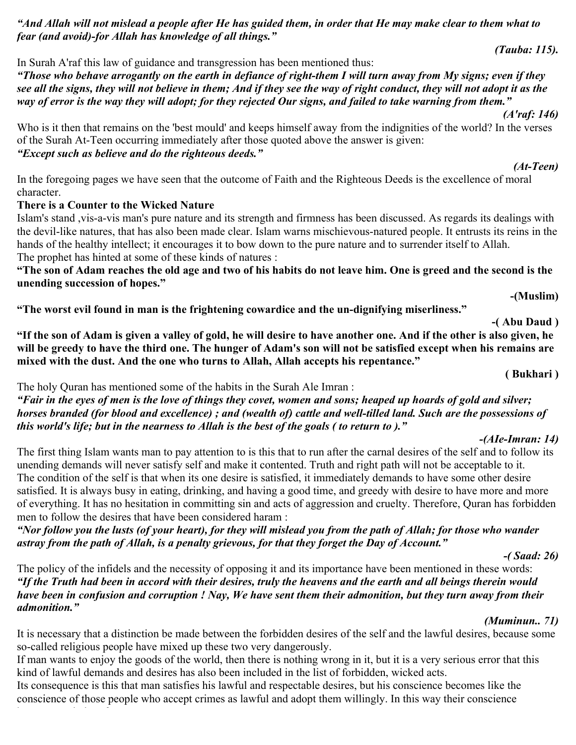## *"And Allah will not mislead a people after He has guided them, in order that He may make clear to them what to fear (and avoid)-for Allah has knowledge of all things."*

In Surah A'raf this law of guidance and transgression has been mentioned thus:

*"Those who behave arrogantly on the earth in defiance of right-them I will turn away from My signs; even if they see all the signs, they will not believe in them; And if they see the way of right conduct, they will not adopt it as the way of error is the way they will adopt; for they rejected Our signs, and failed to take warning from them." (A'raf: 146)*

Who is it then that remains on the 'best mould' and keeps himself away from the indignities of the world? In the verses of the Surah At-Teen occurring immediately after those quoted above the answer is given: *"Except such as believe and do the righteous deeds."*

In the foregoing pages we have seen that the outcome of Faith and the Righteous Deeds is the excellence of moral character.

# **There is a Counter to the Wicked Nature**

Islam's stand ,vis-a-vis man's pure nature and its strength and firmness has been discussed. As regards its dealings with the devil-like natures, that has also been made clear. Islam warns mischievous-natured people. It entrusts its reins in the hands of the healthy intellect; it encourages it to bow down to the pure nature and to surrender itself to Allah. The prophet has hinted at some of these kinds of natures :

**"The son of Adam reaches the old age and two of his habits do not leave him. One is greed and the second is the unending succession of hopes."**

**"The worst evil found in man is the frightening cowardice and the un-dignifying miserliness."**

**-( Abu Daud ) "If the son of Adam is given a valley of gold, he will desire to have another one. And if the other is also given, he will be greedy to have the third one. The hunger of Adam's son will not be satisfied except when his remains are mixed with the dust. And the one who turns to Allah, Allah accepts his repentance."**

**( Bukhari )**

The holy Quran has mentioned some of the habits in the Surah Ale Imran :

*"Fair in the eyes of men is the love of things they covet, women and sons; heaped up hoards of gold and silver; horses branded (for blood and excellence) ; and (wealth of) cattle and well-tilled land. Such are the possessions of this world's life; but in the nearness to Allah is the best of the goals ( to return to )."*

*-(AIe-Imran: 14)*

The first thing Islam wants man to pay attention to is this that to run after the carnal desires of the self and to follow its unending demands will never satisfy self and make it contented. Truth and right path will not be acceptable to it. The condition of the self is that when its one desire is satisfied, it immediately demands to have some other desire satisfied. It is always busy in eating, drinking, and having a good time, and greedy with desire to have more and more of everything. It has no hesitation in committing sin and acts of aggression and cruelty. Therefore, Quran has forbidden men to follow the desires that have been considered haram :

*"Nor follow you the lusts (of your heart), for they will mislead you from the path of Allah; for those who wander astray from the path of Allah, is a penalty grievous, for that they forget the Day of Account."*

*-( Saad: 26)*

The policy of the infidels and the necessity of opposing it and its importance have been mentioned in these words: *"If the Truth had been in accord with their desires, truly the heavens and the earth and all beings therein would have been in confusion and corruption ! Nay, We have sent them their admonition, but they turn away from their admonition."*

*(Muminun.. 71)*

It is necessary that a distinction be made between the forbidden desires of the self and the lawful desires, because some so-called religious people have mixed up these two very dangerously.

If man wants to enjoy the goods of the world, then there is nothing wrong in it, but it is a very serious error that this kind of lawful demands and desires has also been included in the list of forbidden, wicked acts.

Its consequence is this that man satisfies his lawful and respectable desires, but his conscience becomes like the conscience of those people who accept crimes as lawful and adopt them willingly. In this way their conscience becomes a victim of a great error.

*(At-Teen)*

*(Tauba: 115).*

## **-(Muslim)**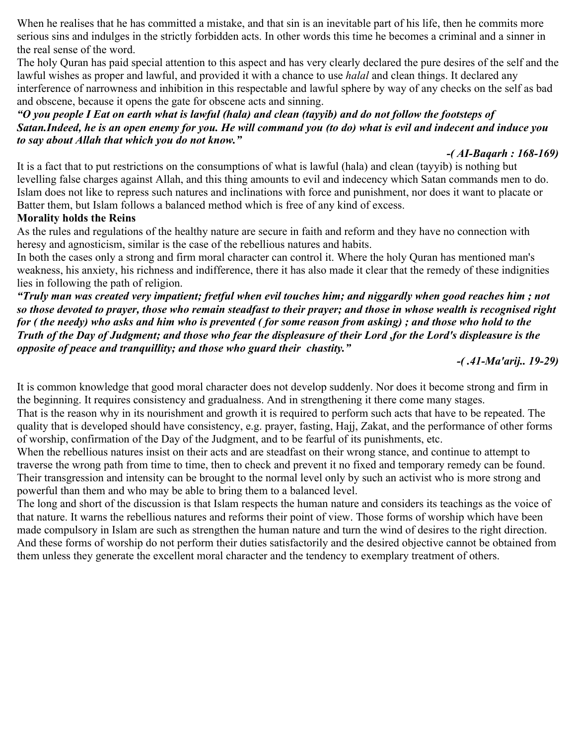When he realises that he has committed a mistake, and that sin is an inevitable part of his life, then he commits more serious sins and indulges in the strictly forbidden acts. In other words this time he becomes a criminal and a sinner in the real sense of the word.

The holy Quran has paid special attention to this aspect and has very clearly declared the pure desires of the self and the lawful wishes as proper and lawful, and provided it with a chance to use *halal* and clean things. It declared any interference of narrowness and inhibition in this respectable and lawful sphere by way of any checks on the self as bad and obscene, because it opens the gate for obscene acts and sinning.

### *"O you people I Eat on earth what is lawful (hala) and clean (tayyib) and do not follow the footsteps of Satan.Indeed, he is an open enemy for you. He will command you (to do) what is evil and indecent and induce you to say about Allah that which you do not know."*

*-( AI-Baqarh : 168-169)*

It is a fact that to put restrictions on the consumptions of what is lawful (hala) and clean (tayyib) is nothing but levelling false charges against Allah, and this thing amounts to evil and indecency which Satan commands men to do. Islam does not like to repress such natures and inclinations with force and punishment, nor does it want to placate or Batter them, but Islam follows a balanced method which is free of any kind of excess.

## **Morality holds the Reins**

As the rules and regulations of the healthy nature are secure in faith and reform and they have no connection with heresy and agnosticism, similar is the case of the rebellious natures and habits.

In both the cases only a strong and firm moral character can control it. Where the holy Quran has mentioned man's weakness, his anxiety, his richness and indifference, there it has also made it clear that the remedy of these indignities lies in following the path of religion.

*"Truly man was created very impatient; fretful when evil touches him; and niggardly when good reaches him ; not so those devoted to prayer, those who remain steadfast to their prayer; and those in whose wealth is recognised right for ( the needy) who asks and him who is prevented ( for some reason from asking) ; and those who hold to the Truth of the Day of Judgment; and those who fear the displeasure of their Lord ,for the Lord's displeasure is the opposite of peace and tranquillity; and those who guard their chastity."*

*-( .41-Ma'arij.. 19-29)*

It is common knowledge that good moral character does not develop suddenly. Nor does it become strong and firm in the beginning. It requires consistency and gradualness. And in strengthening it there come many stages.

That is the reason why in its nourishment and growth it is required to perform such acts that have to be repeated. The quality that is developed should have consistency, e.g. prayer, fasting, Hajj, Zakat, and the performance of other forms of worship, confirmation of the Day of the Judgment, and to be fearful of its punishments, etc.

When the rebellious natures insist on their acts and are steadfast on their wrong stance, and continue to attempt to traverse the wrong path from time to time, then to check and prevent it no fixed and temporary remedy can be found. Their transgression and intensity can be brought to the normal level only by such an activist who is more strong and powerful than them and who may be able to bring them to a balanced level.

The long and short of the discussion is that Islam respects the human nature and considers its teachings as the voice of that nature. It warns the rebellious natures and reforms their point of view. Those forms of worship which have been made compulsory in Islam are such as strengthen the human nature and turn the wind of desires to the right direction. And these forms of worship do not perform their duties satisfactorily and the desired objective cannot be obtained from them unless they generate the excellent moral character and the tendency to exemplary treatment of others.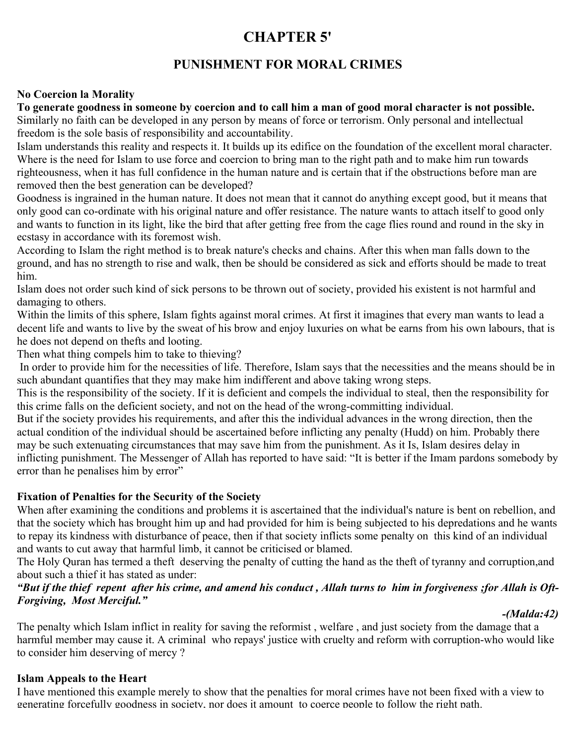# **CHAPTER 5'**

## **PUNISHMENT FOR MORAL CRIMES**

## **No Coercion la Morality**

#### **To generate goodness in someone by coercion and to call him a man of good moral character is not possible.**

Similarly no faith can be developed in any person by means of force or terrorism. Only personal and intellectual freedom is the sole basis of responsibility and accountability.

Islam understands this reality and respects it. It builds up its edifice on the foundation of the excellent moral character. Where is the need for Islam to use force and coercion to bring man to the right path and to make him run towards righteousness, when it has full confidence in the human nature and is certain that if the obstructions before man are removed then the best generation can be developed?

Goodness is ingrained in the human nature. It does not mean that it cannot do anything except good, but it means that only good can co-ordinate with his original nature and offer resistance. The nature wants to attach itself to good only and wants to function in its light, like the bird that after getting free from the cage flies round and round in the sky in ecstasy in accordance with its foremost wish.

According to Islam the right method is to break nature's checks and chains. After this when man falls down to the ground, and has no strength to rise and walk, then be should be considered as sick and efforts should be made to treat him.

Islam does not order such kind of sick persons to be thrown out of society, provided his existent is not harmful and damaging to others.

Within the limits of this sphere, Islam fights against moral crimes. At first it imagines that every man wants to lead a decent life and wants to live by the sweat of his brow and enjoy luxuries on what be earns from his own labours, that is he does not depend on thefts and looting.

Then what thing compels him to take to thieving?

 In order to provide him for the necessities of life. Therefore, Islam says that the necessities and the means should be in such abundant quantifies that they may make him indifferent and above taking wrong steps.

This is the responsibility of the society. If it is deficient and compels the individual to steal, then the responsibility for this crime falls on the deficient society, and not on the head of the wrong-committing individual.

But if the society provides his requirements, and after this the individual advances in the wrong direction, then the actual condition of the individual should be ascertained before inflicting any penalty (Hudd) on him. Probably there may be such extenuating circumstances that may save him from the punishment. As it Is, Islam desires delay in inflicting punishment. The Messenger of Allah has reported to have said: "It is better if the Imam pardons somebody by error than he penalises him by error"

## **Fixation of Penalties for the Security of the Society**

When after examining the conditions and problems it is ascertained that the individual's nature is bent on rebellion, and that the society which has brought him up and had provided for him is being subjected to his depredations and he wants to repay its kindness with disturbance of peace, then if that society inflicts some penalty on this kind of an individual and wants to cut away that harmful limb, it cannot be criticised or blamed.

The Holy Quran has termed a theft deserving the penalty of cutting the hand as the theft of tyranny and corruption,and about such a thief it has stated as under:

## *"But if the thief repent after his crime, and amend his conduct , Allah turns to him in forgiveness ;for Allah is Oft-Forgiving, Most Merciful."*

#### *-(Malda:42)*

The penalty which Islam inflict in reality for saving the reformist , welfare , and just society from the damage that a harmful member may cause it. A criminal who repays' justice with cruelty and reform with corruption-who would like to consider him deserving of mercy ?

#### **Islam Appeals to the Heart**

I have mentioned this example merely to show that the penalties for moral crimes have not been fixed with a view to generating forcefully goodness in society, nor does it amount to coerce people to follow the right path.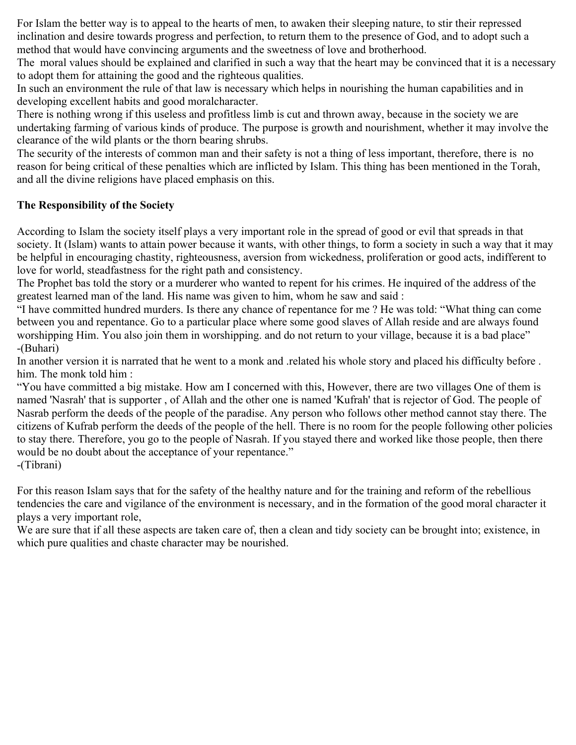For Islam the better way is to appeal to the hearts of men, to awaken their sleeping nature, to stir their repressed inclination and desire towards progress and perfection, to return them to the presence of God, and to adopt such a method that would have convincing arguments and the sweetness of love and brotherhood.

The moral values should be explained and clarified in such a way that the heart may be convinced that it is a necessary to adopt them for attaining the good and the righteous qualities.

In such an environment the rule of that law is necessary which helps in nourishing the human capabilities and in developing excellent habits and good moralcharacter.

There is nothing wrong if this useless and profitless limb is cut and thrown away, because in the society we are undertaking farming of various kinds of produce. The purpose is growth and nourishment, whether it may involve the clearance of the wild plants or the thorn bearing shrubs.

The security of the interests of common man and their safety is not a thing of less important, therefore, there is no reason for being critical of these penalties which are inflicted by Islam. This thing has been mentioned in the Torah, and all the divine religions have placed emphasis on this.

## **The Responsibility of the Society**

According to Islam the society itself plays a very important role in the spread of good or evil that spreads in that society. It (Islam) wants to attain power because it wants, with other things, to form a society in such a way that it may be helpful in encouraging chastity, righteousness, aversion from wickedness, proliferation or good acts, indifferent to love for world, steadfastness for the right path and consistency.

The Prophet bas told the story or a murderer who wanted to repent for his crimes. He inquired of the address of the greatest learned man of the land. His name was given to him, whom he saw and said :

"I have committed hundred murders. Is there any chance of repentance for me ? He was told: "What thing can come between you and repentance. Go to a particular place where some good slaves of Allah reside and are always found worshipping Him. You also join them in worshipping. and do not return to your village, because it is a bad place" -(Buhari)

In another version it is narrated that he went to a monk and .related his whole story and placed his difficulty before . him. The monk told him :

"You have committed a big mistake. How am I concerned with this, However, there are two villages One of them is named 'Nasrah' that is supporter , of Allah and the other one is named 'Kufrah' that is rejector of God. The people of Nasrab perform the deeds of the people of the paradise. Any person who follows other method cannot stay there. The citizens of Kufrab perform the deeds of the people of the hell. There is no room for the people following other policies to stay there. Therefore, you go to the people of Nasrah. If you stayed there and worked like those people, then there would be no doubt about the acceptance of your repentance." -(Tibrani)

For this reason Islam says that for the safety of the healthy nature and for the training and reform of the rebellious tendencies the care and vigilance of the environment is necessary, and in the formation of the good moral character it plays a very important role,

We are sure that if all these aspects are taken care of, then a clean and tidy society can be brought into; existence, in which pure qualities and chaste character may be nourished.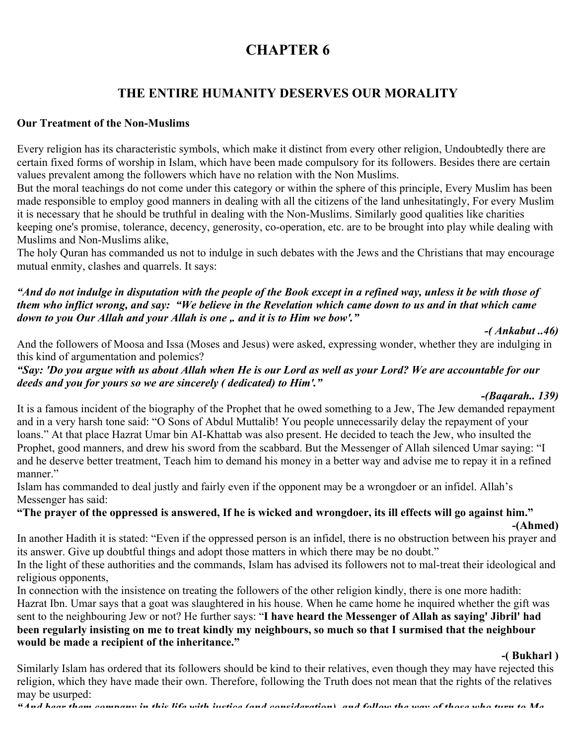## **THE ENTIRE HUMANITY DESERVES OUR MORALITY**

## **Our Treatment of the Non-Muslims**

Every religion has its characteristic symbols, which make it distinct from every other religion, Undoubtedly there are certain fixed forms of worship in Islam, which have been made compulsory for its followers. Besides there are certain values prevalent among the followers which have no relation with the Non Muslims.

But the moral teachings do not come under this category or within the sphere of this principle, Every Muslim has been made responsible to employ good manners in dealing with all the citizens of the land unhesitatingly, For every Muslim it is necessary that he should be truthful in dealing with the Non-Muslims. Similarly good qualities like charities keeping one's promise, tolerance, decency, generosity, co-operation, etc. are to be brought into play while dealing with Muslims and Non-Muslims alike,

The holy Quran has commanded us not to indulge in such debates with the Jews and the Christians that may encourage mutual enmity, clashes and quarrels. It says:

### *"And do not indulge in disputation with the people of the Book except in a refined way, unless it be with those of them who inflict wrong, and say: "We believe in the Revelation which came down to us and in that which came down to you Our Allah and your Allah is one ,. and it is to Him we bow'."*

*-( Ankabut ..46)*

And the followers of Moosa and Issa (Moses and Jesus) were asked, expressing wonder, whether they are indulging in this kind of argumentation and polemics?

*"Say: 'Do you argue with us about Allah when He is our Lord as well as your Lord? We are accountable for our deeds and you for yours so we are sincerely ( dedicated) to Him'."*

## *-(Baqarah.. 139)*

It is a famous incident of the biography of the Prophet that he owed something to a Jew, The Jew demanded repayment and in a very harsh tone said: "O Sons of Abdul Muttalib! You people unnecessarily delay the repayment of your loans." At that place Hazrat Umar bin AI-Khattab was also present. He decided to teach the Jew, who insulted the Prophet, good manners, and drew his sword from the scabbard. But the Messenger of Allah silenced Umar saying: "I and he deserve better treatment, Teach him to demand his money in a better way and advise me to repay it in a refined manner<sup>"</sup>

Islam has commanded to deal justly and fairly even if the opponent may be a wrongdoer or an infidel. Allah's Messenger has said:

## **"The prayer of the oppressed is answered, If he is wicked and wrongdoer, its ill effects will go against him."**

**-(Ahmed)**

In another Hadith it is stated: "Even if the oppressed person is an infidel, there is no obstruction between his prayer and its answer. Give up doubtful things and adopt those matters in which there may be no doubt." In the light of these authorities and the commands, Islam has advised its followers not to mal-treat their ideological and

religious opponents,

In connection with the insistence on treating the followers of the other religion kindly, there is one more hadith: Hazrat Ibn. Umar says that a goat was slaughtered in his house. When he came home he inquired whether the gift was sent to the neighbouring Jew or not? He further says: "**I have heard the Messenger of Allah as saying' Jibril' had been regularly insisting on me to treat kindly my neighbours, so much so that I surmised that the neighbour would be made a recipient of the inheritance."**

**-( Bukharl )**

Similarly Islam has ordered that its followers should be kind to their relatives, even though they may have rejected this religion, which they have made their own. Therefore, following the Truth does not mean that the rights of the relatives may be usurped:

*"And bear them company in this life with justice (and consideration), and follow the way of those who turn to Me*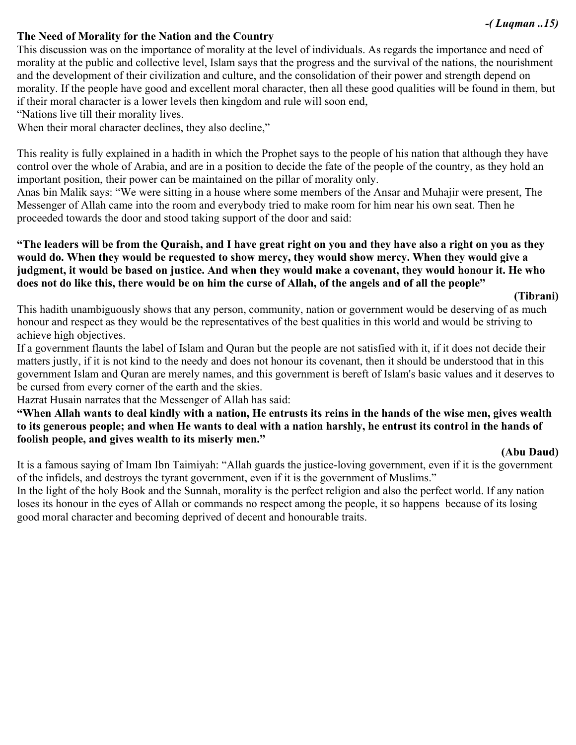### *-( Luqman ..15)*

#### **The Need of Morality for the Nation and the Country**

This discussion was on the importance of morality at the level of individuals. As regards the importance and need of morality at the public and collective level, Islam says that the progress and the survival of the nations, the nourishment and the development of their civilization and culture, and the consolidation of their power and strength depend on morality. If the people have good and excellent moral character, then all these good qualities will be found in them, but if their moral character is a lower levels then kingdom and rule will soon end,

"Nations live till their morality lives.

When their moral character declines, they also decline,"

This reality is fully explained in a hadith in which the Prophet says to the people of his nation that although they have control over the whole of Arabia, and are in a position to decide the fate of the people of the country, as they hold an important position, their power can be maintained on the pillar of morality only.

Anas bin Malik says: "We were sitting in a house where some members of the Ansar and Muhajir were present, The Messenger of Allah came into the room and everybody tried to make room for him near his own seat. Then he proceeded towards the door and stood taking support of the door and said:

### **"The leaders will be from the Quraish, and I have great right on you and they have also a right on you as they would do. When they would be requested to show mercy, they would show mercy. When they would give a judgment, it would be based on justice. And when they would make a covenant, they would honour it. He who does not do like this, there would be on him the curse of Allah, of the angels and of all the people"**

**(Tibrani)**

This hadith unambiguously shows that any person, community, nation or government would be deserving of as much honour and respect as they would be the representatives of the best qualities in this world and would be striving to achieve high objectives.

If a government flaunts the label of Islam and Quran but the people are not satisfied with it, if it does not decide their matters justly, if it is not kind to the needy and does not honour its covenant, then it should be understood that in this government Islam and Quran are merely names, and this government is bereft of Islam's basic values and it deserves to be cursed from every corner of the earth and the skies.

Hazrat Husain narrates that the Messenger of Allah has said:

**"When Allah wants to deal kindly with a nation, He entrusts its reins in the hands of the wise men, gives wealth to its generous people; and when He wants to deal with a nation harshly, he entrust its control in the hands of foolish people, and gives wealth to its miserly men."**

#### **(Abu Daud)**

It is a famous saying of Imam Ibn Taimiyah: "Allah guards the justice-loving government, even if it is the government of the infidels, and destroys the tyrant government, even if it is the government of Muslims."

In the light of the holy Book and the Sunnah, morality is the perfect religion and also the perfect world. If any nation loses its honour in the eyes of Allah or commands no respect among the people, it so happens because of its losing good moral character and becoming deprived of decent and honourable traits.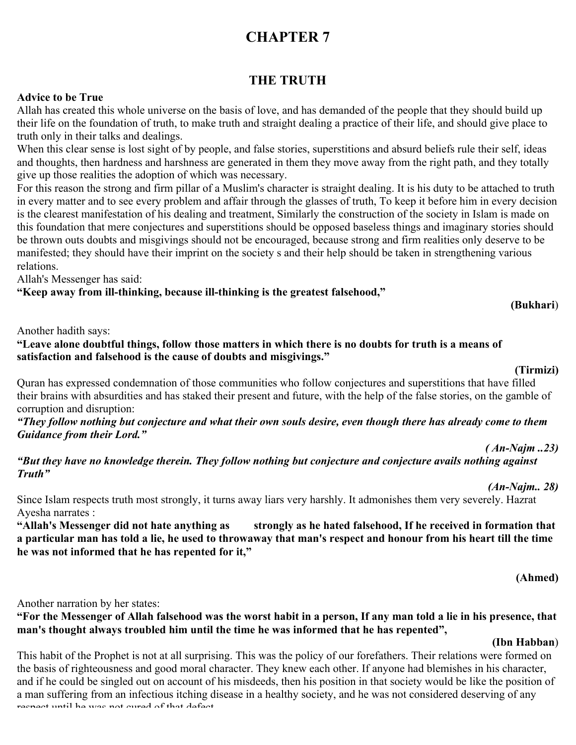## **THE TRUTH**

## **Advice to be True**

Allah has created this whole universe on the basis of love, and has demanded of the people that they should build up their life on the foundation of truth, to make truth and straight dealing a practice of their life, and should give place to truth only in their talks and dealings.

When this clear sense is lost sight of by people, and false stories, superstitions and absurd beliefs rule their self, ideas and thoughts, then hardness and harshness are generated in them they move away from the right path, and they totally give up those realities the adoption of which was necessary.

For this reason the strong and firm pillar of a Muslim's character is straight dealing. It is his duty to be attached to truth in every matter and to see every problem and affair through the glasses of truth, To keep it before him in every decision is the clearest manifestation of his dealing and treatment, Similarly the construction of the society in Islam is made on this foundation that mere conjectures and superstitions should be opposed baseless things and imaginary stories should be thrown outs doubts and misgivings should not be encouraged, because strong and firm realities only deserve to be manifested; they should have their imprint on the society s and their help should be taken in strengthening various relations.

Allah's Messenger has said:

**"Keep away from ill-thinking, because ill-thinking is the greatest falsehood,"**

**(Bukhari**)

Another hadith says:

**"Leave alone doubtful things, follow those matters in which there is no doubts for truth is a means of satisfaction and falsehood is the cause of doubts and misgivings."**

**(Tirmizi)**

Quran has expressed condemnation of those communities who follow conjectures and superstitions that have filled their brains with absurdities and has staked their present and future, with the help of the false stories, on the gamble of corruption and disruption:

*"They follow nothing but conjecture and what their own souls desire, even though there has already come to them Guidance from their Lord."*

*( An-Najm ..23)*

*"But they have no knowledge therein. They follow nothing but conjecture and conjecture avails nothing against Truth"*

*(An-Najm.. 28)*

Since Islam respects truth most strongly, it turns away liars very harshly. It admonishes them very severely. Hazrat Ayesha narrates :

**"Allah's Messenger did not hate anything as strongly as he hated falsehood, If he received in formation that a particular man has told a lie, he used to throwaway that man's respect and honour from his heart till the time he was not informed that he has repented for it,"**

**(Ahmed)**

Another narration by her states:

**"For the Messenger of Allah falsehood was the worst habit in a person, If any man told a lie in his presence, that man's thought always troubled him until the time he was informed that he has repented",**

#### **(Ibn Habban**)

This habit of the Prophet is not at all surprising. This was the policy of our forefathers. Their relations were formed on the basis of righteousness and good moral character. They knew each other. If anyone had blemishes in his character, and if he could be singled out on account of his misdeeds, then his position in that society would be like the position of a man suffering from an infectious itching disease in a healthy society, and he was not considered deserving of any respect until he was not cured of that defect.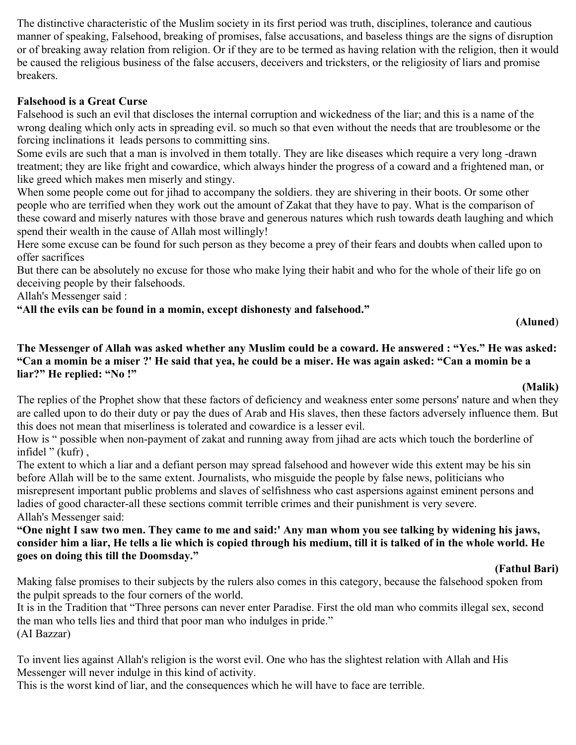The distinctive characteristic of the Muslim society in its first period was truth, disciplines, tolerance and cautious manner of speaking, Falsehood, breaking of promises, false accusations, and baseless things are the signs of disruption or of breaking away relation from religion. Or if they are to be termed as having relation with the religion, then it would be caused the religious business of the false accusers, deceivers and tricksters, or the religiosity of liars and promise breakers.

## **Falsehood is a Great Curse**

Falsehood is such an evil that discloses the internal corruption and wickedness of the liar; and this is a name of the wrong dealing which only acts in spreading evil. so much so that even without the needs that are troublesome or the forcing inclinations it leads persons to committing sins.

Some evils are such that a man is involved in them totally. They are like diseases which require a very long -drawn treatment; they are like fright and cowardice, which always hinder the progress of a coward and a frightened man, or like greed which makes men miserly and stingy.

When some people come out for jihad to accompany the soldiers, they are shivering in their boots. Or some other people who are terrified when they work out the amount of Zakat that they have to pay. What is the comparison of these coward and miserly natures with those brave and generous natures which rush towards death laughing and which spend their wealth in the cause of Allah most willingly!

Here some excuse can be found for such person as they become a prey of their fears and doubts when called upon to offer sacrifices

But there can be absolutely no excuse for those who make lying their habit and who for the whole of their life go on deceiving people by their falsehoods.

Allah's Messenger said :

## **"All the evils can be found in a momin, except dishonesty and falsehood."**

#### **(Aluned**)

## **The Messenger of Allah was asked whether any Muslim could be a coward. He answered : "Yes." He was asked: "Can a momin be a miser ?' He said that yea, he could be a miser. He was again asked: "Can a momin be a liar?" He replied: "No !"**

#### **(Malik)**

The replies of the Prophet show that these factors of deficiency and weakness enter some persons' nature and when they are called upon to do their duty or pay the dues of Arab and His slaves, then these factors adversely influence them. But this does not mean that miserliness is tolerated and cowardice is a lesser evil.

How is " possible when non-payment of zakat and running away from jihad are acts which touch the borderline of infidel " (kufr),

The extent to which a liar and a defiant person may spread falsehood and however wide this extent may be his sin before Allah will be to the same extent. Journalists, who misguide the people by false news, politicians who misrepresent important public problems and slaves of selfishness who cast aspersions against eminent persons and ladies of good character-all these sections commit terrible crimes and their punishment is very severe. Allah's Messenger said:

## **"One night I saw two men. They came to me and said:' Any man whom you see talking by widening his jaws, consider him a liar, He tells a lie which is copied through his medium, till it is talked of in the whole world. He goes on doing this till the Doomsday."**

#### **(Fathul Bari)**

Making false promises to their subjects by the rulers also comes in this category, because the falsehood spoken from the pulpit spreads to the four corners of the world.

It is in the Tradition that "Three persons can never enter Paradise. First the old man who commits illegal sex, second the man who tells lies and third that poor man who indulges in pride." (AI Bazzar)

To invent lies against Allah's religion is the worst evil. One who has the slightest relation with Allah and His Messenger will never indulge in this kind of activity.

This is the worst kind of liar, and the consequences which he will have to face are terrible.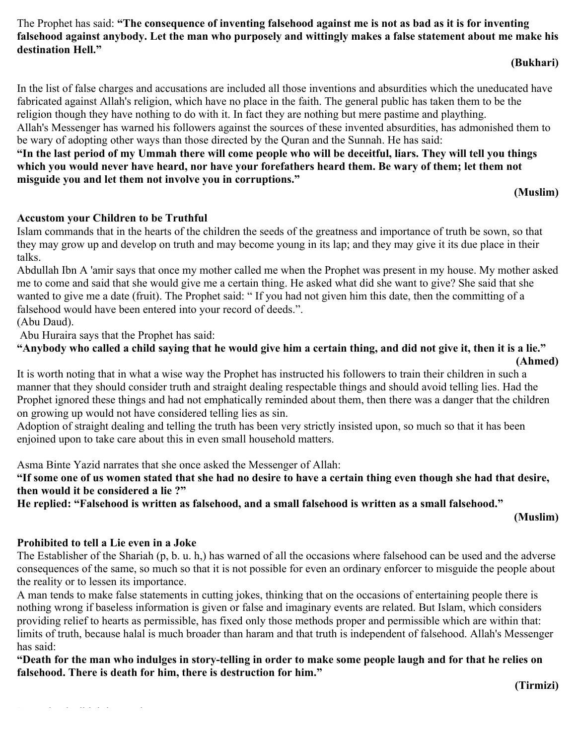### The Prophet has said: **"The consequence of inventing falsehood against me is not as bad as it is for inventing falsehood against anybody. Let the man who purposely and wittingly makes a false statement about me make his destination Hell."**

## **(Bukhari)**

In the list of false charges and accusations are included all those inventions and absurdities which the uneducated have fabricated against Allah's religion, which have no place in the faith. The general public has taken them to be the religion though they have nothing to do with it. In fact they are nothing but mere pastime and plaything. Allah's Messenger has warned his followers against the sources of these invented absurdities, has admonished them to be wary of adopting other ways than those directed by the Quran and the Sunnah. He has said:

## **"In the last period of my Ummah there will come people who will be deceitful, liars. They will tell you things which you would never have heard, nor have your forefathers heard them. Be wary of them; let them not misguide you and let them not involve you in corruptions."**

## **(Muslim)**

## **Accustom your Children to be Truthful**

Islam commands that in the hearts of the children the seeds of the greatness and importance of truth be sown, so that they may grow up and develop on truth and may become young in its lap; and they may give it its due place in their talks.

Abdullah Ibn A 'amir says that once my mother called me when the Prophet was present in my house. My mother asked me to come and said that she would give me a certain thing. He asked what did she want to give? She said that she wanted to give me a date (fruit). The Prophet said: " If you had not given him this date, then the committing of a falsehood would have been entered into your record of deeds.".

(Abu Daud).

Abu Huraira says that the Prophet has said:

**"Anybody who called a child saying that he would give him a certain thing, and did not give it, then it is a lie." (Ahmed)**

It is worth noting that in what a wise way the Prophet has instructed his followers to train their children in such a manner that they should consider truth and straight dealing respectable things and should avoid telling lies. Had the Prophet ignored these things and had not emphatically reminded about them, then there was a danger that the children on growing up would not have considered telling lies as sin.

Adoption of straight dealing and telling the truth has been very strictly insisted upon, so much so that it has been enjoined upon to take care about this in even small household matters.

Asma Binte Yazid narrates that she once asked the Messenger of Allah:

**"If some one of us women stated that she had no desire to have a certain thing even though she had that desire, then would it be considered a lie ?"**

**He replied: "Falsehood is written as falsehood, and a small falsehood is written as a small falsehood."**

**(Muslim)**

## **Prohibited to tell a Lie even in a Joke**

The Establisher of the Shariah (p, b. u. h,) has warned of all the occasions where falsehood can be used and the adverse consequences of the same, so much so that it is not possible for even an ordinary enforcer to misguide the people about the reality or to lessen its importance.

A man tends to make false statements in cutting jokes, thinking that on the occasions of entertaining people there is nothing wrong if baseless information is given or false and imaginary events are related. But Islam, which considers providing relief to hearts as permissible, has fixed only those methods proper and permissible which are within that: limits of truth, because halal is much broader than haram and that truth is independent of falsehood. Allah's Messenger has said:

**"Death for the man who indulges in story-telling in order to make some people laugh and for that he relies on falsehood. There is death for him, there is destruction for him."**

**(Tirmizi)**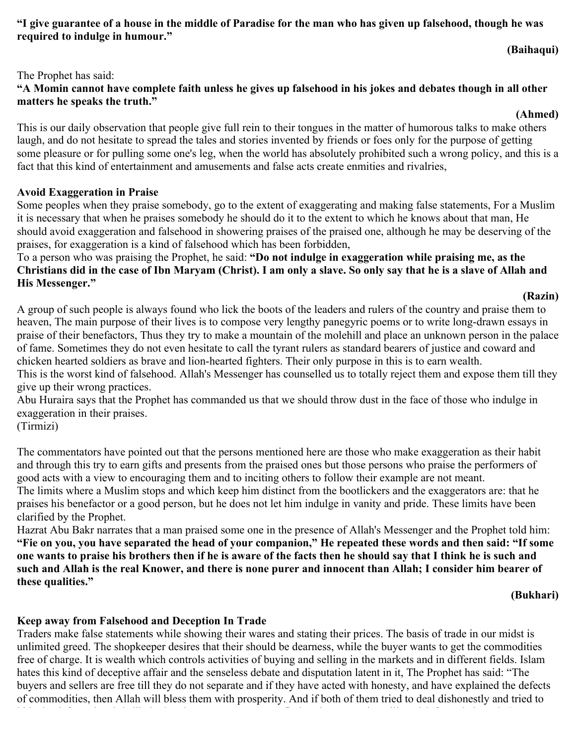## **"I give guarantee of a house in the middle of Paradise for the man who has given up falsehood, though he was required to indulge in humour."**

**(Baihaqui)**

The Prophet has said:

## **"A Momin cannot have complete faith unless he gives up falsehood in his jokes and debates though in all other matters he speaks the truth."**

## **(Ahmed)**

This is our daily observation that people give full rein to their tongues in the matter of humorous talks to make others laugh, and do not hesitate to spread the tales and stories invented by friends or foes only for the purpose of getting some pleasure or for pulling some one's leg, when the world has absolutely prohibited such a wrong policy, and this is a fact that this kind of entertainment and amusements and false acts create enmities and rivalries,

## **Avoid Exaggeration in Praise**

Some peoples when they praise somebody, go to the extent of exaggerating and making false statements, For a Muslim it is necessary that when he praises somebody he should do it to the extent to which he knows about that man, He should avoid exaggeration and falsehood in showering praises of the praised one, although he may be deserving of the praises, for exaggeration is a kind of falsehood which has been forbidden,

To a person who was praising the Prophet, he said: **"Do not indulge in exaggeration while praising me, as the Christians did in the case of Ibn Maryam (Christ). I am only a slave. So only say that he is a slave of Allah and His Messenger."**

#### **(Razin)**

A group of such people is always found who lick the boots of the leaders and rulers of the country and praise them to heaven, The main purpose of their lives is to compose very lengthy panegyric poems or to write long-drawn essays in praise of their benefactors, Thus they try to make a mountain of the molehill and place an unknown person in the palace of fame. Sometimes they do not even hesitate to call the tyrant rulers as standard bearers of justice and coward and chicken hearted soldiers as brave and lion-hearted fighters. Their only purpose in this is to earn wealth. This is the worst kind of falsehood. Allah's Messenger has counselled us to totally reject them and expose them till they give up their wrong practices.

Abu Huraira says that the Prophet has commanded us that we should throw dust in the face of those who indulge in exaggeration in their praises.

(Tirmizi)

The commentators have pointed out that the persons mentioned here are those who make exaggeration as their habit and through this try to earn gifts and presents from the praised ones but those persons who praise the performers of good acts with a view to encouraging them and to inciting others to follow their example are not meant. The limits where a Muslim stops and which keep him distinct from the bootlickers and the exaggerators are: that he praises his benefactor or a good person, but he does not let him indulge in vanity and pride. These limits have been clarified by the Prophet.

Hazrat Abu Bakr narrates that a man praised some one in the presence of Allah's Messenger and the Prophet told him: **"Fie on you, you have separated the head of your companion," He repeated these words and then said: "If some one wants to praise his brothers then if he is aware of the facts then he should say that I think he is such and such and Allah is the real Knower, and there is none purer and innocent than Allah; I consider him bearer of these qualities."**

#### **(Bukhari)**

## **Keep away from Falsehood and Deception In Trade**

Traders make false statements while showing their wares and stating their prices. The basis of trade in our midst is unlimited greed. The shopkeeper desires that their should be dearness, while the buyer wants to get the commodities free of charge. It is wealth which controls activities of buying and selling in the markets and in different fields. Islam hates this kind of deceptive affair and the senseless debate and disputation latent in it, The Prophet has said: "The buyers and sellers are free till they do not separate and if they have acted with honesty, and have explained the defects of commodities, then Allah will bless them with prosperity. And if both of them tried to deal dishonestly and tried to hide the defects then it is likely that they may get some profit, but the prosperity will vanish from their trade."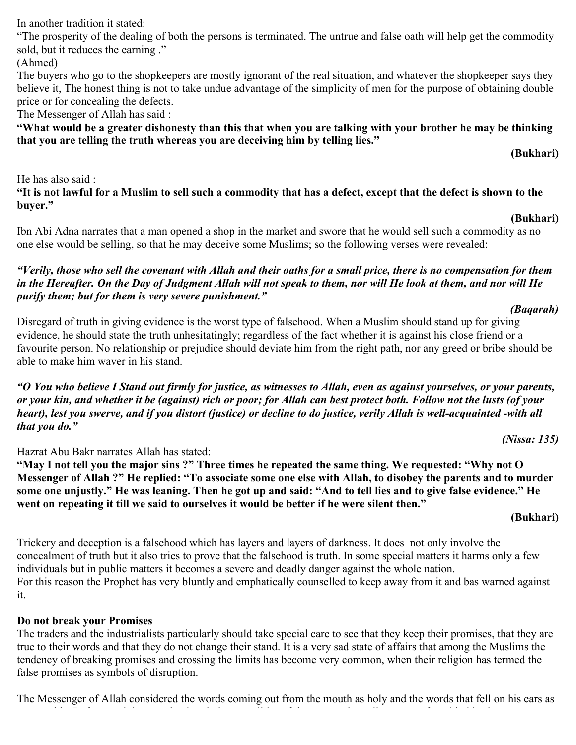In another tradition it stated: "The prosperity of the dealing of both the persons is terminated. The untrue and false oath will help get the commodity sold, but it reduces the earning ."

(Ahmed)

The buyers who go to the shopkeepers are mostly ignorant of the real situation, and whatever the shopkeeper says they believe it, The honest thing is not to take undue advantage of the simplicity of men for the purpose of obtaining double price or for concealing the defects.

The Messenger of Allah has said :

**"What would be a greater dishonesty than this that when you are talking with your brother he may be thinking that you are telling the truth whereas you are deceiving him by telling lies."**

**(Bukhari)**

**(Bukhari)**

He has also said : **"It is not lawful for a Muslim to sell such a commodity that has a defect, except that the defect is shown to the buyer."**

Ibn Abi Adna narrates that a man opened a shop in the market and swore that he would sell such a commodity as no one else would be selling, so that he may deceive some Muslims; so the following verses were revealed:

## *"Verily, those who sell the covenant with Allah and their oaths for a small price, there is no compensation for them in the Hereafter. On the Day of Judgment Allah will not speak to them, nor will He look at them, and nor will He purify them; but for them is very severe punishment."*

*(Baqarah)* Disregard of truth in giving evidence is the worst type of falsehood. When a Muslim should stand up for giving evidence, he should state the truth unhesitatingly; regardless of the fact whether it is against his close friend or a favourite person. No relationship or prejudice should deviate him from the right path, nor any greed or bribe should be able to make him waver in his stand.

*"O You who believe I Stand out firmly for justice, as witnesses to Allah, even as against yourselves, or your parents, or your kin, and whether it be (against) rich or poor; for Allah can best protect both. Follow not the lusts (of your heart), lest you swerve, and if you distort (justice) or decline to do justice, verily Allah is well-acquainted -with all that you do."*

Hazrat Abu Bakr narrates Allah has stated:

**"May I not tell you the major sins ?" Three times he repeated the same thing. We requested: "Why not O Messenger of Allah ?" He replied: "To associate some one else with Allah, to disobey the parents and to murder some one unjustly." He was leaning. Then he got up and said: "And to tell lies and to give false evidence." He went on repeating it till we said to ourselves it would be better if he were silent then."**

## **(Bukhari)**

*(Nissa: 135)*

Trickery and deception is a falsehood which has layers and layers of darkness. It does not only involve the concealment of truth but it also tries to prove that the falsehood is truth. In some special matters it harms only a few individuals but in public matters it becomes a severe and deadly danger against the whole nation. For this reason the Prophet has very bluntly and emphatically counselled to keep away from it and bas warned against it.

## **Do not break your Promises**

The traders and the industrialists particularly should take special care to see that they keep their promises, that they are true to their words and that they do not change their stand. It is a very sad state of affairs that among the Muslims the tendency of breaking promises and crossing the limits has become very common, when their religion has termed the false promises as symbols of disruption.

The Messenger of Allah considered the words coming out from the mouth as holy and the words that fell on his ears as respectable. Before attaining prophet hood, these qualities of decency and manliness were found in his character.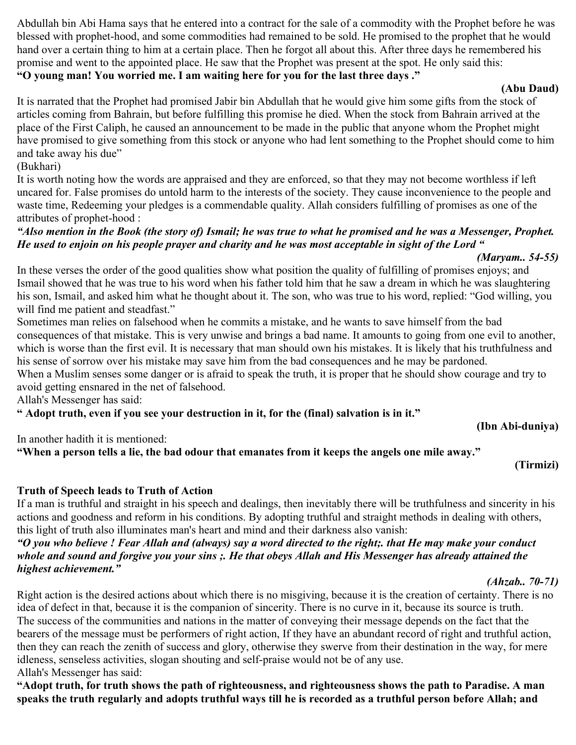Abdullah bin Abi Hama says that he entered into a contract for the sale of a commodity with the Prophet before he was blessed with prophet-hood, and some commodities had remained to be sold. He promised to the prophet that he would hand over a certain thing to him at a certain place. Then he forgot all about this. After three days he remembered his promise and went to the appointed place. He saw that the Prophet was present at the spot. He only said this: **"O young man! You worried me. I am waiting here for you for the last three days ."**

## **(Abu Daud)**

It is narrated that the Prophet had promised Jabir bin Abdullah that he would give him some gifts from the stock of articles coming from Bahrain, but before fulfilling this promise he died. When the stock from Bahrain arrived at the place of the First Caliph, he caused an announcement to be made in the public that anyone whom the Prophet might have promised to give something from this stock or anyone who had lent something to the Prophet should come to him and take away his due"

(Bukhari)

It is worth noting how the words are appraised and they are enforced, so that they may not become worthless if left uncared for. False promises do untold harm to the interests of the society. They cause inconvenience to the people and waste time, Redeeming your pledges is a commendable quality. Allah considers fulfilling of promises as one of the attributes of prophet-hood :

## *"Also mention in the Book (the story of) Ismail; he was true to what he promised and he was a Messenger, Prophet. He used to enjoin on his people prayer and charity and he was most acceptable in sight of the Lord "*

## *(Maryam.. 54-55)*

In these verses the order of the good qualities show what position the quality of fulfilling of promises enjoys; and Ismail showed that he was true to his word when his father told him that he saw a dream in which he was slaughtering his son, Ismail, and asked him what he thought about it. The son, who was true to his word, replied: "God willing, you will find me patient and steadfast."

Sometimes man relies on falsehood when he commits a mistake, and he wants to save himself from the bad consequences of that mistake. This is very unwise and brings a bad name. It amounts to going from one evil to another, which is worse than the first evil. It is necessary that man should own his mistakes. It is likely that his truthfulness and his sense of sorrow over his mistake may save him from the bad consequences and he may be pardoned.

When a Muslim senses some danger or is afraid to speak the truth, it is proper that he should show courage and try to avoid getting ensnared in the net of falsehood.

Allah's Messenger has said:

**" Adopt truth, even if you see your destruction in it, for the (final) salvation is in it."**

In another hadith it is mentioned:

**"When a person tells a lie, the bad odour that emanates from it keeps the angels one mile away."**

**(Tirmizi)**

**(Ibn Abi-duniya)**

## **Truth of Speech leads to Truth of Action**

If a man is truthful and straight in his speech and dealings, then inevitably there will be truthfulness and sincerity in his actions and goodness and reform in his conditions. By adopting truthful and straight methods in dealing with others, this light of truth also illuminates man's heart and mind and their darkness also vanish:

## *"O you who believe ! Fear Allah and (always) say a word directed to the right;. that He may make your conduct whole and sound and forgive you your sins ;. He that obeys Allah and His Messenger has already attained the highest achievement."*

*(Ahzab.. 70-71)*

Right action is the desired actions about which there is no misgiving, because it is the creation of certainty. There is no idea of defect in that, because it is the companion of sincerity. There is no curve in it, because its source is truth. The success of the communities and nations in the matter of conveying their message depends on the fact that the bearers of the message must be performers of right action, If they have an abundant record of right and truthful action, then they can reach the zenith of success and glory, otherwise they swerve from their destination in the way, for mere idleness, senseless activities, slogan shouting and self-praise would not be of any use.

Allah's Messenger has said:

**"Adopt truth, for truth shows the path of righteousness, and righteousness shows the path to Paradise. A man speaks the truth regularly and adopts truthful ways till he is recorded as a truthful person before Allah; and**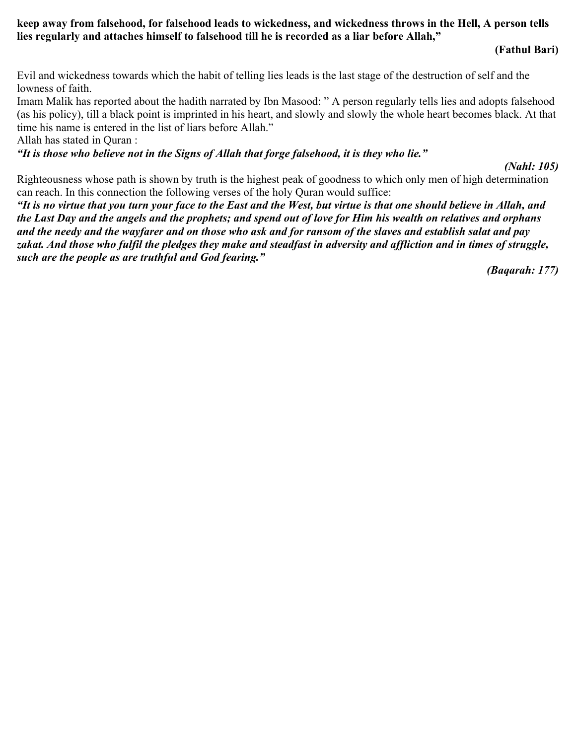#### **keep away from falsehood, for falsehood leads to wickedness, and wickedness throws in the Hell, A person tells lies regularly and attaches himself to falsehood till he is recorded as a liar before Allah,"**

**(Fathul Bari)**

Evil and wickedness towards which the habit of telling lies leads is the last stage of the destruction of self and the lowness of faith.

Imam Malik has reported about the hadith narrated by Ibn Masood: " A person regularly tells lies and adopts falsehood (as his policy), till a black point is imprinted in his heart, and slowly and slowly the whole heart becomes black. At that time his name is entered in the list of liars before Allah."

Allah has stated in Quran :

*"It is those who believe not in the Signs of Allah that forge falsehood, it is they who lie."*

*(Nahl: 105)*

Righteousness whose path is shown by truth is the highest peak of goodness to which only men of high determination can reach. In this connection the following verses of the holy Quran would suffice:

*"It is no virtue that you turn your face to the East and the West, but virtue is that one should believe in Allah, and the Last Day and the angels and the prophets; and spend out of love for Him his wealth on relatives and orphans and the needy and the wayfarer and on those who ask and for ransom of the slaves and establish salat and pay zakat. And those who fulfil the pledges they make and steadfast in adversity and affliction and in times of struggle, such are the people as are truthful and God fearing."*

*(Baqarah: 177)*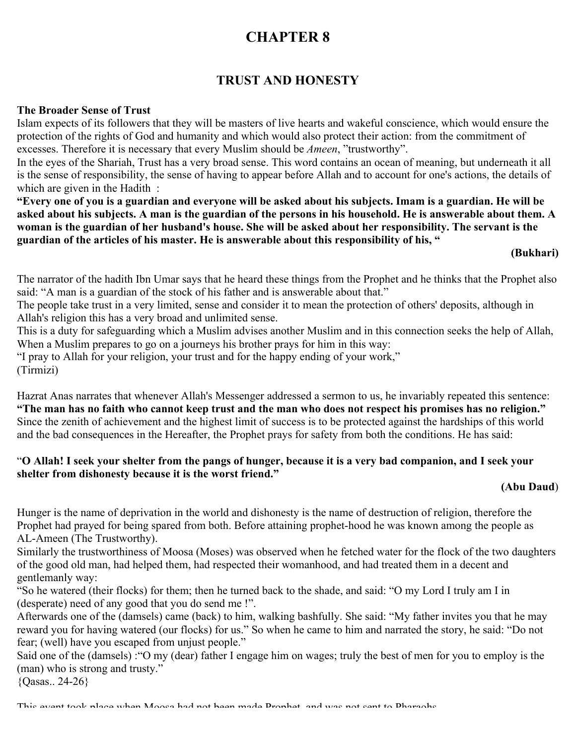## **TRUST AND HONESTY**

### **The Broader Sense of Trust**

Islam expects of its followers that they will be masters of live hearts and wakeful conscience, which would ensure the protection of the rights of God and humanity and which would also protect their action: from the commitment of excesses. Therefore it is necessary that every Muslim should be *Ameen*, "trustworthy".

In the eyes of the Shariah, Trust has a very broad sense. This word contains an ocean of meaning, but underneath it all is the sense of responsibility, the sense of having to appear before Allah and to account for one's actions, the details of which are given in the Hadith:

**"Every one of you is a guardian and everyone will be asked about his subjects. Imam is a guardian. He will be asked about his subjects. A man is the guardian of the persons in his household. He is answerable about them. A woman is the guardian of her husband's house. She will be asked about her responsibility. The servant is the guardian of the articles of his master. He is answerable about this responsibility of his, "**

#### **(Bukhari)**

The narrator of the hadith Ibn Umar says that he heard these things from the Prophet and he thinks that the Prophet also said: "A man is a guardian of the stock of his father and is answerable about that."

The people take trust in a very limited, sense and consider it to mean the protection of others' deposits, although in Allah's religion this has a very broad and unlimited sense.

This is a duty for safeguarding which a Muslim advises another Muslim and in this connection seeks the help of Allah, When a Muslim prepares to go on a journeys his brother prays for him in this way:

"I pray to Allah for your religion, your trust and for the happy ending of your work," (Tirmizi)

Hazrat Anas narrates that whenever Allah's Messenger addressed a sermon to us, he invariably repeated this sentence: **"The man has no faith who cannot keep trust and the man who does not respect his promises has no religion."** Since the zenith of achievement and the highest limit of success is to be protected against the hardships of this world and the bad consequences in the Hereafter, the Prophet prays for safety from both the conditions. He has said:

## "**O Allah! I seek your shelter from the pangs of hunger, because it is a very bad companion, and I seek your shelter from dishonesty because it is the worst friend."**

#### **(Abu Daud**)

Hunger is the name of deprivation in the world and dishonesty is the name of destruction of religion, therefore the Prophet had prayed for being spared from both. Before attaining prophet-hood he was known among the people as AL-Ameen (The Trustworthy).

Similarly the trustworthiness of Moosa (Moses) was observed when he fetched water for the flock of the two daughters of the good old man, had helped them, had respected their womanhood, and had treated them in a decent and gentlemanly way:

"So he watered (their flocks) for them; then he turned back to the shade, and said: "O my Lord I truly am I in (desperate) need of any good that you do send me !".

Afterwards one of the (damsels) came (back) to him, walking bashfully. She said: "My father invites you that he may reward you for having watered (our flocks) for us." So when he came to him and narrated the story, he said: "Do not fear; (well) have you escaped from unjust people."

Said one of the (damsels) :"O my (dear) father I engage him on wages; truly the best of men for you to employ is the (man) who is strong and trusty."

{Qasas.. 24-26}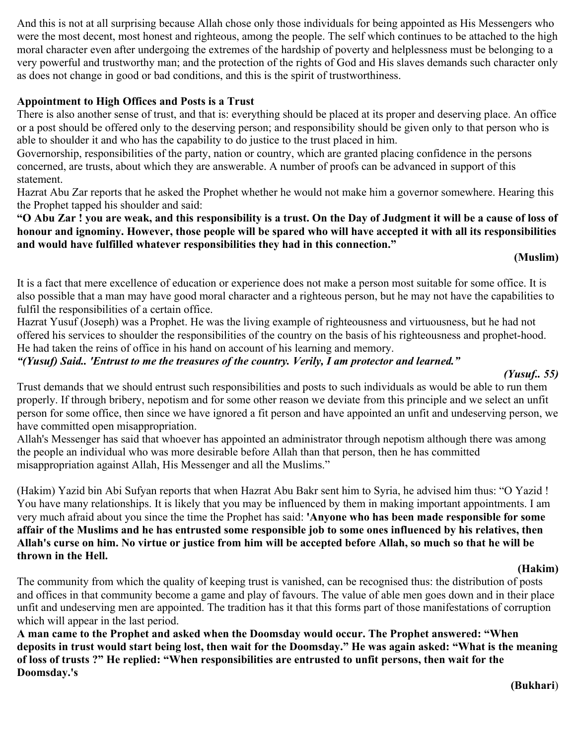And this is not at all surprising because Allah chose only those individuals for being appointed as His Messengers who were the most decent, most honest and righteous, among the people. The self which continues to be attached to the high moral character even after undergoing the extremes of the hardship of poverty and helplessness must be belonging to a very powerful and trustworthy man; and the protection of the rights of God and His slaves demands such character only as does not change in good or bad conditions, and this is the spirit of trustworthiness.

## **Appointment to High Offices and Posts is a Trust**

There is also another sense of trust, and that is: everything should be placed at its proper and deserving place. An office or a post should be offered only to the deserving person; and responsibility should be given only to that person who is able to shoulder it and who has the capability to do justice to the trust placed in him.

Governorship, responsibilities of the party, nation or country, which are granted placing confidence in the persons concerned, are trusts, about which they are answerable. A number of proofs can be advanced in support of this statement.

Hazrat Abu Zar reports that he asked the Prophet whether he would not make him a governor somewhere. Hearing this the Prophet tapped his shoulder and said:

**"O Abu Zar ! you are weak, and this responsibility is a trust. On the Day of Judgment it will be a cause of loss of honour and ignominy. However, those people will be spared who will have accepted it with all its responsibilities and would have fulfilled whatever responsibilities they had in this connection."**

## **(Muslim)**

It is a fact that mere excellence of education or experience does not make a person most suitable for some office. It is also possible that a man may have good moral character and a righteous person, but he may not have the capabilities to fulfil the responsibilities of a certain office.

Hazrat Yusuf (Joseph) was a Prophet. He was the living example of righteousness and virtuousness, but he had not offered his services to shoulder the responsibilities of the country on the basis of his righteousness and prophet-hood. He had taken the reins of office in his hand on account of his learning and memory.

## *"(Yusuf) Said.. 'Entrust to me the treasures of the country. Verily, I am protector and learned."*

Trust demands that we should entrust such responsibilities and posts to such individuals as would be able to run them properly. If through bribery, nepotism and for some other reason we deviate from this principle and we select an unfit person for some office, then since we have ignored a fit person and have appointed an unfit and undeserving person, we have committed open misappropriation.

Allah's Messenger has said that whoever has appointed an administrator through nepotism although there was among the people an individual who was more desirable before Allah than that person, then he has committed misappropriation against Allah, His Messenger and all the Muslims."

(Hakim) Yazid bin Abi Sufyan reports that when Hazrat Abu Bakr sent him to Syria, he advised him thus: "O Yazid ! You have many relationships. It is likely that you may be influenced by them in making important appointments. I am very much afraid about you since the time the Prophet has said: **'Anyone who has been made responsible for some affair of the Muslims and he has entrusted some responsible job to some ones influenced by his relatives, then Allah's curse on him. No virtue or justice from him will be accepted before Allah, so much so that he will be thrown in the Hell.**

## **(Hakim)**

The community from which the quality of keeping trust is vanished, can be recognised thus: the distribution of posts and offices in that community become a game and play of favours. The value of able men goes down and in their place unfit and undeserving men are appointed. The tradition has it that this forms part of those manifestations of corruption which will appear in the last period.

**A man came to the Prophet and asked when the Doomsday would occur. The Prophet answered: "When deposits in trust would start being lost, then wait for the Doomsday." He was again asked: "What is the meaning of loss of trusts ?" He replied: "When responsibilities are entrusted to unfit persons, then wait for the Doomsday.'s**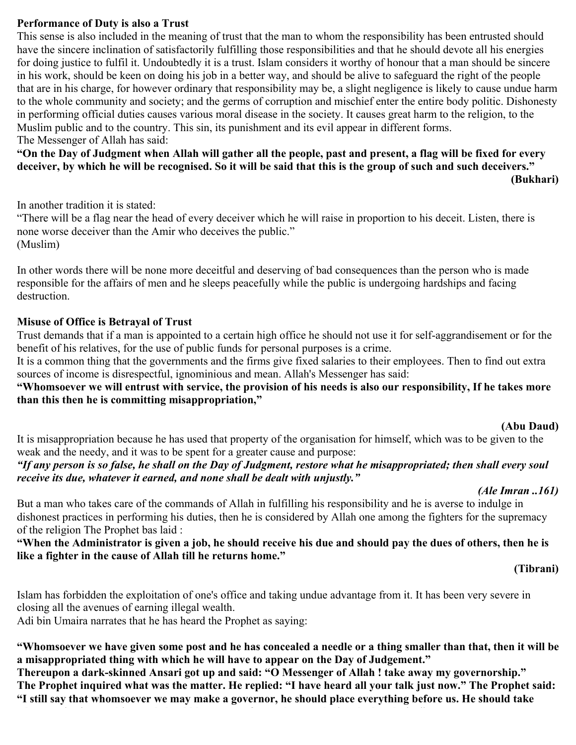## **Performance of Duty is also a Trust**

This sense is also included in the meaning of trust that the man to whom the responsibility has been entrusted should have the sincere inclination of satisfactorily fulfilling those responsibilities and that he should devote all his energies for doing justice to fulfil it. Undoubtedly it is a trust. Islam considers it worthy of honour that a man should be sincere in his work, should be keen on doing his job in a better way, and should be alive to safeguard the right of the people that are in his charge, for however ordinary that responsibility may be, a slight negligence is likely to cause undue harm to the whole community and society; and the germs of corruption and mischief enter the entire body politic. Dishonesty in performing official duties causes various moral disease in the society. It causes great harm to the religion, to the Muslim public and to the country. This sin, its punishment and its evil appear in different forms. The Messenger of Allah has said:

**"On the Day of Judgment when Allah will gather all the people, past and present, a flag will be fixed for every deceiver, by which he will be recognised. So it will be said that this is the group of such and such deceivers."**

**(Bukhari)**

In another tradition it is stated:

"There will be a flag near the head of every deceiver which he will raise in proportion to his deceit. Listen, there is none worse deceiver than the Amir who deceives the public." (Muslim)

In other words there will be none more deceitful and deserving of bad consequences than the person who is made responsible for the affairs of men and he sleeps peacefully while the public is undergoing hardships and facing destruction.

## **Misuse of Office is Betrayal of Trust**

Trust demands that if a man is appointed to a certain high office he should not use it for self-aggrandisement or for the benefit of his relatives, for the use of public funds for personal purposes is a crime.

It is a common thing that the governments and the firms give fixed salaries to their employees. Then to find out extra sources of income is disrespectful, ignominious and mean. Allah's Messenger has said:

**"Whomsoever we will entrust with service, the provision of his needs is also our responsibility, If he takes more than this then he is committing misappropriation,"**

#### **(Abu Daud)**

It is misappropriation because he has used that property of the organisation for himself, which was to be given to the weak and the needy, and it was to be spent for a greater cause and purpose:

## *"If any person is so false, he shall on the Day of Judgment, restore what he misappropriated; then shall every soul receive its due, whatever it earned, and none shall be dealt with unjustly."*

#### *(Ale Imran ..161)*

But a man who takes care of the commands of Allah in fulfilling his responsibility and he is averse to indulge in dishonest practices in performing his duties, then he is considered by Allah one among the fighters for the supremacy of the religion The Prophet bas laid :

**"When the Administrator is given a job, he should receive his due and should pay the dues of others, then he is like a fighter in the cause of Allah till he returns home."**

**(Tibrani)**

Islam has forbidden the exploitation of one's office and taking undue advantage from it. It has been very severe in closing all the avenues of earning illegal wealth.

Adi bin Umaira narrates that he has heard the Prophet as saying:

**"Whomsoever we have given some post and he has concealed a needle or a thing smaller than that, then it will be a misappropriated thing with which he will have to appear on the Day of Judgement."**

**Thereupon a dark-skinned Ansari got up and said: "O Messenger of Allah ! take away my governorship." The Prophet inquired what was the matter. He replied: "I have heard all your talk just now." The Prophet said: "I still say that whomsoever we may make a governor, he should place everything before us. He should take**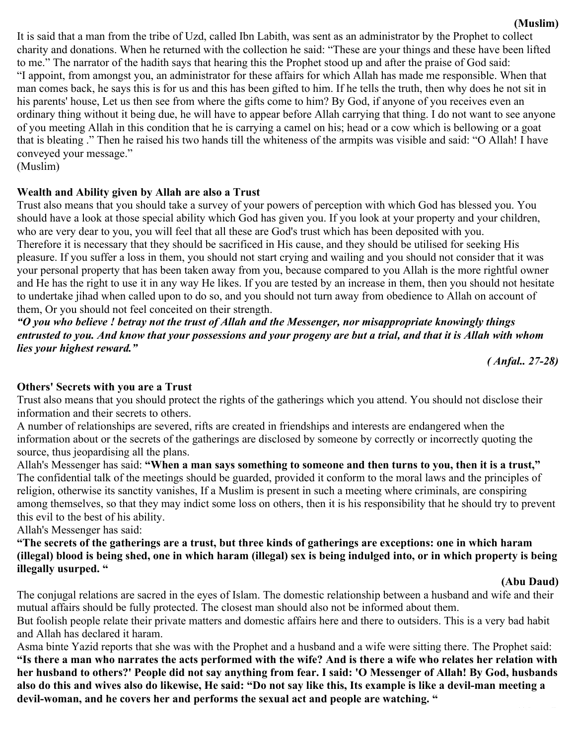It is said that a man from the tribe of Uzd, called Ibn Labith, was sent as an administrator by the Prophet to collect charity and donations. When he returned with the collection he said: "These are your things and these have been lifted to me." The narrator of the hadith says that hearing this the Prophet stood up and after the praise of God said: "I appoint, from amongst you, an administrator for these affairs for which Allah has made me responsible. When that man comes back, he says this is for us and this has been gifted to him. If he tells the truth, then why does he not sit in his parents' house, Let us then see from where the gifts come to him? By God, if anyone of you receives even an ordinary thing without it being due, he will have to appear before Allah carrying that thing. I do not want to see anyone of you meeting Allah in this condition that he is carrying a camel on his; head or a cow which is bellowing or a goat that is bleating ." Then he raised his two hands till the whiteness of the armpits was visible and said: "O Allah! I have conveyed your message."

(Muslim)

## **Wealth and Ability given by Allah are also a Trust**

Trust also means that you should take a survey of your powers of perception with which God has blessed you. You should have a look at those special ability which God has given you. If you look at your property and your children, who are very dear to you, you will feel that all these are God's trust which has been deposited with you. Therefore it is necessary that they should be sacrificed in His cause, and they should be utilised for seeking His pleasure. If you suffer a loss in them, you should not start crying and wailing and you should not consider that it was your personal property that has been taken away from you, because compared to you Allah is the more rightful owner and He has the right to use it in any way He likes. If you are tested by an increase in them, then you should not hesitate to undertake jihad when called upon to do so, and you should not turn away from obedience to Allah on account of them, Or you should not feel conceited on their strength.

*"O you who believe ! betray not the trust of Allah and the Messenger, nor misappropriate knowingly things entrusted to you. And know that your possessions and your progeny are but a trial, and that it is Allah with whom lies your highest reward."*

*( Anfal.. 27-28)*

## **Others' Secrets with you are a Trust**

Trust also means that you should protect the rights of the gatherings which you attend. You should not disclose their information and their secrets to others.

A number of relationships are severed, rifts are created in friendships and interests are endangered when the information about or the secrets of the gatherings are disclosed by someone by correctly or incorrectly quoting the source, thus jeopardising all the plans.

Allah's Messenger has said: **"When a man says something to someone and then turns to you, then it is a trust,"** The confidential talk of the meetings should be guarded, provided it conform to the moral laws and the principles of religion, otherwise its sanctity vanishes, If a Muslim is present in such a meeting where criminals, are conspiring among themselves, so that they may indict some loss on others, then it is his responsibility that he should try to prevent this evil to the best of his ability.

Allah's Messenger has said:

### **"The secrets of the gatherings are a trust, but three kinds of gatherings are exceptions: one in which haram (illegal) blood is being shed, one in which haram (illegal) sex is being indulged into, or in which property is being illegally usurped. "**

#### **(Abu Daud)**

The conjugal relations are sacred in the eyes of Islam. The domestic relationship between a husband and wife and their mutual affairs should be fully protected. The closest man should also not be informed about them.

But foolish people relate their private matters and domestic affairs here and there to outsiders. This is a very bad habit and Allah has declared it haram.

Asma binte Yazid reports that she was with the Prophet and a husband and a wife were sitting there. The Prophet said: **"Is there a man who narrates the acts performed with the wife? And is there a wife who relates her relation with her husband to others?' People did not say anything from fear. I said: 'O Messenger of Allah! By God, husbands also do this and wives also do likewise, He said: "Do not say like this, Its example is like a devil-man meeting a devil-woman, and he covers her and performs the sexual act and people are watching. "**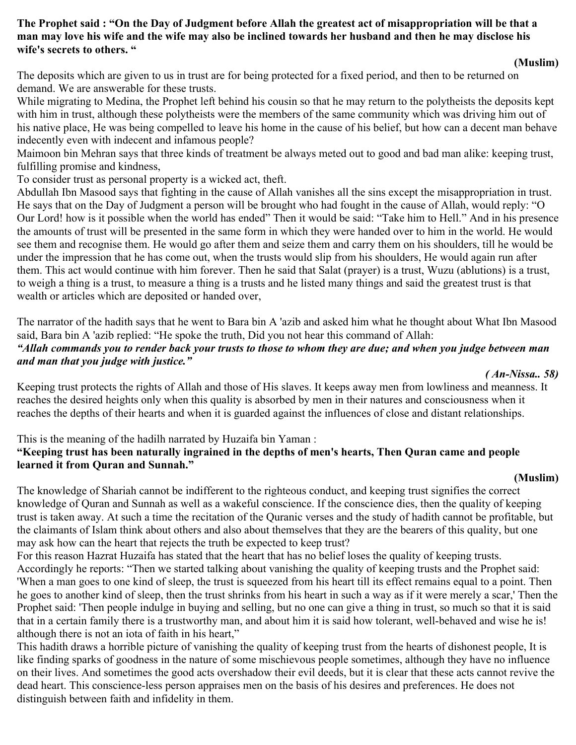### **The Prophet said : "On the Day of Judgment before Allah the greatest act of misappropriation will be that a man may love his wife and the wife may also be inclined towards her husband and then he may disclose his wife's secrets to others. "**

The deposits which are given to us in trust are for being protected for a fixed period, and then to be returned on demand. We are answerable for these trusts.

While migrating to Medina, the Prophet left behind his cousin so that he may return to the polytheists the deposits kept with him in trust, although these polytheists were the members of the same community which was driving him out of his native place, He was being compelled to leave his home in the cause of his belief, but how can a decent man behave indecently even with indecent and infamous people?

Maimoon bin Mehran says that three kinds of treatment be always meted out to good and bad man alike: keeping trust, fulfilling promise and kindness,

To consider trust as personal property is a wicked act, theft.

Abdullah Ibn Masood says that fighting in the cause of Allah vanishes all the sins except the misappropriation in trust. He says that on the Day of Judgment a person will be brought who had fought in the cause of Allah, would reply: "O Our Lord! how is it possible when the world has ended" Then it would be said: "Take him to Hell." And in his presence the amounts of trust will be presented in the same form in which they were handed over to him in the world. He would see them and recognise them. He would go after them and seize them and carry them on his shoulders, till he would be under the impression that he has come out, when the trusts would slip from his shoulders, He would again run after them. This act would continue with him forever. Then he said that Salat (prayer) is a trust, Wuzu (ablutions) is a trust, to weigh a thing is a trust, to measure a thing is a trusts and he listed many things and said the greatest trust is that wealth or articles which are deposited or handed over,

The narrator of the hadith says that he went to Bara bin A 'azib and asked him what he thought about What Ibn Masood said, Bara bin A 'azib replied: "He spoke the truth, Did you not hear this command of Allah: *"Allah commands you to render back your trusts to those to whom they are due; and when you judge between man and man that you judge with justice."*

*( An-Nissa.. 58)*

Keeping trust protects the rights of Allah and those of His slaves. It keeps away men from lowliness and meanness. It reaches the desired heights only when this quality is absorbed by men in their natures and consciousness when it reaches the depths of their hearts and when it is guarded against the influences of close and distant relationships.

This is the meaning of the hadilh narrated by Huzaifa bin Yaman :

## **"Keeping trust has been naturally ingrained in the depths of men's hearts, Then Quran came and people learned it from Quran and Sunnah."**

## **(Muslim)**

The knowledge of Shariah cannot be indifferent to the righteous conduct, and keeping trust signifies the correct knowledge of Quran and Sunnah as well as a wakeful conscience. If the conscience dies, then the quality of keeping trust is taken away. At such a time the recitation of the Quranic verses and the study of hadith cannot be profitable, but the claimants of Islam think about others and also about themselves that they are the bearers of this quality, but one may ask how can the heart that rejects the truth be expected to keep trust?

For this reason Hazrat Huzaifa has stated that the heart that has no belief loses the quality of keeping trusts. Accordingly he reports: "Then we started talking about vanishing the quality of keeping trusts and the Prophet said: 'When a man goes to one kind of sleep, the trust is squeezed from his heart till its effect remains equal to a point. Then he goes to another kind of sleep, then the trust shrinks from his heart in such a way as if it were merely a scar,' Then the Prophet said: 'Then people indulge in buying and selling, but no one can give a thing in trust, so much so that it is said that in a certain family there is a trustworthy man, and about him it is said how tolerant, well-behaved and wise he is! although there is not an iota of faith in his heart,"

This hadith draws a horrible picture of vanishing the quality of keeping trust from the hearts of dishonest people, It is like finding sparks of goodness in the nature of some mischievous people sometimes, although they have no influence on their lives. And sometimes the good acts overshadow their evil deeds, but it is clear that these acts cannot revive the dead heart. This conscience-less person appraises men on the basis of his desires and preferences. He does not distinguish between faith and infidelity in them.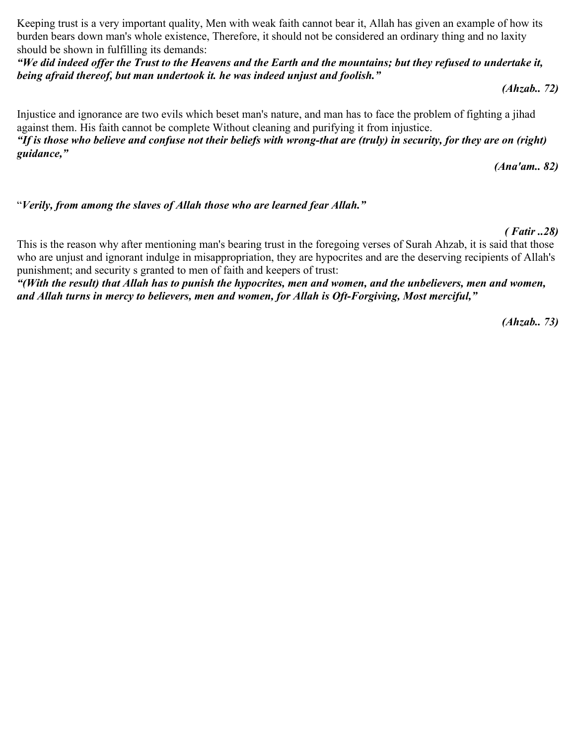Keeping trust is a very important quality, Men with weak faith cannot bear it, Allah has given an example of how its burden bears down man's whole existence, Therefore, it should not be considered an ordinary thing and no laxity should be shown in fulfilling its demands:

*"We did indeed offer the Trust to the Heavens and the Earth and the mountains; but they refused to undertake it, being afraid thereof, but man undertook it. he was indeed unjust and foolish."*

*(Ahzab.. 72)*

Injustice and ignorance are two evils which beset man's nature, and man has to face the problem of fighting a jihad against them. His faith cannot be complete Without cleaning and purifying it from injustice. *"If is those who believe and confuse not their beliefs with wrong-that are (truly) in security, for they are on (right) guidance,"*

*(Ana'am.. 82)*

## "*Verily, from among the slaves of Allah those who are learned fear Allah."*

*( Fatir ..28)*

This is the reason why after mentioning man's bearing trust in the foregoing verses of Surah Ahzab, it is said that those who are unjust and ignorant indulge in misappropriation, they are hypocrites and are the deserving recipients of Allah's punishment; and security s granted to men of faith and keepers of trust:

*"(With the result) that Allah has to punish the hypocrites, men and women, and the unbelievers, men and women, and Allah turns in mercy to believers, men and women, for Allah is Oft-Forgiving, Most merciful,"*

*(Ahzab.. 73)*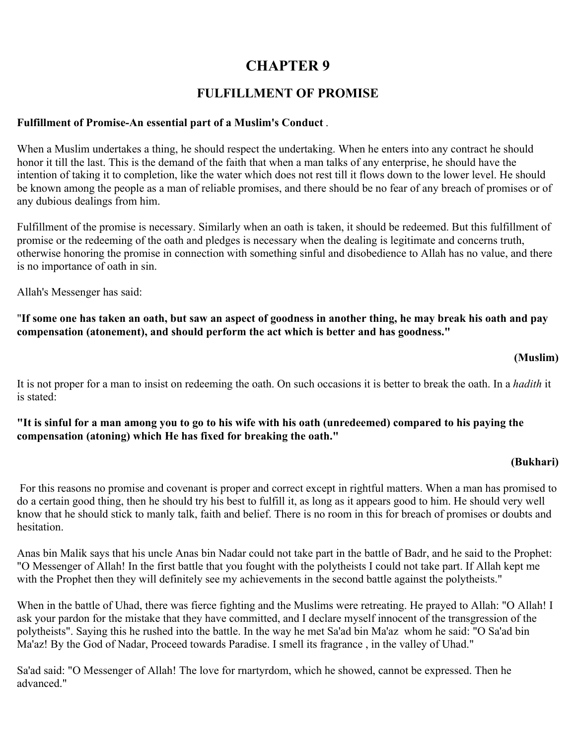## **FULFILLMENT OF PROMISE**

## **Fulfillment of Promise-An essential part of a Muslim's Conduct** .

When a Muslim undertakes a thing, he should respect the undertaking. When he enters into any contract he should honor it till the last. This is the demand of the faith that when a man talks of any enterprise, he should have the intention of taking it to completion, like the water which does not rest till it flows down to the lower level. He should be known among the people as a man of reliable promises, and there should be no fear of any breach of promises or of any dubious dealings from him.

Fulfillment of the promise is necessary. Similarly when an oath is taken, it should be redeemed. But this fulfillment of promise or the redeeming of the oath and pledges is necessary when the dealing is legitimate and concerns truth, otherwise honoring the promise in connection with something sinful and disobedience to Allah has no value, and there is no importance of oath in sin.

Allah's Messenger has said:

"**If some one has taken an oath, but saw an aspect of goodness in another thing, he may break his oath and pay compensation (atonement), and should perform the act which is better and has goodness."**

#### **(Muslim)**

It is not proper for a man to insist on redeeming the oath. On such occasions it is better to break the oath. In a *hadith* it is stated:

## **"It is sinful for a man among you to go to his wife with his oath (unredeemed) compared to his paying the compensation (atoning) which He has fixed for breaking the oath."**

## **(Bukhari)**

 For this reasons no promise and covenant is proper and correct except in rightful matters. When a man has promised to do a certain good thing, then he should try his best to fulfill it, as long as it appears good to him. He should very well know that he should stick to manly talk, faith and belief. There is no room in this for breach of promises or doubts and hesitation.

Anas bin Malik says that his uncle Anas bin Nadar could not take part in the battle of Badr, and he said to the Prophet: "O Messenger of Allah! In the first battle that you fought with the polytheists I could not take part. If Allah kept me with the Prophet then they will definitely see my achievements in the second battle against the polytheists."

When in the battle of Uhad, there was fierce fighting and the Muslims were retreating. He prayed to Allah: "O Allah! I ask your pardon for the mistake that they have committed, and I declare myself innocent of the transgression of the polytheists". Saying this he rushed into the battle. In the way he met Sa'ad bin Ma'az whom he said: "O Sa'ad bin Ma'az! By the God of Nadar, Proceed towards Paradise. I smell its fragrance , in the valley of Uhad."

Sa'ad said: "O Messenger of Allah! The love for rnartyrdom, which he showed, cannot be expressed. Then he advanced."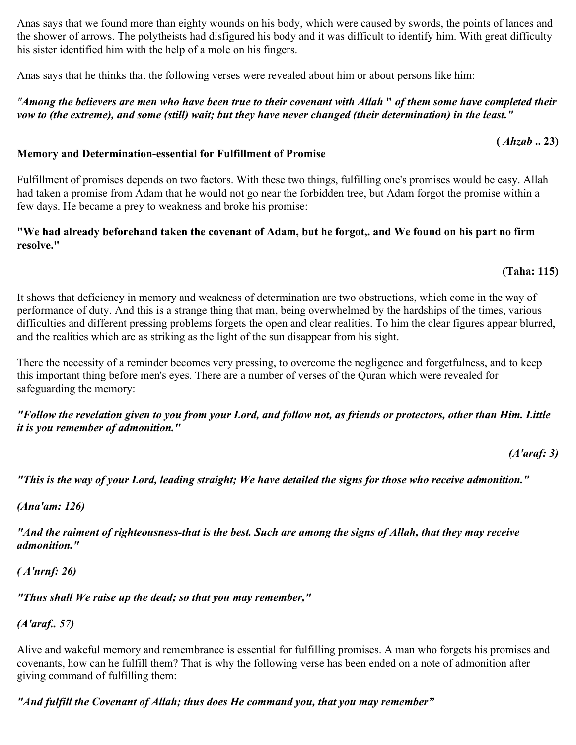Anas says that we found more than eighty wounds on his body, which were caused by swords, the points of lances and the shower of arrows. The polytheists had disfigured his body and it was difficult to identify him. With great difficulty his sister identified him with the help of a mole on his fingers.

Anas says that he thinks that the following verses were revealed about him or about persons like him:

## *"Among the believers are men who have been true to their covenant with Allah* **"** *of them some have completed their vow to (the extreme), and some (still) wait; but they have never changed (their determination) in the least."*

**(** *Ahzab* **.. 23)**

## **Memory and Determination-essential for Fulfillment of Promise**

Fulfillment of promises depends on two factors. With these two things, fulfilling one's promises would be easy. Allah had taken a promise from Adam that he would not go near the forbidden tree, but Adam forgot the promise within a few days. He became a prey to weakness and broke his promise:

## **"We had already beforehand taken the covenant of Adam, but he forgot,. and We found on his part no firm resolve."**

## **(Taha: 115)**

It shows that deficiency in memory and weakness of determination are two obstructions, which come in the way of performance of duty. And this is a strange thing that man, being overwhelmed by the hardships of the times, various difficulties and different pressing problems forgets the open and clear realities. To him the clear figures appear blurred, and the realities which are as striking as the light of the sun disappear from his sight.

There the necessity of a reminder becomes very pressing, to overcome the negligence and forgetfulness, and to keep this important thing before men's eyes. There are a number of verses of the Quran which were revealed for safeguarding the memory:

## *"Follow the revelation given to you from your Lord, and follow not, as friends or protectors, other than Him. Little it is you remember of admonition."*

*(A'araf: 3)*

*"This is the way of your Lord, leading straight; We have detailed the signs for those who receive admonition."*

*(Ana'am: 126)*

*"And the raiment of righteousness-that is the best. Such are among the signs of Allah, that they may receive admonition."*

*( A'nrnf: 26)*

*"Thus shall We raise up the dead; so that you may remember,"*

*(A'araf.. 57)*

Alive and wakeful memory and remembrance is essential for fulfilling promises. A man who forgets his promises and covenants, how can he fulfill them? That is why the following verse has been ended on a note of admonition after giving command of fulfilling them:

*"And fulfill the Covenant of Allah; thus does He command you, that you may remember"*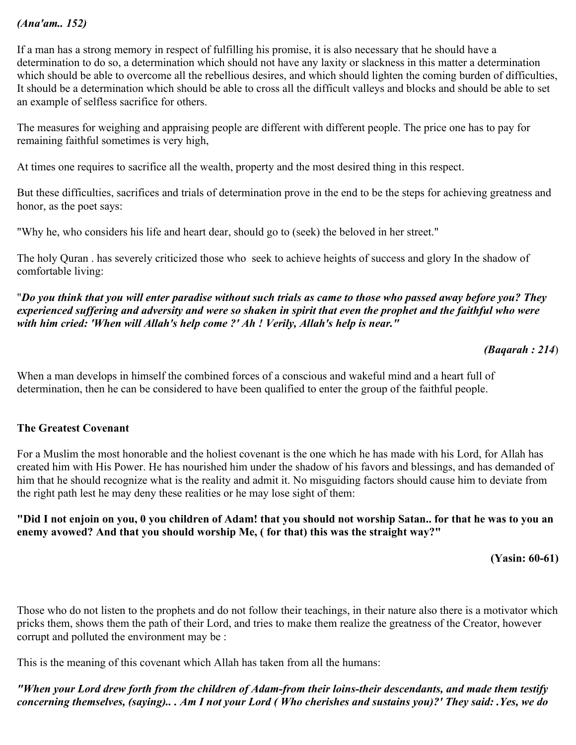## *(Ana'am.. 152)*

If a man has a strong memory in respect of fulfilling his promise, it is also necessary that he should have a determination to do so, a determination which should not have any laxity or slackness in this matter a determination which should be able to overcome all the rebellious desires, and which should lighten the coming burden of difficulties, It should be a determination which should be able to cross all the difficult valleys and blocks and should be able to set an example of selfless sacrifice for others.

The measures for weighing and appraising people are different with different people. The price one has to pay for remaining faithful sometimes is very high,

At times one requires to sacrifice all the wealth, property and the most desired thing in this respect.

But these difficulties, sacrifices and trials of determination prove in the end to be the steps for achieving greatness and honor, as the poet says:

"Why he, who considers his life and heart dear, should go to (seek) the beloved in her street."

The holy Quran . has severely criticized those who seek to achieve heights of success and glory In the shadow of comfortable living:

## "*Do you think that you will enter paradise without such trials as came to those who passed away before you? They experienced suffering and adversity and were so shaken in spirit that even the prophet and the faithful who were with him cried: 'When will Allah's help come ?' Ah ! Verily, Allah's help is near."*

## *(Baqarah : 214*)

When a man develops in himself the combined forces of a conscious and wakeful mind and a heart full of determination, then he can be considered to have been qualified to enter the group of the faithful people.

## **The Greatest Covenant**

For a Muslim the most honorable and the holiest covenant is the one which he has made with his Lord, for Allah has created him with His Power. He has nourished him under the shadow of his favors and blessings, and has demanded of him that he should recognize what is the reality and admit it. No misguiding factors should cause him to deviate from the right path lest he may deny these realities or he may lose sight of them:

**"Did I not enjoin on you, 0 you children of Adam! that you should not worship Satan.. for that he was to you an enemy avowed? And that you should worship Me, ( for that) this was the straight way?"**

**(Yasin: 60-61)**

Those who do not listen to the prophets and do not follow their teachings, in their nature also there is a motivator which pricks them, shows them the path of their Lord, and tries to make them realize the greatness of the Creator, however corrupt and polluted the environment may be :

This is the meaning of this covenant which Allah has taken from all the humans:

*"When your Lord drew forth from the children of Adam-from their loins-their descendants, and made them testify concerning themselves, (saying).. . Am I not your Lord ( Who cherishes and sustains you)?' They said: .Yes, we do*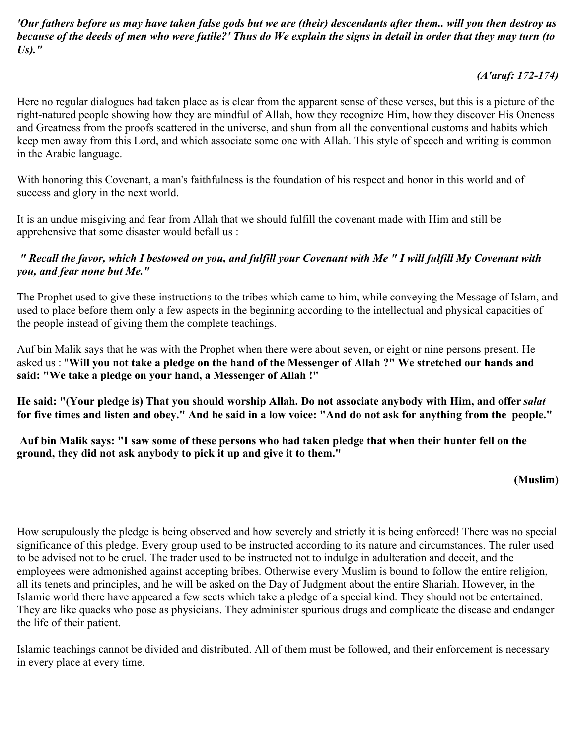*'Our fathers before us may have taken false gods but we are (their) descendants after them.. will you then destroy us because of the deeds of men who were futile?' Thus do We explain the signs in detail in order that they may turn (to Us)."*

## *(A'araf: 172-174)*

Here no regular dialogues had taken place as is clear from the apparent sense of these verses, but this is a picture of the right-natured people showing how they are mindful of Allah, how they recognize Him, how they discover His Oneness and Greatness from the proofs scattered in the universe, and shun from all the conventional customs and habits which keep men away from this Lord, and which associate some one with Allah. This style of speech and writing is common in the Arabic language.

With honoring this Covenant, a man's faithfulness is the foundation of his respect and honor in this world and of success and glory in the next world.

It is an undue misgiving and fear from Allah that we should fulfill the covenant made with Him and still be apprehensive that some disaster would befall us :

## *" Recall the favor, which I bestowed on you, and fulfill your Covenant with Me " I will fulfill My Covenant with you, and fear none but Me."*

The Prophet used to give these instructions to the tribes which came to him, while conveying the Message of Islam, and used to place before them only a few aspects in the beginning according to the intellectual and physical capacities of the people instead of giving them the complete teachings.

Auf bin Malik says that he was with the Prophet when there were about seven, or eight or nine persons present. He asked us : "**Will you not take a pledge on the hand of the Messenger of Allah ?" We stretched our hands and said: "We take a pledge on your hand, a Messenger of Allah !"**

**He said: "(Your pledge is) That you should worship Allah. Do not associate anybody with Him, and offer** *salat* **for five times and listen and obey." And he said in a low voice: "And do not ask for anything from the people."**

 **Auf bin Malik says: "I saw some of these persons who had taken pledge that when their hunter fell on the ground, they did not ask anybody to pick it up and give it to them."** 

## **(Muslim)**

How scrupulously the pledge is being observed and how severely and strictly it is being enforced! There was no special significance of this pledge. Every group used to be instructed according to its nature and circumstances. The ruler used to be advised not to be cruel. The trader used to be instructed not to indulge in adulteration and deceit, and the employees were admonished against accepting bribes. Otherwise every Muslim is bound to follow the entire religion, all its tenets and principles, and he will be asked on the Day of Judgment about the entire Shariah. However, in the Islamic world there have appeared a few sects which take a pledge of a special kind. They should not be entertained. They are like quacks who pose as physicians. They administer spurious drugs and complicate the disease and endanger the life of their patient.

Islamic teachings cannot be divided and distributed. All of them must be followed, and their enforcement is necessary in every place at every time.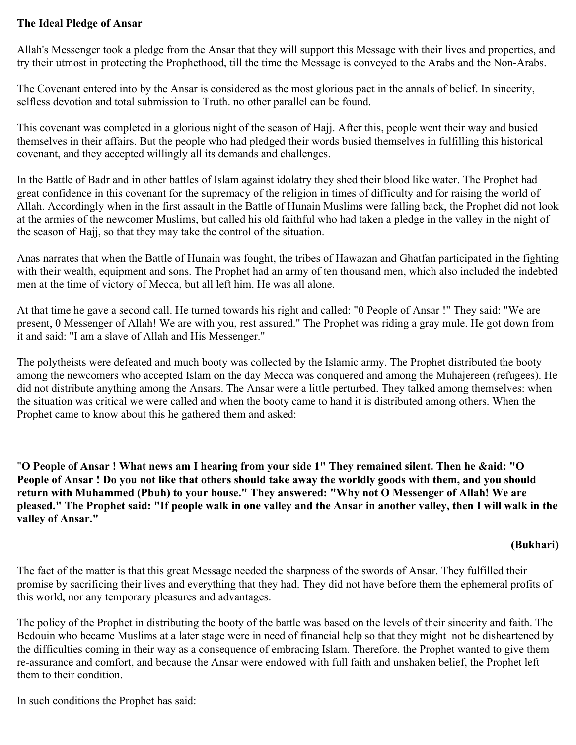## **The Ideal Pledge of Ansar**

Allah's Messenger took a pledge from the Ansar that they will support this Message with their lives and properties, and try their utmost in protecting the Prophethood, till the time the Message is conveyed to the Arabs and the Non-Arabs.

The Covenant entered into by the Ansar is considered as the most glorious pact in the annals of belief. In sincerity, selfless devotion and total submission to Truth. no other parallel can be found.

This covenant was completed in a glorious night of the season of Hajj. After this, people went their way and busied themselves in their affairs. But the people who had pledged their words busied themselves in fulfilling this historical covenant, and they accepted willingly all its demands and challenges.

In the Battle of Badr and in other battles of Islam against idolatry they shed their blood like water. The Prophet had great confidence in this covenant for the supremacy of the religion in times of difficulty and for raising the world of Allah. Accordingly when in the first assault in the Battle of Hunain Muslims were falling back, the Prophet did not look at the armies of the newcomer Muslims, but called his old faithful who had taken a pledge in the valley in the night of the season of Hajj, so that they may take the control of the situation.

Anas narrates that when the Battle of Hunain was fought, the tribes of Hawazan and Ghatfan participated in the fighting with their wealth, equipment and sons. The Prophet had an army of ten thousand men, which also included the indebted men at the time of victory of Mecca, but all left him. He was all alone.

At that time he gave a second call. He turned towards his right and called: "0 People of Ansar !" They said: "We are present, 0 Messenger of Allah! We are with you, rest assured." The Prophet was riding a gray mule. He got down from it and said: "I am a slave of Allah and His Messenger."

The polytheists were defeated and much booty was collected by the Islamic army. The Prophet distributed the booty among the newcomers who accepted Islam on the day Mecca was conquered and among the Muhajereen (refugees). He did not distribute anything among the Ansars. The Ansar were a little perturbed. They talked among themselves: when the situation was critical we were called and when the booty came to hand it is distributed among others. When the Prophet came to know about this he gathered them and asked:

"**O People of Ansar ! What news am I hearing from your side 1" They remained silent. Then he &aid: "O People of Ansar ! Do you not like that others should take away the worldly goods with them, and you should return with Muhammed (Pbuh) to your house." They answered: "Why not O Messenger of Allah! We are pleased." The Prophet said: "If people walk in one valley and the Ansar in another valley, then I will walk in the valley of Ansar."**

#### **(Bukhari)**

The fact of the matter is that this great Message needed the sharpness of the swords of Ansar. They fulfilled their promise by sacrificing their lives and everything that they had. They did not have before them the ephemeral profits of this world, nor any temporary pleasures and advantages.

The policy of the Prophet in distributing the booty of the battle was based on the levels of their sincerity and faith. The Bedouin who became Muslims at a later stage were in need of financial help so that they might not be disheartened by the difficulties coming in their way as a consequence of embracing Islam. Therefore. the Prophet wanted to give them re-assurance and comfort, and because the Ansar were endowed with full faith and unshaken belief, the Prophet left them to their condition.

In such conditions the Prophet has said: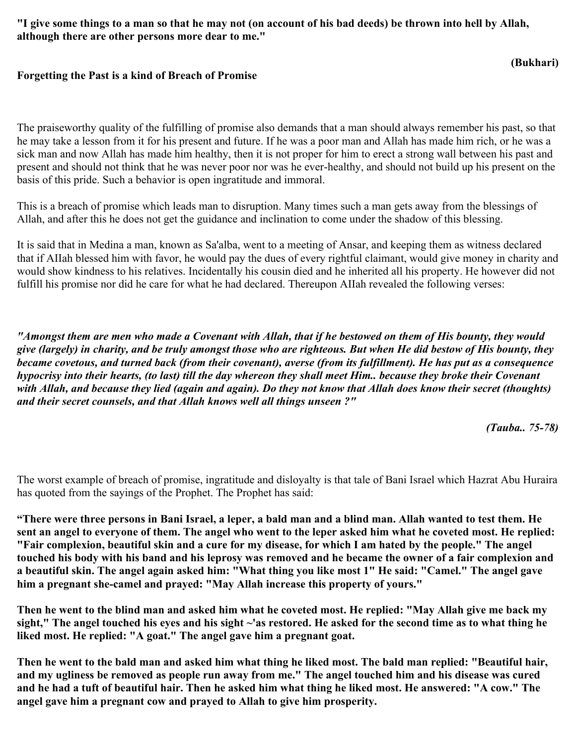## **"I give some things to a man so that he may not (on account of his bad deeds) be thrown into hell by Allah, although there are other persons more dear to me."**

## **Forgetting the Past is a kind of Breach of Promise**

The praiseworthy quality of the fulfilling of promise also demands that a man should always remember his past, so that he may take a lesson from it for his present and future. If he was a poor man and Allah has made him rich, or he was a sick man and now Allah has made him healthy, then it is not proper for him to erect a strong wall between his past and present and should not think that he was never poor nor was he ever-healthy, and should not build up his present on the basis of this pride. Such a behavior is open ingratitude and immoral.

This is a breach of promise which leads man to disruption. Many times such a man gets away from the blessings of Allah, and after this he does not get the guidance and inclination to come under the shadow of this blessing.

It is said that in Medina a man, known as Sa'alba, went to a meeting of Ansar, and keeping them as witness declared that if AIIah blessed him with favor, he would pay the dues of every rightful claimant, would give money in charity and would show kindness to his relatives. Incidentally his cousin died and he inherited all his property. He however did not fulfill his promise nor did he care for what he had declared. Thereupon AIIah revealed the following verses:

*"Amongst them are men who made a Covenant with Allah, that if he bestowed on them of His bounty, they would give (largely) in charity, and be truly amongst those who are righteous. But when He did bestow of His bounty, they became covetous, and turned back (from their covenant), averse (from its fulfillment). He has put as a consequence hypocrisy into their hearts, (to last) till the day whereon they shall meet Him.. because they broke their Covenant with Allah, and because they lied (again and again). Do they not know that Allah does know their secret (thoughts) and their secret counsels, and that Allah knows well all things unseen ?"*

*(Tauba.. 75-78)*

**(Bukhari)**

The worst example of breach of promise, ingratitude and disloyalty is that tale of Bani Israel which Hazrat Abu Huraira has quoted from the sayings of the Prophet. The Prophet has said:

**"There were three persons in Bani Israel, a leper, a bald man and a blind man. Allah wanted to test them. He sent an angel to everyone of them. The angel who went to the leper asked him what he coveted most. He replied: "Fair complexion, beautiful skin and a cure for my disease, for which I am hated by the people." The angel touched his body with his band and his leprosy was removed and he became the owner of a fair complexion and a beautiful skin. The angel again asked him: "What thing you like most 1" He said: "Camel." The angel gave him a pregnant she-camel and prayed: "May Allah increase this property of yours."**

**Then he went to the blind man and asked him what he coveted most. He replied: "May Allah give me back my sight," The angel touched his eyes and his sight ~'as restored. He asked for the second time as to what thing he liked most. He replied: "A goat." The angel gave him a pregnant goat.**

**Then he went to the bald man and asked him what thing he liked most. The bald man replied: "Beautiful hair, and my ugliness be removed as people run away from me." The angel touched him and his disease was cured and he had a tuft of beautiful hair. Then he asked him what thing he liked most. He answered: "A cow." The angel gave him a pregnant cow and prayed to Allah to give him prosperity.**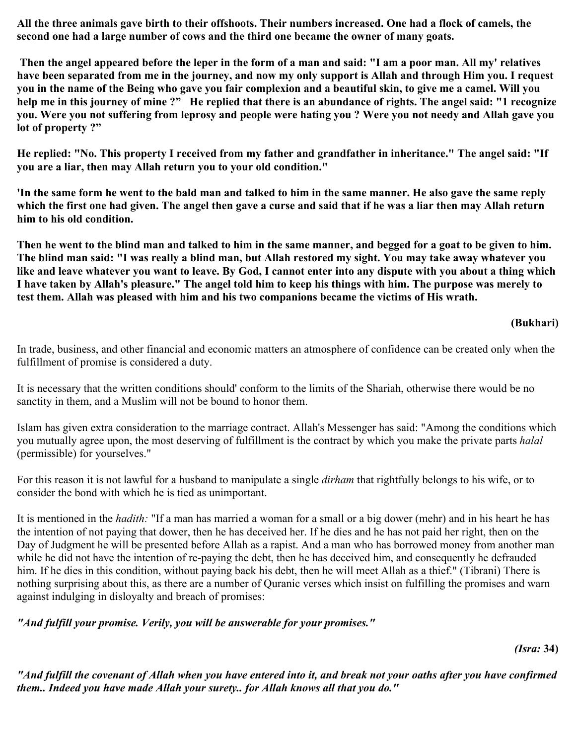**All the three animals gave birth to their offshoots. Their numbers increased. One had a flock of camels, the second one had a large number of cows and the third one became the owner of many goats.**

 **Then the angel appeared before the leper in the form of a man and said: "I am a poor man. All my' relatives have been separated from me in the journey, and now my only support is Allah and through Him you. I request you in the name of the Being who gave you fair complexion and a beautiful skin, to give me a camel. Will you help me in this journey of mine ?" He replied that there is an abundance of rights. The angel said: "1 recognize you. Were you not suffering from leprosy and people were hating you ? Were you not needy and Allah gave you lot of property ?"**

**He replied: "No. This property I received from my father and grandfather in inheritance." The angel said: "If you are a liar, then may Allah return you to your old condition."**

**'In the same form he went to the bald man and talked to him in the same manner. He also gave the same reply which the first one had given. The angel then gave a curse and said that if he was a liar then may Allah return him to his old condition.**

**Then he went to the blind man and talked to him in the same manner, and begged for a goat to be given to him. The blind man said: "I was really a blind man, but Allah restored my sight. You may take away whatever you like and leave whatever you want to leave. By God, I cannot enter into any dispute with you about a thing which I have taken by Allah's pleasure." The angel told him to keep his things with him. The purpose was merely to test them. Allah was pleased with him and his two companions became the victims of His wrath.**

#### **(Bukhari)**

In trade, business, and other financial and economic matters an atmosphere of confidence can be created only when the fulfillment of promise is considered a duty.

It is necessary that the written conditions should' conform to the limits of the Shariah, otherwise there would be no sanctity in them, and a Muslim will not be bound to honor them.

Islam has given extra consideration to the marriage contract. Allah's Messenger has said: "Among the conditions which you mutually agree upon, the most deserving of fulfillment is the contract by which you make the private parts *halal* (permissible) for yourselves."

For this reason it is not lawful for a husband to manipulate a single *dirham* that rightfully belongs to his wife, or to consider the bond with which he is tied as unimportant.

It is mentioned in the *hadith:* "If a man has married a woman for a small or a big dower (mehr) and in his heart he has the intention of not paying that dower, then he has deceived her. If he dies and he has not paid her right, then on the Day of Judgment he will be presented before Allah as a rapist. And a man who has borrowed money from another man while he did not have the intention of re-paying the debt, then he has deceived him, and consequently he defrauded him. If he dies in this condition, without paying back his debt, then he will meet Allah as a thief." (Tibrani) There is nothing surprising about this, as there are a number of Quranic verses which insist on fulfilling the promises and warn against indulging in disloyalty and breach of promises:

*"And fulfill your promise. Verily, you will be answerable for your promises."*

*(Isra:* **34)**

*"And fulfill the covenant of Allah when you have entered into it, and break not your oaths after you have confirmed them.. Indeed you have made Allah your surety.. for Allah knows all that you do."*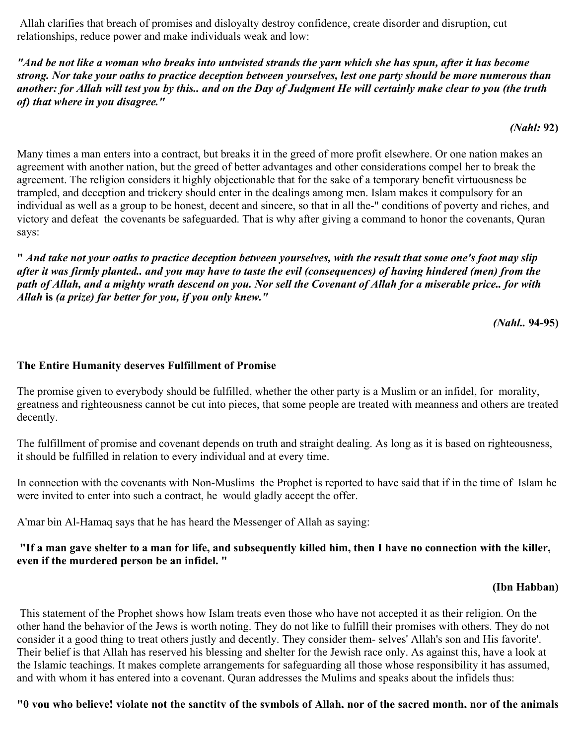Allah clarifies that breach of promises and disloyalty destroy confidence, create disorder and disruption, cut relationships, reduce power and make individuals weak and low:

*"And be not like a woman who breaks into untwisted strands the yarn which she has spun, after it has become strong. Nor take your oaths to practice deception between yourselves, lest one party should be more numerous than another: for Allah will test you by this.. and on the Day of Judgment He will certainly make clear to you (the truth of) that where in you disagree."*

*(Nahl:* **92)**

Many times a man enters into a contract, but breaks it in the greed of more profit elsewhere. Or one nation makes an agreement with another nation, but the greed of better advantages and other considerations compel her to break the agreement. The religion considers it highly objectionable that for the sake of a temporary benefit virtuousness be trampled, and deception and trickery should enter in the dealings among men. Islam makes it compulsory for an individual as well as a group to be honest, decent and sincere, so that in all the-" conditions of poverty and riches, and victory and defeat the covenants be safeguarded. That is why after giving a command to honor the covenants, Quran says:

**"** *And take not your oaths to practice deception between yourselves, with the result that some one's foot may slip after it was firmly planted.. and you may have to taste the evil (consequences) of having hindered (men) from the path of Allah, and a mighty wrath descend on you. Nor sell the Covenant of Allah for a miserable price.. for with Allah* **is** *(a prize) far better for you, if you only knew."*

*(Nahl..* **94-95)**

#### **The Entire Humanity deserves Fulfillment of Promise**

The promise given to everybody should be fulfilled, whether the other party is a Muslim or an infidel, for morality, greatness and righteousness cannot be cut into pieces, that some people are treated with meanness and others are treated decently.

The fulfillment of promise and covenant depends on truth and straight dealing. As long as it is based on righteousness, it should be fulfilled in relation to every individual and at every time.

In connection with the covenants with Non-Muslims the Prophet is reported to have said that if in the time of Islam he were invited to enter into such a contract, he would gladly accept the offer.

A'mar bin Al-Hamaq says that he has heard the Messenger of Allah as saying:

## **"If a man gave shelter to a man for life, and subsequently killed him, then I have no connection with the killer, even if the murdered person be an infidel. "**

#### **(Ibn Habban)**

 This statement of the Prophet shows how Islam treats even those who have not accepted it as their religion. On the other hand the behavior of the Jews is worth noting. They do not like to fulfill their promises with others. They do not consider it a good thing to treat others justly and decently. They consider them- selves' Allah's son and His favorite'. Their belief is that Allah has reserved his blessing and shelter for the Jewish race only. As against this, have a look at the Islamic teachings. It makes complete arrangements for safeguarding all those whose responsibility it has assumed, and with whom it has entered into a covenant. Quran addresses the Mulims and speaks about the infidels thus:

#### **"0 you who believe! violate not the sanctity of the symbols of Allah, nor of the sacred month, nor of the animals**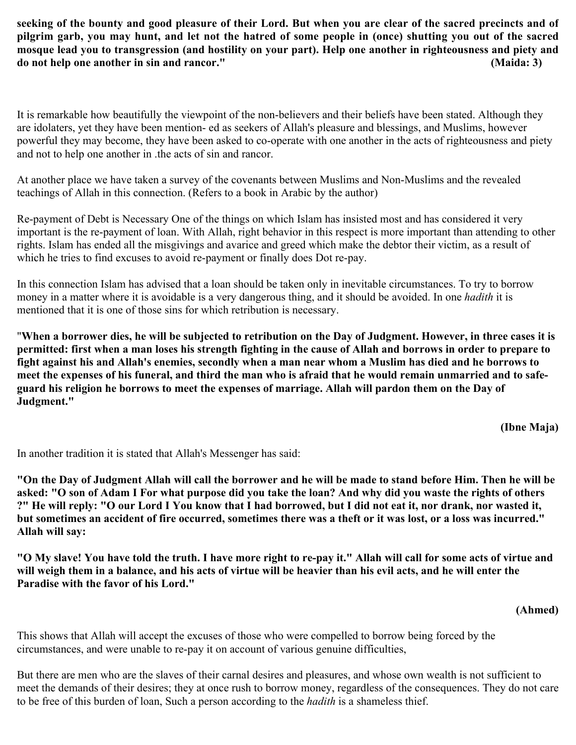**seeking of the bounty and good pleasure of their Lord. But when you are clear of the sacred precincts and of pilgrim garb, you may hunt, and let not the hatred of some people in (once) shutting you out of the sacred mosque lead you to transgression (and hostility on your part). Help one another in righteousness and piety and do not help one another in sin and rancor." (Maida: 3)**

It is remarkable how beautifully the viewpoint of the non-believers and their beliefs have been stated. Although they are idolaters, yet they have been mention- ed as seekers of Allah's pleasure and blessings, and Muslims, however powerful they may become, they have been asked to co-operate with one another in the acts of righteousness and piety and not to help one another in .the acts of sin and rancor.

At another place we have taken a survey of the covenants between Muslims and Non-Muslims and the revealed teachings of Allah in this connection. (Refers to a book in Arabic by the author)

Re-payment of Debt is Necessary One of the things on which Islam has insisted most and has considered it very important is the re-payment of loan. With Allah, right behavior in this respect is more important than attending to other rights. Islam has ended all the misgivings and avarice and greed which make the debtor their victim, as a result of which he tries to find excuses to avoid re-payment or finally does Dot re-pay.

In this connection Islam has advised that a loan should be taken only in inevitable circumstances. To try to borrow money in a matter where it is avoidable is a very dangerous thing, and it should be avoided. In one *hadith* it is mentioned that it is one of those sins for which retribution is necessary.

"**When a borrower dies, he will be subjected to retribution on the Day of Judgment. However, in three cases it is permitted: first when a man loses his strength fighting in the cause of Allah and borrows in order to prepare to fight against his and Allah's enemies, secondly when a man near whom a Muslim has died and he borrows to meet the expenses of his funeral, and third the man who is afraid that he would remain unmarried and to safeguard his religion he borrows to meet the expenses of marriage. Allah will pardon them on the Day of Judgment."**

**(Ibne Maja)**

In another tradition it is stated that Allah's Messenger has said:

**"On the Day of Judgment Allah will call the borrower and he will be made to stand before Him. Then he will be asked: "O son of Adam I For what purpose did you take the loan? And why did you waste the rights of others ?" He will reply: "O our Lord I You know that I had borrowed, but I did not eat it, nor drank, nor wasted it, but sometimes an accident of fire occurred, sometimes there was a theft or it was lost, or a loss was incurred." Allah will say:**

**"O My slave! You have told the truth. I have more right to re-pay it." Allah will call for some acts of virtue and will weigh them in a balance, and his acts of virtue will be heavier than his evil acts, and he will enter the Paradise with the favor of his Lord."**

**(Ahmed)**

This shows that Allah will accept the excuses of those who were compelled to borrow being forced by the circumstances, and were unable to re-pay it on account of various genuine difficulties,

But there are men who are the slaves of their carnal desires and pleasures, and whose own wealth is not sufficient to meet the demands of their desires; they at once rush to borrow money, regardless of the consequences. They do not care to be free of this burden of loan, Such a person according to the *hadith* is a shameless thief.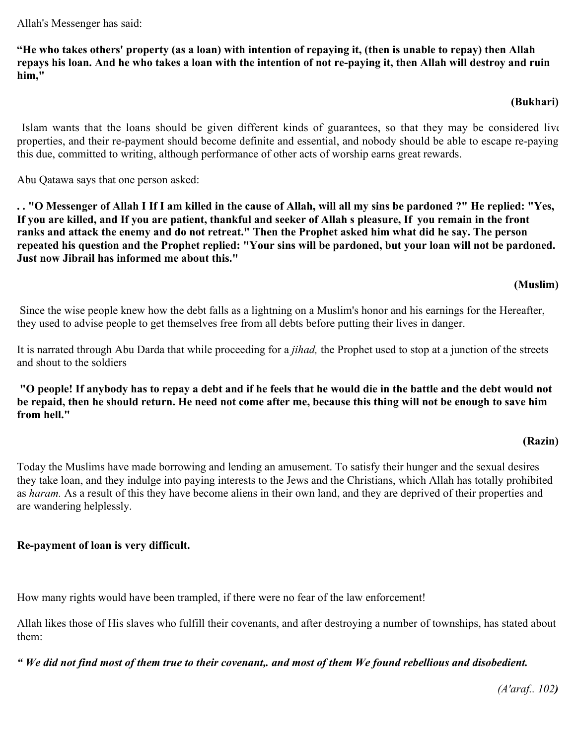Allah's Messenger has said:

**"He who takes others' property (as a loan) with intention of repaying it, (then is unable to repay) then Allah repays his loan. And he who takes a loan with the intention of not re-paying it, then Allah will destroy and ruin him,"**

# **(Bukhari)**

Islam wants that the loans should be given different kinds of guarantees, so that they may be considered live properties, and their re-payment should become definite and essential, and nobody should be able to escape re-paying this due, committed to writing, although performance of other acts of worship earns great rewards.

Abu Qatawa says that one person asked:

**. . "O Messenger of Allah I If I am killed in the cause of Allah, will all my sins be pardoned ?" He replied: "Yes, If you are killed, and If you are patient, thankful and seeker of Allah s pleasure, If you remain in the front ranks and attack the enemy and do not retreat." Then the Prophet asked him what did he say. The person repeated his question and the Prophet replied: "Your sins will be pardoned, but your loan will not be pardoned. Just now Jibrail has informed me about this."**

## **(Muslim)**

 Since the wise people knew how the debt falls as a lightning on a Muslim's honor and his earnings for the Hereafter, they used to advise people to get themselves free from all debts before putting their lives in danger.

It is narrated through Abu Darda that while proceeding for a *jihad,* the Prophet used to stop at a junction of the streets and shout to the soldiers

**"O people! If anybody has to repay a debt and if he feels that he would die in the battle and the debt would not be repaid, then he should return. He need not come after me, because this thing will not be enough to save him from hell."**

#### **(Razin)**

Today the Muslims have made borrowing and lending an amusement. To satisfy their hunger and the sexual desires they take loan, and they indulge into paying interests to the Jews and the Christians, which Allah has totally prohibited as *haram.* As a result of this they have become aliens in their own land, and they are deprived of their properties and are wandering helplessly.

## **Re-payment of loan is very difficult.**

How many rights would have been trampled, if there were no fear of the law enforcement!

Allah likes those of His slaves who fulfill their covenants, and after destroying a number of townships, has stated about them:

*" We did not find most of them true to their covenant,. and most of them We found rebellious and disobedient.*

*(A'araf.. 102)*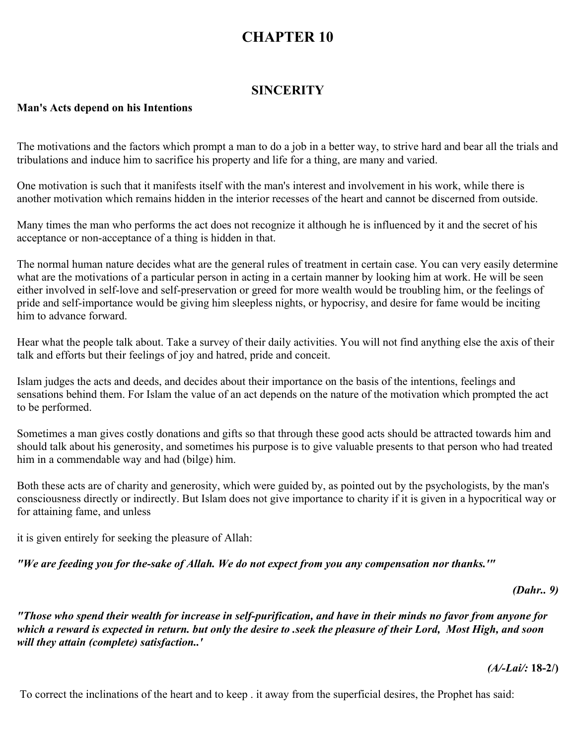# **CHAPTER 10**

# **SINCERITY**

## **Man's Acts depend on his Intentions**

The motivations and the factors which prompt a man to do a job in a better way, to strive hard and bear all the trials and tribulations and induce him to sacrifice his property and life for a thing, are many and varied.

One motivation is such that it manifests itself with the man's interest and involvement in his work, while there is another motivation which remains hidden in the interior recesses of the heart and cannot be discerned from outside.

Many times the man who performs the act does not recognize it although he is influenced by it and the secret of his acceptance or non-acceptance of a thing is hidden in that.

The normal human nature decides what are the general rules of treatment in certain case. You can very easily determine what are the motivations of a particular person in acting in a certain manner by looking him at work. He will be seen either involved in self-love and self-preservation or greed for more wealth would be troubling him, or the feelings of pride and self-importance would be giving him sleepless nights, or hypocrisy, and desire for fame would be inciting him to advance forward.

Hear what the people talk about. Take a survey of their daily activities. You will not find anything else the axis of their talk and efforts but their feelings of joy and hatred, pride and conceit.

Islam judges the acts and deeds, and decides about their importance on the basis of the intentions, feelings and sensations behind them. For Islam the value of an act depends on the nature of the motivation which prompted the act to be performed.

Sometimes a man gives costly donations and gifts so that through these good acts should be attracted towards him and should talk about his generosity, and sometimes his purpose is to give valuable presents to that person who had treated him in a commendable way and had (bilge) him.

Both these acts are of charity and generosity, which were guided by, as pointed out by the psychologists, by the man's consciousness directly or indirectly. But Islam does not give importance to charity if it is given in a hypocritical way or for attaining fame, and unless

it is given entirely for seeking the pleasure of Allah:

*"We are feeding you for the-sake of Allah. We do not expect from you any compensation nor thanks.'"*

*(Dahr.. 9)*

*"Those who spend their wealth for increase in self-purification, and have in their minds no favor from anyone for which a reward is expected in return. but only the desire to .seek the pleasure of their Lord, Most High, and soon will they attain (complete) satisfaction..'*

*(A/-Lai/:* **18-2/)**

To correct the inclinations of the heart and to keep . it away from the superficial desires, the Prophet has said: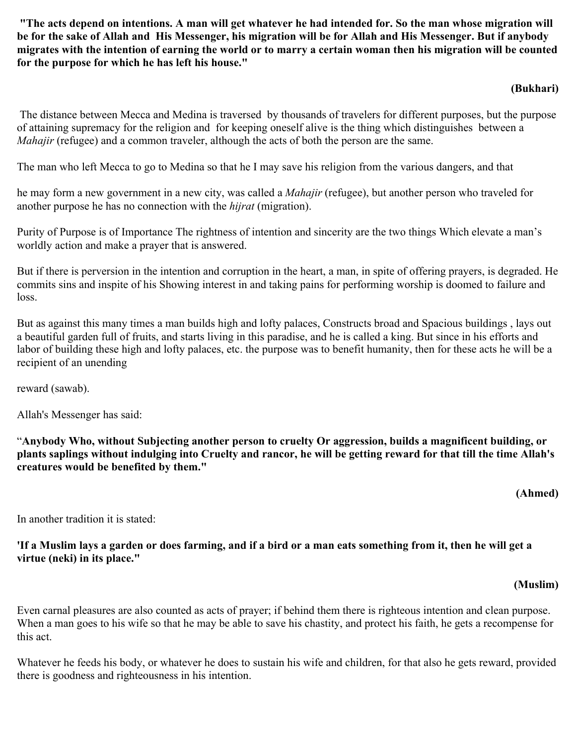**"The acts depend on intentions. A man will get whatever he had intended for. So the man whose migration will be for the sake of Allah and His Messenger, his migration will be for Allah and His Messenger. But if anybody migrates with the intention of earning the world or to marry a certain woman then his migration will be counted for the purpose for which he has left his house."**

## **(Bukhari)**

 The distance between Mecca and Medina is traversed by thousands of travelers for different purposes, but the purpose of attaining supremacy for the religion and for keeping oneself alive is the thing which distinguishes between a *Mahajir* (refugee) and a common traveler, although the acts of both the person are the same.

The man who left Mecca to go to Medina so that he I may save his religion from the various dangers, and that

he may form a new government in a new city, was called a *Mahajir* (refugee), but another person who traveled for another purpose he has no connection with the *hijrat* (migration).

Purity of Purpose is of Importance The rightness of intention and sincerity are the two things Which elevate a man's worldly action and make a prayer that is answered.

But if there is perversion in the intention and corruption in the heart, a man, in spite of offering prayers, is degraded. He commits sins and inspite of his Showing interest in and taking pains for performing worship is doomed to failure and loss.

But as against this many times a man builds high and lofty palaces, Constructs broad and Spacious buildings , lays out a beautiful garden full of fruits, and starts living in this paradise, and he is called a king. But since in his efforts and labor of building these high and lofty palaces, etc. the purpose was to benefit humanity, then for these acts he will be a recipient of an unending

reward (sawab).

Allah's Messenger has said:

"**Anybody Who, without Subjecting another person to cruelty Or aggression, builds a magnificent building, or plants saplings without indulging into Cruelty and rancor, he will be getting reward for that till the time Allah's creatures would be benefited by them."**

**(Ahmed)**

In another tradition it is stated:

**'If a Muslim lays a garden or does farming, and if a bird or a man eats something from it, then he will get a virtue (neki) in its place."**

## **(Muslim)**

Even carnal pleasures are also counted as acts of prayer; if behind them there is righteous intention and clean purpose. When a man goes to his wife so that he may be able to save his chastity, and protect his faith, he gets a recompense for this act.

Whatever he feeds his body, or whatever he does to sustain his wife and children, for that also he gets reward, provided there is goodness and righteousness in his intention.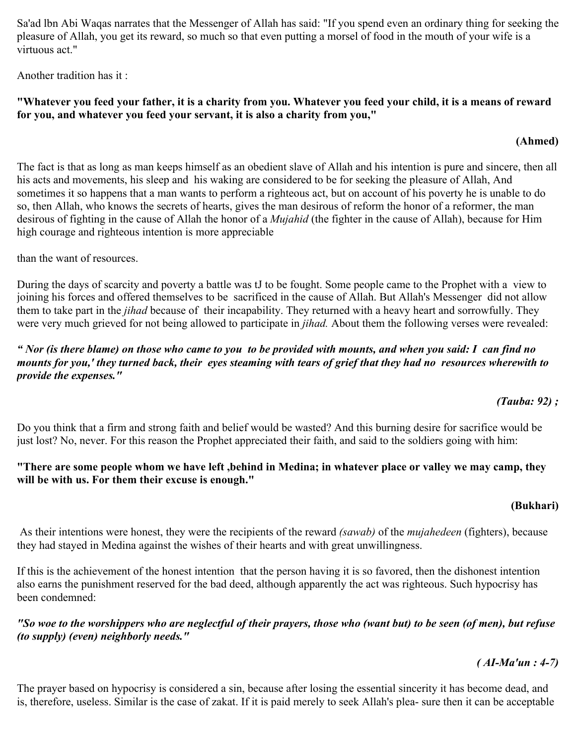Sa'ad lbn Abi Waqas narrates that the Messenger of Allah has said: "If you spend even an ordinary thing for seeking the pleasure of Allah, you get its reward, so much so that even putting a morsel of food in the mouth of your wife is a virtuous act."

Another tradition has it :

## **"Whatever you feed your father, it is a charity from you. Whatever you feed your child, it is a means of reward for you, and whatever you feed your servant, it is also a charity from you,"**

## **(Ahmed)**

The fact is that as long as man keeps himself as an obedient slave of Allah and his intention is pure and sincere, then all his acts and movements, his sleep and his waking are considered to be for seeking the pleasure of Allah, And sometimes it so happens that a man wants to perform a righteous act, but on account of his poverty he is unable to do so, then Allah, who knows the secrets of hearts, gives the man desirous of reform the honor of a reformer, the man desirous of fighting in the cause of Allah the honor of a *Mujahid* (the fighter in the cause of Allah), because for Him high courage and righteous intention is more appreciable

than the want of resources.

During the days of scarcity and poverty a battle was tJ to be fought. Some people came to the Prophet with a view to joining his forces and offered themselves to be sacrificed in the cause of Allah. But Allah's Messenger did not allow them to take part in the *jihad* because of their incapability. They returned with a heavy heart and sorrowfully. They were very much grieved for not being allowed to participate in *jihad.* About them the following verses were revealed:

## *" Nor (is there blame) on those who came to you to be provided with mounts, and when you said: I can find no mounts for you,' they turned back, their eyes steaming with tears of grief that they had no resources wherewith to provide the expenses."*

## *(Tauba: 92) ;*

Do you think that a firm and strong faith and belief would be wasted? And this burning desire for sacrifice would be just lost? No, never. For this reason the Prophet appreciated their faith, and said to the soldiers going with him:

## **"There are some people whom we have left ,behind in Medina; in whatever place or valley we may camp, they will be with us. For them their excuse is enough."**

## **(Bukhari)**

 As their intentions were honest, they were the recipients of the reward *(sawab)* of the *mujahedeen* (fighters), because they had stayed in Medina against the wishes of their hearts and with great unwillingness.

If this is the achievement of the honest intention that the person having it is so favored, then the dishonest intention also earns the punishment reserved for the bad deed, although apparently the act was righteous. Such hypocrisy has been condemned:

## *"So woe to the worshippers who are neglectful of their prayers, those who (want but) to be seen (of men), but refuse (to supply) (even) neighborly needs."*

## *( AI-Ma'un : 4-7)*

The prayer based on hypocrisy is considered a sin, because after losing the essential sincerity it has become dead, and is, therefore, useless. Similar is the case of zakat. If it is paid merely to seek Allah's plea- sure then it can be acceptable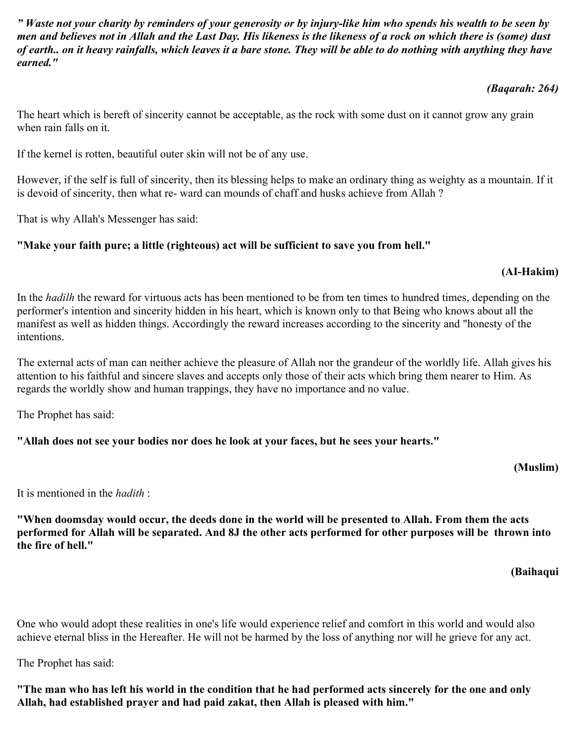*" Waste not your charity by reminders of your generosity or by injury-like him who spends his wealth to be seen by men and believes not in Allah and the Last Day. His likeness is the likeness of a rock on which there is (some) dust of earth.. on it heavy rainfalls, which leaves it a bare stone. They will be able to do nothing with anything they have earned."*

## *(Baqarah: 264)*

The heart which is bereft of sincerity cannot be acceptable, as the rock with some dust on it cannot grow any grain when rain falls on it.

If the kernel is rotten, beautiful outer skin will not be of any use.

However, if the self is full of sincerity, then its blessing helps to make an ordinary thing as weighty as a mountain. If it is devoid of sincerity, then what re- ward can mounds of chaff and husks achieve from Allah ?

That is why Allah's Messenger has said:

## **"Make your faith pure; a little (righteous) act will be sufficient to save you from hell."**

## **(AI-Hakim)**

In the *hadilh* the reward for virtuous acts has been mentioned to be from ten times to hundred times, depending on the performer's intention and sincerity hidden in his heart, which is known only to that Being who knows about all the manifest as well as hidden things. Accordingly the reward increases according to the sincerity and "honesty of the intentions.

The external acts of man can neither achieve the pleasure of Allah nor the grandeur of the worldly life. Allah gives his attention to his faithful and sincere slaves and accepts only those of their acts which bring them nearer to Him. As regards the worldly show and human trappings, they have no importance and no value.

The Prophet has said:

#### **"Allah does not see your bodies nor does he look at your faces, but he sees your hearts."**

#### **(Muslim)**

It is mentioned in the *hadith* :

**"When doomsday would occur, the deeds done in the world will be presented to Allah. From them the acts performed for Allah will be separated. And 8J the other acts performed for other purposes will be thrown into the fire of hell."**

**(Baihaqui**

One who would adopt these realities in one's life would experience relief and comfort in this world and would also achieve eternal bliss in the Hereafter. He will not be harmed by the loss of anything nor will he grieve for any act.

The Prophet has said:

**"The man who has left his world in the condition that he had performed acts sincerely for the one and only Allah, had established prayer and had paid zakat, then Allah is pleased with him."**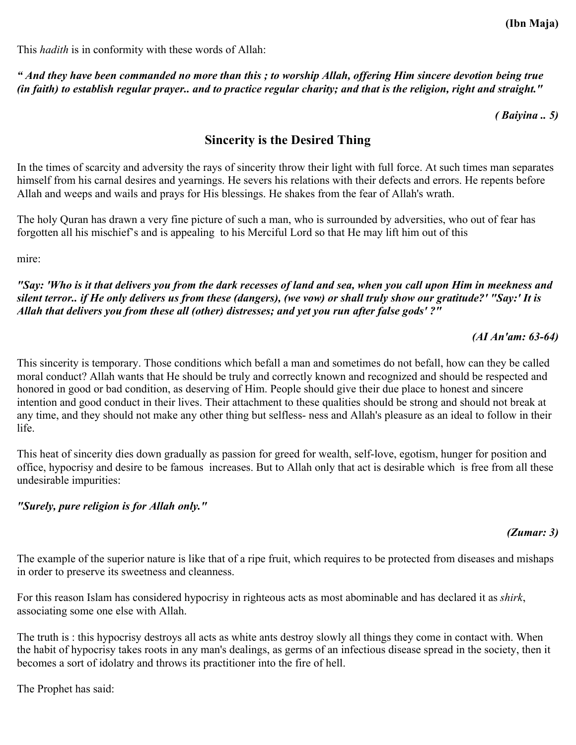This *hadith* is in conformity with these words of Allah:

*" And they have been commanded no more than this ; to worship Allah, offering Him sincere devotion being true (in faith) to establish regular prayer.. and to practice regular charity; and that is the religion, right and straight."*

*( Baiyina .. 5)*

## **Sincerity is the Desired Thing**

In the times of scarcity and adversity the rays of sincerity throw their light with full force. At such times man separates himself from his carnal desires and yearnings. He severs his relations with their defects and errors. He repents before Allah and weeps and wails and prays for His blessings. He shakes from the fear of Allah's wrath.

The holy Quran has drawn a very fine picture of such a man, who is surrounded by adversities, who out of fear has forgotten all his mischief's and is appealing to his Merciful Lord so that He may lift him out of this

mire:

## *"Say: 'Who is it that delivers you from the dark recesses of land and sea, when you call upon Him in meekness and silent terror.. if He only delivers us from these (dangers), (we vow) or shall truly show our gratitude?' "Say:' It is Allah that delivers you from these all (other) distresses; and yet you run after false gods' ?"*

#### *(AI An'am: 63-64)*

This sincerity is temporary. Those conditions which befall a man and sometimes do not befall, how can they be called moral conduct? Allah wants that He should be truly and correctly known and recognized and should be respected and honored in good or bad condition, as deserving of Him. People should give their due place to honest and sincere intention and good conduct in their lives. Their attachment to these qualities should be strong and should not break at any time, and they should not make any other thing but selfless- ness and Allah's pleasure as an ideal to follow in their life.

This heat of sincerity dies down gradually as passion for greed for wealth, self-love, egotism, hunger for position and office, hypocrisy and desire to be famous increases. But to Allah only that act is desirable which is free from all these undesirable impurities:

## *"Surely, pure religion is for Allah only."*

#### *(Zumar: 3)*

The example of the superior nature is like that of a ripe fruit, which requires to be protected from diseases and mishaps in order to preserve its sweetness and cleanness.

For this reason Islam has considered hypocrisy in righteous acts as most abominable and has declared it as *shirk*, associating some one else with Allah.

The truth is : this hypocrisy destroys all acts as white ants destroy slowly all things they come in contact with. When the habit of hypocrisy takes roots in any man's dealings, as germs of an infectious disease spread in the society, then it becomes a sort of idolatry and throws its practitioner into the fire of hell.

The Prophet has said: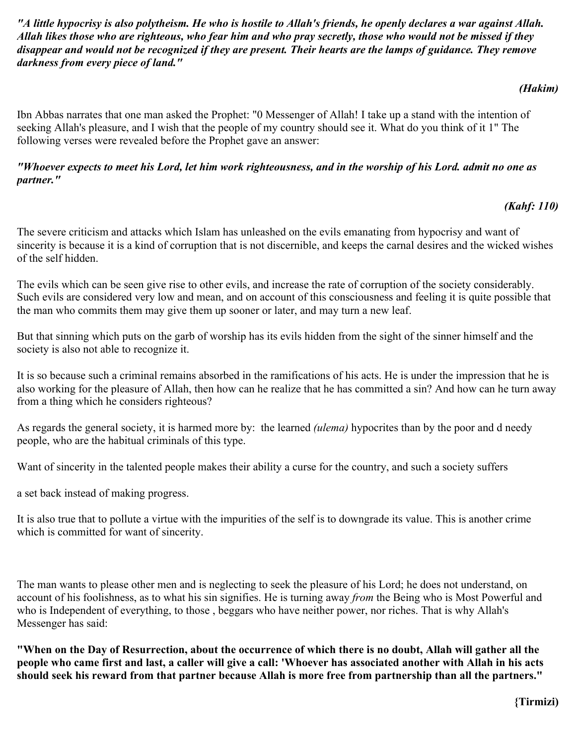*"A little hypocrisy is also polytheism. He who is hostile to Allah's friends, he openly declares a war against Allah. Allah likes those who are righteous, who fear him and who pray secretly, those who would not be missed if they disappear and would not be recognized if they are present. Their hearts are the lamps of guidance. They remove darkness from every piece of land."*

## *(Hakim)*

Ibn Abbas narrates that one man asked the Prophet: "0 Messenger of Allah! I take up a stand with the intention of seeking Allah's pleasure, and I wish that the people of my country should see it. What do you think of it 1" The following verses were revealed before the Prophet gave an answer:

#### *"Whoever expects to meet his Lord, let him work righteousness, and in the worship of his Lord. admit no one as partner."*

## *(Kahf: 110)*

The severe criticism and attacks which Islam has unleashed on the evils emanating from hypocrisy and want of sincerity is because it is a kind of corruption that is not discernible, and keeps the carnal desires and the wicked wishes of the self hidden.

The evils which can be seen give rise to other evils, and increase the rate of corruption of the society considerably. Such evils are considered very low and mean, and on account of this consciousness and feeling it is quite possible that the man who commits them may give them up sooner or later, and may turn a new leaf.

But that sinning which puts on the garb of worship has its evils hidden from the sight of the sinner himself and the society is also not able to recognize it.

It is so because such a criminal remains absorbed in the ramifications of his acts. He is under the impression that he is also working for the pleasure of Allah, then how can he realize that he has committed a sin? And how can he turn away from a thing which he considers righteous?

As regards the general society, it is harmed more by: the learned *(ulema)* hypocrites than by the poor and d needy people, who are the habitual criminals of this type.

Want of sincerity in the talented people makes their ability a curse for the country, and such a society suffers

a set back instead of making progress.

It is also true that to pollute a virtue with the impurities of the self is to downgrade its value. This is another crime which is committed for want of sincerity.

The man wants to please other men and is neglecting to seek the pleasure of his Lord; he does not understand, on account of his foolishness, as to what his sin signifies. He is turning away *from* the Being who is Most Powerful and who is Independent of everything, to those , beggars who have neither power, nor riches. That is why Allah's Messenger has said:

**"When on the Day of Resurrection, about the occurrence of which there is no doubt, Allah will gather all the people who came first and last, a caller will give a call: 'Whoever has associated another with Allah in his acts should seek his reward from that partner because Allah is more free from partnership than all the partners."**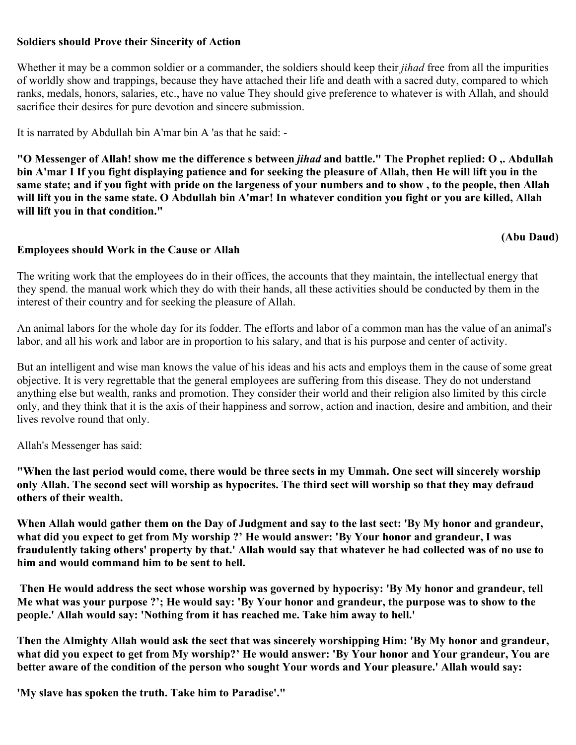## **Soldiers should Prove their Sincerity of Action**

Whether it may be a common soldier or a commander, the soldiers should keep their *jihad* free from all the impurities of worldly show and trappings, because they have attached their life and death with a sacred duty, compared to which ranks, medals, honors, salaries, etc., have no value They should give preference to whatever is with Allah, and should sacrifice their desires for pure devotion and sincere submission.

It is narrated by Abdullah bin A'mar bin A 'as that he said: -

**"O Messenger of Allah! show me the difference s between** *jihad* **and battle." The Prophet replied: O ,. Abdullah bin A'mar I If you fight displaying patience and for seeking the pleasure of Allah, then He will lift you in the same state; and if you fight with pride on the largeness of your numbers and to show , to the people, then Allah will lift you in the same state. O Abdullah bin A'mar! In whatever condition you fight or you are killed, Allah will lift you in that condition."**

#### **(Abu Daud)**

## **Employees should Work in the Cause or Allah**

The writing work that the employees do in their offices, the accounts that they maintain, the intellectual energy that they spend. the manual work which they do with their hands, all these activities should be conducted by them in the interest of their country and for seeking the pleasure of Allah.

An animal labors for the whole day for its fodder. The efforts and labor of a common man has the value of an animal's labor, and all his work and labor are in proportion to his salary, and that is his purpose and center of activity.

But an intelligent and wise man knows the value of his ideas and his acts and employs them in the cause of some great objective. It is very regrettable that the general employees are suffering from this disease. They do not understand anything else but wealth, ranks and promotion. They consider their world and their religion also limited by this circle only, and they think that it is the axis of their happiness and sorrow, action and inaction, desire and ambition, and their lives revolve round that only.

Allah's Messenger has said:

**"When the last period would come, there would be three sects in my Ummah. One sect will sincerely worship only Allah. The second sect will worship as hypocrites. The third sect will worship so that they may defraud others of their wealth.**

**When Allah would gather them on the Day of Judgment and say to the last sect: 'By My honor and grandeur, what did you expect to get from My worship ?' He would answer: 'By Your honor and grandeur, I was fraudulently taking others' property by that.' Allah would say that whatever he had collected was of no use to him and would command him to be sent to hell.**

 **Then He would address the sect whose worship was governed by hypocrisy: 'By My honor and grandeur, tell Me what was your purpose ?'; He would say: 'By Your honor and grandeur, the purpose was to show to the people.' Allah would say: 'Nothing from it has reached me. Take him away to hell.'**

**Then the Almighty Allah would ask the sect that was sincerely worshipping Him: 'By My honor and grandeur, what did you expect to get from My worship?' He would answer: 'By Your honor and Your grandeur, You are better aware of the condition of the person who sought Your words and Your pleasure.' Allah would say:**

**'My slave has spoken the truth. Take him to Paradise'."**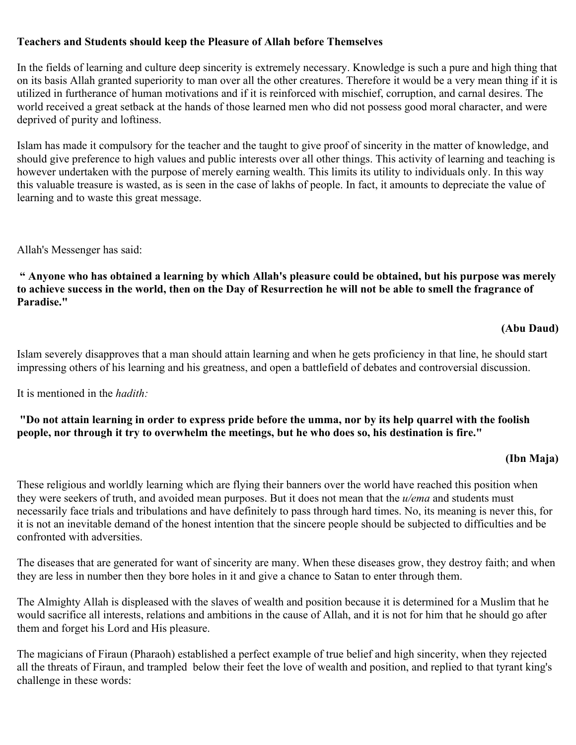## **Teachers and Students should keep the Pleasure of Allah before Themselves**

In the fields of learning and culture deep sincerity is extremely necessary. Knowledge is such a pure and high thing that on its basis Allah granted superiority to man over all the other creatures. Therefore it would be a very mean thing if it is utilized in furtherance of human motivations and if it is reinforced with mischief, corruption, and carnal desires. The world received a great setback at the hands of those learned men who did not possess good moral character, and were deprived of purity and loftiness.

Islam has made it compulsory for the teacher and the taught to give proof of sincerity in the matter of knowledge, and should give preference to high values and public interests over all other things. This activity of learning and teaching is however undertaken with the purpose of merely earning wealth. This limits its utility to individuals only. In this way this valuable treasure is wasted, as is seen in the case of lakhs of people. In fact, it amounts to depreciate the value of learning and to waste this great message.

Allah's Messenger has said:

 **" Anyone who has obtained a learning by which Allah's pleasure could be obtained, but his purpose was merely to achieve success in the world, then on the Day of Resurrection he will not be able to smell the fragrance of Paradise."**

## **(Abu Daud)**

Islam severely disapproves that a man should attain learning and when he gets proficiency in that line, he should start impressing others of his learning and his greatness, and open a battlefield of debates and controversial discussion.

It is mentioned in the *hadith:*

## **"Do not attain learning in order to express pride before the umma, nor by its help quarrel with the foolish people, nor through it try to overwhelm the meetings, but he who does so, his destination is fire."**

#### **(Ibn Maja)**

These religious and worldly learning which are flying their banners over the world have reached this position when they were seekers of truth, and avoided mean purposes. But it does not mean that the *u/ema* and students must necessarily face trials and tribulations and have definitely to pass through hard times. No, its meaning is never this, for it is not an inevitable demand of the honest intention that the sincere people should be subjected to difficulties and be confronted with adversities.

The diseases that are generated for want of sincerity are many. When these diseases grow, they destroy faith; and when they are less in number then they bore holes in it and give a chance to Satan to enter through them.

The Almighty Allah is displeased with the slaves of wealth and position because it is determined for a Muslim that he would sacrifice all interests, relations and ambitions in the cause of Allah, and it is not for him that he should go after them and forget his Lord and His pleasure.

The magicians of Firaun (Pharaoh) established a perfect example of true belief and high sincerity, when they rejected all the threats of Firaun, and trampled below their feet the love of wealth and position, and replied to that tyrant king's challenge in these words: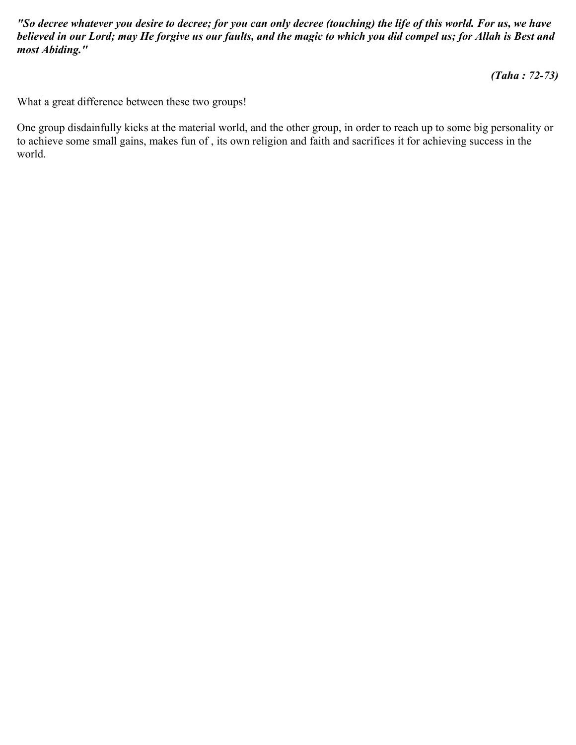*"So decree whatever you desire to decree; for you can only decree (touching) the life of this world. For us, we have believed in our Lord; may He forgive us our faults, and the magic to which you did compel us; for Allah is Best and most Abiding."*

*(Taha : 72-73)*

What a great difference between these two groups!

One group disdainfully kicks at the material world, and the other group, in order to reach up to some big personality or to achieve some small gains, makes fun of , its own religion and faith and sacrifices it for achieving success in the world.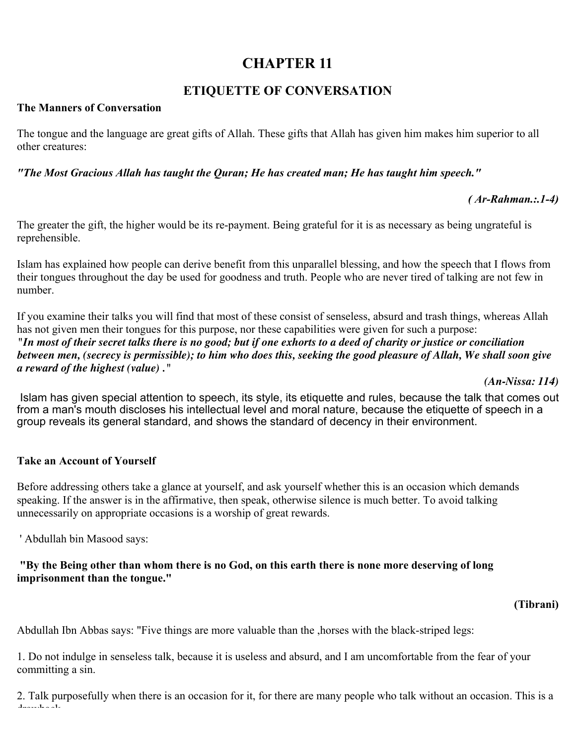# **CHAPTER 11**

# **ETIQUETTE OF CONVERSATION**

## **The Manners of Conversation**

The tongue and the language are great gifts of Allah. These gifts that Allah has given him makes him superior to all other creatures:

## *"The Most Gracious Allah has taught the Quran; He has created man; He has taught him speech."*

## *( Ar-Rahman.:.1-4)*

The greater the gift, the higher would be its re-payment. Being grateful for it is as necessary as being ungrateful is reprehensible.

Islam has explained how people can derive benefit from this unparallel blessing, and how the speech that I flows from their tongues throughout the day be used for goodness and truth. People who are never tired of talking are not few in number.

If you examine their talks you will find that most of these consist of senseless, absurd and trash things, whereas Allah has not given men their tongues for this purpose, nor these capabilities were given for such a purpose: *"In most of their secret talks there is no good; but if one exhorts to a deed of charity or justice or conciliation between men, (secrecy is permissible); to him who does this, seeking the good pleasure of Allah, We shall soon give a reward of the highest (value) ."*

*(An-Nissa: 114)*

 Islam has given special attention to speech, its style, its etiquette and rules, because the talk that comes out from a man's mouth discloses his intellectual level and moral nature, because the etiquette of speech in a group reveals its general standard, and shows the standard of decency in their environment.

## **Take an Account of Yourself**

Before addressing others take a glance at yourself, and ask yourself whether this is an occasion which demands speaking. If the answer is in the affirmative, then speak, otherwise silence is much better. To avoid talking unnecessarily on appropriate occasions is a worship of great rewards.

' Abdullah bin Masood says:

## **"By the Being other than whom there is no God, on this earth there is none more deserving of long imprisonment than the tongue."**

## **(Tibrani)**

Abdullah Ibn Abbas says: "Five things are more valuable than the ,horses with the black-striped legs:

1. Do not indulge in senseless talk, because it is useless and absurd, and I am uncomfortable from the fear of your committing a sin.

2. Talk purposefully when there is an occasion for it, for there are many people who talk without an occasion. This is a drawback.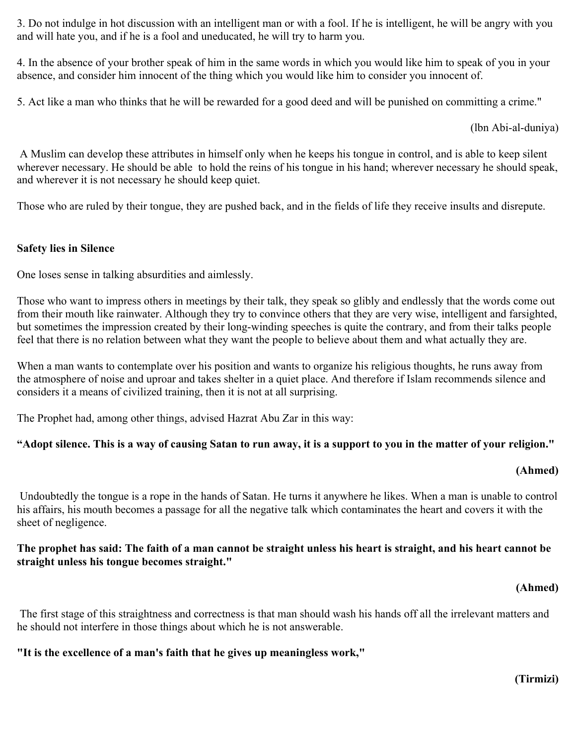3. Do not indulge in hot discussion with an intelligent man or with a fool. If he is intelligent, he will be angry with you and will hate you, and if he is a fool and uneducated, he will try to harm you.

4. In the absence of your brother speak of him in the same words in which you would like him to speak of you in your absence, and consider him innocent of the thing which you would like him to consider you innocent of.

5. Act like a man who thinks that he will be rewarded for a good deed and will be punished on committing a crime."

(lbn Abi-al-duniya)

 A Muslim can develop these attributes in himself only when he keeps his tongue in control, and is able to keep silent wherever necessary. He should be able to hold the reins of his tongue in his hand; wherever necessary he should speak, and wherever it is not necessary he should keep quiet.

Those who are ruled by their tongue, they are pushed back, and in the fields of life they receive insults and disrepute.

#### **Safety lies in Silence**

One loses sense in talking absurdities and aimlessly.

Those who want to impress others in meetings by their talk, they speak so glibly and endlessly that the words come out from their mouth like rainwater. Although they try to convince others that they are very wise, intelligent and farsighted, but sometimes the impression created by their long-winding speeches is quite the contrary, and from their talks people feel that there is no relation between what they want the people to believe about them and what actually they are.

When a man wants to contemplate over his position and wants to organize his religious thoughts, he runs away from the atmosphere of noise and uproar and takes shelter in a quiet place. And therefore if Islam recommends silence and considers it a means of civilized training, then it is not at all surprising.

The Prophet had, among other things, advised Hazrat Abu Zar in this way:

#### **"Adopt silence. This is a way of causing Satan to run away, it is a support to you in the matter of your religion."**

#### **(Ahmed)**

 Undoubtedly the tongue is a rope in the hands of Satan. He turns it anywhere he likes. When a man is unable to control his affairs, his mouth becomes a passage for all the negative talk which contaminates the heart and covers it with the sheet of negligence.

#### **The prophet has said: The faith of a man cannot be straight unless his heart is straight, and his heart cannot be straight unless his tongue becomes straight."**

#### **(Ahmed)**

 The first stage of this straightness and correctness is that man should wash his hands off all the irrelevant matters and he should not interfere in those things about which he is not answerable.

**"It is the excellence of a man's faith that he gives up meaningless work,"**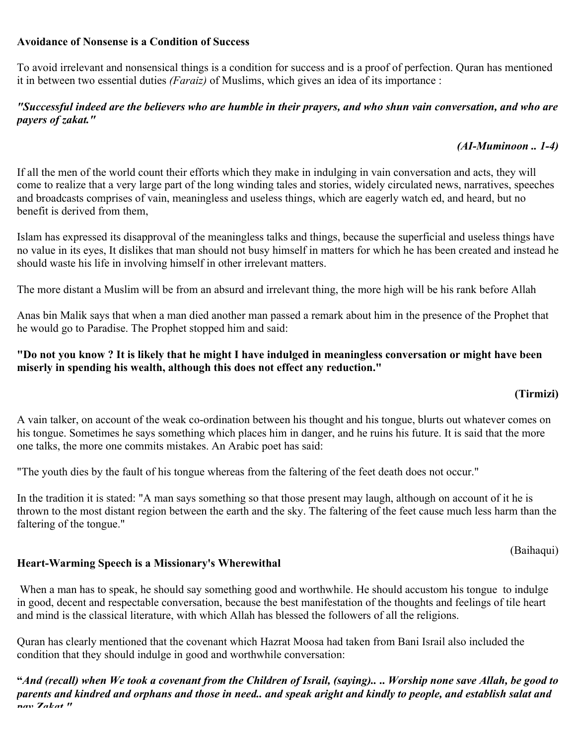## **Avoidance of Nonsense is a Condition of Success**

To avoid irrelevant and nonsensical things is a condition for success and is a proof of perfection. Quran has mentioned it in between two essential duties *(Faraiz)* of Muslims, which gives an idea of its importance :

## *"Successful indeed are the believers who are humble in their prayers, and who shun vain conversation, and who are payers of zakat."*

## *(AI-Muminoon .. 1-4)*

If all the men of the world count their efforts which they make in indulging in vain conversation and acts, they will come to realize that a very large part of the long winding tales and stories, widely circulated news, narratives, speeches and broadcasts comprises of vain, meaningless and useless things, which are eagerly watch ed, and heard, but no benefit is derived from them,

Islam has expressed its disapproval of the meaningless talks and things, because the superficial and useless things have no value in its eyes, It dislikes that man should not busy himself in matters for which he has been created and instead he should waste his life in involving himself in other irrelevant matters.

The more distant a Muslim will be from an absurd and irrelevant thing, the more high will be his rank before Allah

Anas bin Malik says that when a man died another man passed a remark about him in the presence of the Prophet that he would go to Paradise. The Prophet stopped him and said:

## **"Do not you know ? It is likely that he might I have indulged in meaningless conversation or might have been miserly in spending his wealth, although this does not effect any reduction."**

## **(Tirmizi)**

A vain talker, on account of the weak co-ordination between his thought and his tongue, blurts out whatever comes on his tongue. Sometimes he says something which places him in danger, and he ruins his future. It is said that the more one talks, the more one commits mistakes. An Arabic poet has said:

"The youth dies by the fault of his tongue whereas from the faltering of the feet death does not occur."

In the tradition it is stated: "A man says something so that those present may laugh, although on account of it he is thrown to the most distant region between the earth and the sky. The faltering of the feet cause much less harm than the faltering of the tongue."

(Baihaqui)

## **Heart-Warming Speech is a Missionary's Wherewithal**

 When a man has to speak, he should say something good and worthwhile. He should accustom his tongue to indulge in good, decent and respectable conversation, because the best manifestation of the thoughts and feelings of tile heart and mind is the classical literature, with which Allah has blessed the followers of all the religions.

Quran has clearly mentioned that the covenant which Hazrat Moosa had taken from Bani Israil also included the condition that they should indulge in good and worthwhile conversation:

**"***And (recall) when We took a covenant from the Children of Israil, (saying)..* **..** *Worship none save Allah, be good to parents and kindred and orphans and those in need.. and speak aright and kindly to people, and establish salat and pay Zakat."*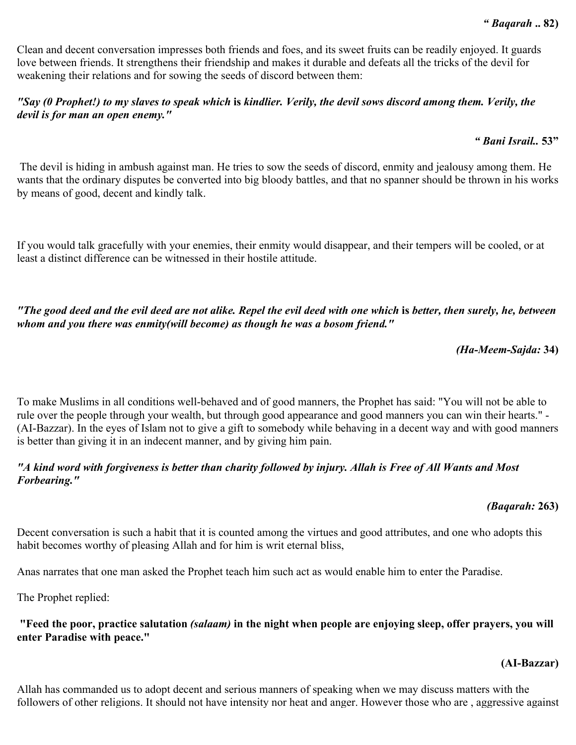Clean and decent conversation impresses both friends and foes, and its sweet fruits can be readily enjoyed. It guards love between friends. It strengthens their friendship and makes it durable and defeats all the tricks of the devil for weakening their relations and for sowing the seeds of discord between them:

## *"Say (0 Prophet!) to my slaves to speak which* **is** *kindlier. Verily, the devil sows discord among them. Verily, the devil is for man an open enemy."*

#### *" Bani Israil..* **53"**

 The devil is hiding in ambush against man. He tries to sow the seeds of discord, enmity and jealousy among them. He wants that the ordinary disputes be converted into big bloody battles, and that no spanner should be thrown in his works by means of good, decent and kindly talk.

If you would talk gracefully with your enemies, their enmity would disappear, and their tempers will be cooled, or at least a distinct difference can be witnessed in their hostile attitude.

## *"The good deed and the evil deed are not alike. Repel the evil deed with one which* **is** *better, then surely, he, between whom and you there was enmity(will become) as though he was a bosom friend."*

## *(Ha-Meem-Sajda:* **34)**

To make Muslims in all conditions well-behaved and of good manners, the Prophet has said: "You will not be able to rule over the people through your wealth, but through good appearance and good manners you can win their hearts." - (AI-Bazzar). In the eyes of Islam not to give a gift to somebody while behaving in a decent way and with good manners is better than giving it in an indecent manner, and by giving him pain.

## *"A kind word with forgiveness is better than charity followed by injury. Allah is Free of All Wants and Most Forbearing."*

#### *(Baqarah:* **263)**

Decent conversation is such a habit that it is counted among the virtues and good attributes, and one who adopts this habit becomes worthy of pleasing Allah and for him is writ eternal bliss,

Anas narrates that one man asked the Prophet teach him such act as would enable him to enter the Paradise.

The Prophet replied:

 **"Feed the poor, practice salutation** *(salaam)* **in the night when people are enjoying sleep, offer prayers, you will enter Paradise with peace."**

#### **(AI-Bazzar)**

Allah has commanded us to adopt decent and serious manners of speaking when we may discuss matters with the followers of other religions. It should not have intensity nor heat and anger. However those who are , aggressive against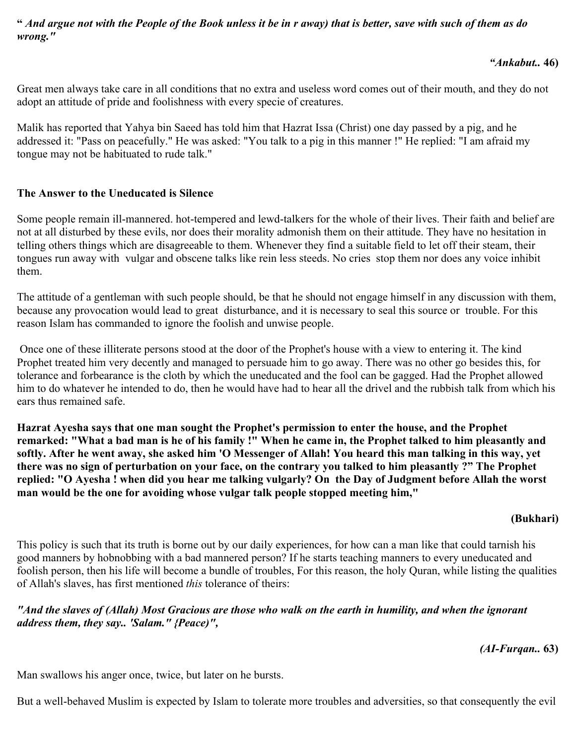**"** *And argue not with the People of the Book unless it be in r away) that is better, save with such of them as do wrong."*

#### *"Ankabut..* **46)**

Great men always take care in all conditions that no extra and useless word comes out of their mouth, and they do not adopt an attitude of pride and foolishness with every specie of creatures.

Malik has reported that Yahya bin Saeed has told him that Hazrat Issa (Christ) one day passed by a pig, and he addressed it: "Pass on peacefully." He was asked: "You talk to a pig in this manner !" He replied: "I am afraid my tongue may not be habituated to rude talk."

## **The Answer to the Uneducated is Silence**

Some people remain ill-mannered. hot-tempered and lewd-talkers for the whole of their lives. Their faith and belief are not at all disturbed by these evils, nor does their morality admonish them on their attitude. They have no hesitation in telling others things which are disagreeable to them. Whenever they find a suitable field to let off their steam, their tongues run away with vulgar and obscene talks like rein less steeds. No cries stop them nor does any voice inhibit them.

The attitude of a gentleman with such people should, be that he should not engage himself in any discussion with them, because any provocation would lead to great disturbance, and it is necessary to seal this source or trouble. For this reason Islam has commanded to ignore the foolish and unwise people.

 Once one of these illiterate persons stood at the door of the Prophet's house with a view to entering it. The kind Prophet treated him very decently and managed to persuade him to go away. There was no other go besides this, for tolerance and forbearance is the cloth by which the uneducated and the fool can be gagged. Had the Prophet allowed him to do whatever he intended to do, then he would have had to hear all the drivel and the rubbish talk from which his ears thus remained safe.

**Hazrat Ayesha says that one man sought the Prophet's permission to enter the house, and the Prophet remarked: "What a bad man is he of his family !" When he came in, the Prophet talked to him pleasantly and softly. After he went away, she asked him 'O Messenger of Allah! You heard this man talking in this way, yet there was no sign of perturbation on your face, on the contrary you talked to him pleasantly ?" The Prophet replied: "O Ayesha ! when did you hear me talking vulgarly? On the Day of Judgment before Allah the worst man would be the one for avoiding whose vulgar talk people stopped meeting him,"**

## **(Bukhari)**

This policy is such that its truth is borne out by our daily experiences, for how can a man like that could tarnish his good manners by hobnobbing with a bad mannered person? If he starts teaching manners to every uneducated and foolish person, then his life will become a bundle of troubles, For this reason, the holy Quran, while listing the qualities of Allah's slaves, has first mentioned *this* tolerance of theirs:

## *"And the slaves of (Allah) Most Gracious are those who walk on the earth in humility, and when the ignorant address them, they say.. 'Salam." {Peace)",*

 *(AI-Furqan..* **63)**

Man swallows his anger once, twice, but later on he bursts.

But a well-behaved Muslim is expected by Islam to tolerate more troubles and adversities, so that consequently the evil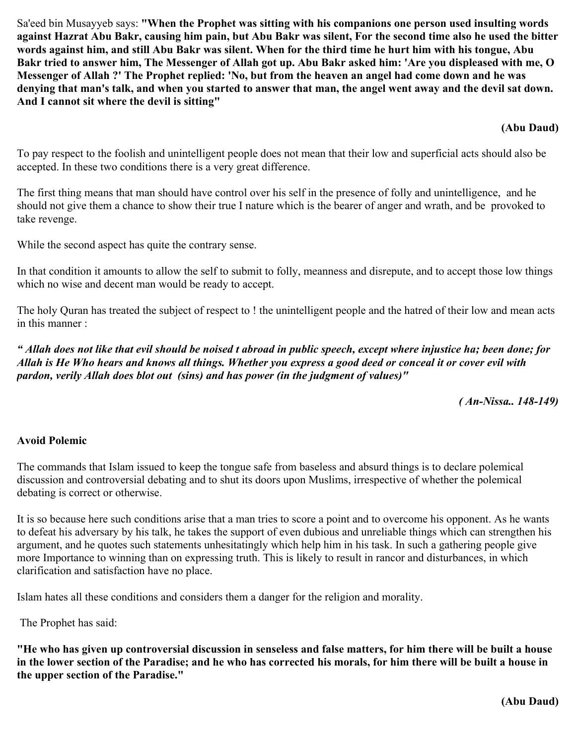Sa'eed bin Musayyeb says: **"When the Prophet was sitting with his companions one person used insulting words against Hazrat Abu Bakr, causing him pain, but Abu Bakr was silent, For the second time also he used the bitter words against him, and still Abu Bakr was silent. When for the third time he hurt him with his tongue, Abu Bakr tried to answer him, The Messenger of Allah got up. Abu Bakr asked him: 'Are you displeased with me, O Messenger of Allah ?' The Prophet replied: 'No, but from the heaven an angel had come down and he was denying that man's talk, and when you started to answer that man, the angel went away and the devil sat down. And I cannot sit where the devil is sitting"**

## **(Abu Daud)**

To pay respect to the foolish and unintelligent people does not mean that their low and superficial acts should also be accepted. In these two conditions there is a very great difference.

The first thing means that man should have control over his self in the presence of folly and unintelligence, and he should not give them a chance to show their true I nature which is the bearer of anger and wrath, and be provoked to take revenge.

While the second aspect has quite the contrary sense.

In that condition it amounts to allow the self to submit to folly, meanness and disrepute, and to accept those low things which no wise and decent man would be ready to accept.

The holy Quran has treated the subject of respect to ! the unintelligent people and the hatred of their low and mean acts in this manner :

*" Allah does not like that evil should be noised t abroad in public speech, except where injustice ha; been done; for Allah is He Who hears and knows all things. Whether you express a good deed or conceal it or cover evil with pardon, verily Allah does blot out (sins) and has power (in the judgment of values)"*

*( An-Nissa.. 148-149)*

## **Avoid Polemic**

The commands that Islam issued to keep the tongue safe from baseless and absurd things is to declare polemical discussion and controversial debating and to shut its doors upon Muslims, irrespective of whether the polemical debating is correct or otherwise.

It is so because here such conditions arise that a man tries to score a point and to overcome his opponent. As he wants to defeat his adversary by his talk, he takes the support of even dubious and unreliable things which can strengthen his argument, and he quotes such statements unhesitatingly which help him in his task. In such a gathering people give more Importance to winning than on expressing truth. This is likely to result in rancor and disturbances, in which clarification and satisfaction have no place.

Islam hates all these conditions and considers them a danger for the religion and morality.

The Prophet has said:

**"He who has given up controversial discussion in senseless and false matters, for him there will be built a house in the lower section of the Paradise; and he who has corrected his morals, for him there will be built a house in the upper section of the Paradise."**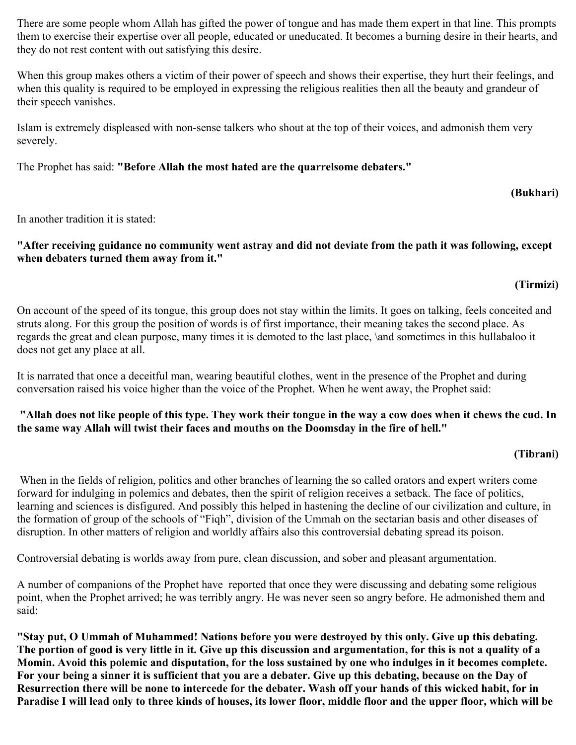There are some people whom Allah has gifted the power of tongue and has made them expert in that line. This prompts them to exercise their expertise over all people, educated or uneducated. It becomes a burning desire in their hearts, and they do not rest content with out satisfying this desire.

When this group makes others a victim of their power of speech and shows their expertise, they hurt their feelings, and when this quality is required to be employed in expressing the religious realities then all the beauty and grandeur of their speech vanishes.

Islam is extremely displeased with non-sense talkers who shout at the top of their voices, and admonish them very severely.

The Prophet has said: **"Before Allah the most hated are the quarrelsome debaters."**

#### **(Bukhari)**

In another tradition it is stated:

**"After receiving guidance no community went astray and did not deviate from the path it was following, except when debaters turned them away from it."**

#### **(Tirmizi)**

On account of the speed of its tongue, this group does not stay within the limits. It goes on talking, feels conceited and struts along. For this group the position of words is of first importance, their meaning takes the second place. As regards the great and clean purpose, many times it is demoted to the last place, \and sometimes in this hullabaloo it does not get any place at all.

It is narrated that once a deceitful man, wearing beautiful clothes, went in the presence of the Prophet and during conversation raised his voice higher than the voice of the Prophet. When he went away, the Prophet said:

## **"Allah does not like people of this type. They work their tongue in the way a cow does when it chews the cud. In the same way Allah will twist their faces and mouths on the Doomsday in the fire of hell."**

#### **(Tibrani)**

 When in the fields of religion, politics and other branches of learning the so called orators and expert writers come forward for indulging in polemics and debates, then the spirit of religion receives a setback. The face of politics, learning and sciences is disfigured. And possibly this helped in hastening the decline of our civilization and culture, in the formation of group of the schools of "Fiqh", division of the Ummah on the sectarian basis and other diseases of disruption. In other matters of religion and worldly affairs also this controversial debating spread its poison.

Controversial debating is worlds away from pure, clean discussion, and sober and pleasant argumentation.

A number of companions of the Prophet have reported that once they were discussing and debating some religious point, when the Prophet arrived; he was terribly angry. He was never seen so angry before. He admonished them and said:

**"Stay put, O Ummah of Muhammed! Nations before you were destroyed by this only. Give up this debating. The portion of good is very little in it. Give up this discussion and argumentation, for this is not a quality of a Momin. Avoid this polemic and disputation, for the loss sustained by one who indulges in it becomes complete. For your being a sinner it is sufficient that you are a debater. Give up this debating, because on the Day of Resurrection there will be none to intercede for the debater. Wash off your hands of this wicked habit, for in Paradise I will lead only to three kinds of houses, its lower floor, middle floor and the upper floor, which will be**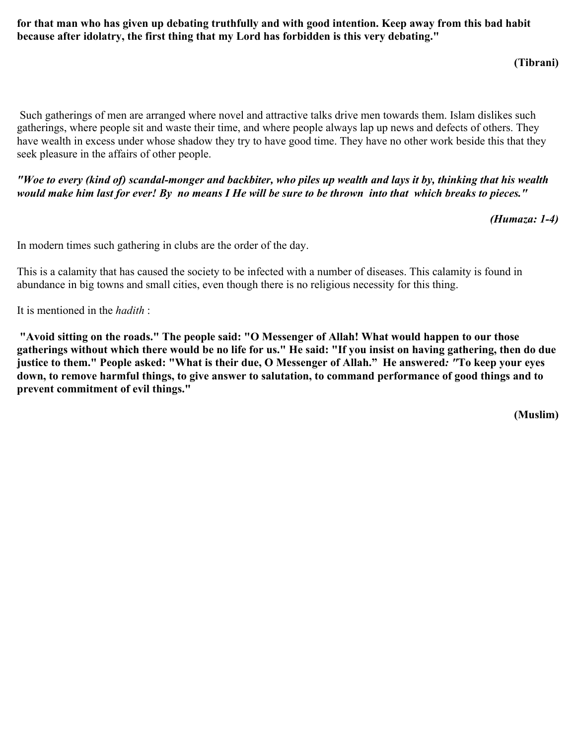**for that man who has given up debating truthfully and with good intention. Keep away from this bad habit because after idolatry, the first thing that my Lord has forbidden is this very debating."**

# **(Tibrani)**

 Such gatherings of men are arranged where novel and attractive talks drive men towards them. Islam dislikes such gatherings, where people sit and waste their time, and where people always lap up news and defects of others. They have wealth in excess under whose shadow they try to have good time. They have no other work beside this that they seek pleasure in the affairs of other people.

*"Woe to every (kind of) scandal-monger and backbiter, who piles up wealth and lays it by, thinking that his wealth would make him last for ever! By no means I He will be sure to be thrown into that which breaks to pieces."*

*(Humaza: 1-4)*

In modern times such gathering in clubs are the order of the day.

This is a calamity that has caused the society to be infected with a number of diseases. This calamity is found in abundance in big towns and small cities, even though there is no religious necessity for this thing.

It is mentioned in the *hadith* :

 **"Avoid sitting on the roads." The people said: "O Messenger of Allah! What would happen to our those gatherings without which there would be no life for us." He said: "If you insist on having gathering, then do due justice to them." People asked: "What is their due, O Messenger of Allah." He answered***: "***To keep your eyes down, to remove harmful things, to give answer to salutation, to command performance of good things and to prevent commitment of evil things."**

**(Muslim)**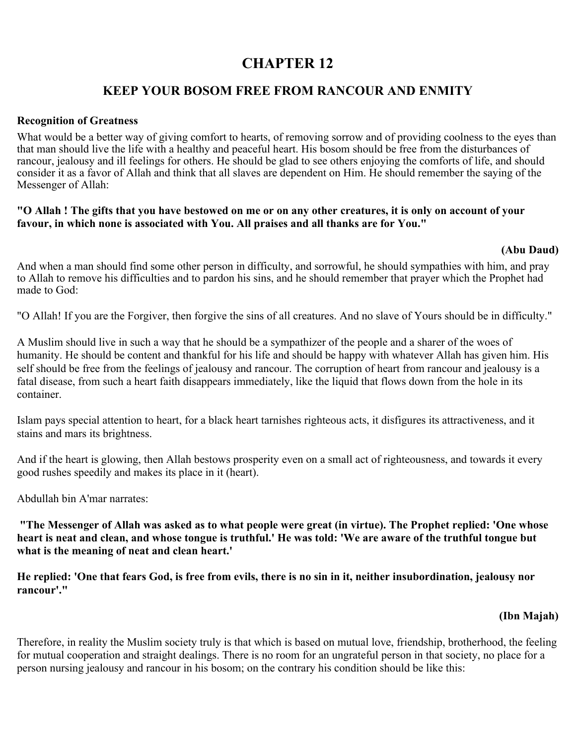# **CHAPTER 12**

# **KEEP YOUR BOSOM FREE FROM RANCOUR AND ENMITY**

## **Recognition of Greatness**

What would be a better way of giving comfort to hearts, of removing sorrow and of providing coolness to the eyes than that man should live the life with a healthy and peaceful heart. His bosom should be free from the disturbances of rancour, jealousy and ill feelings for others. He should be glad to see others enjoying the comforts of life, and should consider it as a favor of Allah and think that all slaves are dependent on Him. He should remember the saying of the Messenger of Allah:

**"O Allah ! The gifts that you have bestowed on me or on any other creatures, it is only on account of your favour, in which none is associated with You. All praises and all thanks are for You."**

#### **(Abu Daud)**

And when a man should find some other person in difficulty, and sorrowful, he should sympathies with him, and pray to Allah to remove his difficulties and to pardon his sins, and he should remember that prayer which the Prophet had made to God:

"O Allah! If you are the Forgiver, then forgive the sins of all creatures. And no slave of Yours should be in difficulty."

A Muslim should live in such a way that he should be a sympathizer of the people and a sharer of the woes of humanity. He should be content and thankful for his life and should be happy with whatever Allah has given him. His self should be free from the feelings of jealousy and rancour. The corruption of heart from rancour and jealousy is a fatal disease, from such a heart faith disappears immediately, like the liquid that flows down from the hole in its container.

Islam pays special attention to heart, for a black heart tarnishes righteous acts, it disfigures its attractiveness, and it stains and mars its brightness.

And if the heart is glowing, then Allah bestows prosperity even on a small act of righteousness, and towards it every good rushes speedily and makes its place in it (heart).

Abdullah bin A'mar narrates:

 **"The Messenger of Allah was asked as to what people were great (in virtue). The Prophet replied: 'One whose heart is neat and clean, and whose tongue is truthful.' He was told: 'We are aware of the truthful tongue but what is the meaning of neat and clean heart.'**

**He replied: 'One that fears God, is free from evils, there is no sin in it, neither insubordination, jealousy nor rancour'."**

#### **(Ibn Majah)**

Therefore, in reality the Muslim society truly is that which is based on mutual love, friendship, brotherhood, the feeling for mutual cooperation and straight dealings. There is no room for an ungrateful person in that society, no place for a person nursing jealousy and rancour in his bosom; on the contrary his condition should be like this: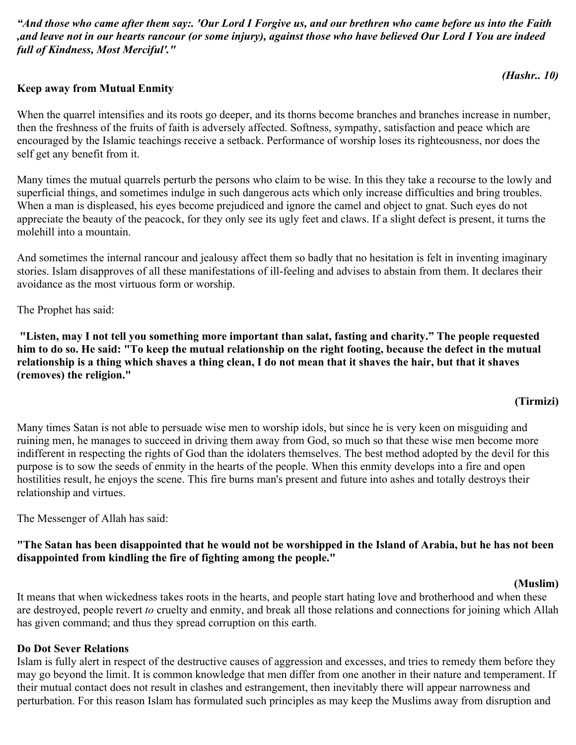## *"And those who came after them say:. 'Our Lord I Forgive us, and our brethren who came before us into the Faith ,and leave not in our hearts rancour (or some injury), against those who have believed Our Lord I You are indeed full of Kindness, Most Merciful'."*

### **Keep away from Mutual Enmity**

When the quarrel intensifies and its roots go deeper, and its thorns become branches and branches increase in number, then the freshness of the fruits of faith is adversely affected. Softness, sympathy, satisfaction and peace which are encouraged by the Islamic teachings receive a setback. Performance of worship loses its righteousness, nor does the self get any benefit from it.

Many times the mutual quarrels perturb the persons who claim to be wise. In this they take a recourse to the lowly and superficial things, and sometimes indulge in such dangerous acts which only increase difficulties and bring troubles. When a man is displeased, his eyes become prejudiced and ignore the camel and object to gnat. Such eyes do not appreciate the beauty of the peacock, for they only see its ugly feet and claws. If a slight defect is present, it turns the molehill into a mountain.

And sometimes the internal rancour and jealousy affect them so badly that no hesitation is felt in inventing imaginary stories. Islam disapproves of all these manifestations of ill-feeling and advises to abstain from them. It declares their avoidance as the most virtuous form or worship.

The Prophet has said:

**"Listen, may I not tell you something more important than salat, fasting and charity." The people requested him to do so. He said: "To keep the mutual relationship on the right footing, because the defect in the mutual relationship is a thing which shaves a thing clean, I do not mean that it shaves the hair, but that it shaves (removes) the religion."**

#### **(Tirmizi)**

Many times Satan is not able to persuade wise men to worship idols, but since he is very keen on misguiding and ruining men, he manages to succeed in driving them away from God, so much so that these wise men become more indifferent in respecting the rights of God than the idolaters themselves. The best method adopted by the devil for this purpose is to sow the seeds of enmity in the hearts of the people. When this enmity develops into a fire and open hostilities result, he enjoys the scene. This fire burns man's present and future into ashes and totally destroys their relationship and virtues.

The Messenger of Allah has said:

## **"The Satan has been disappointed that he would not be worshipped in the Island of Arabia, but he has not been disappointed from kindling the fire of fighting among the people."**

#### **(Muslim)**

It means that when wickedness takes roots in the hearts, and people start hating love and brotherhood and when these are destroyed, people revert *to* cruelty and enmity, and break all those relations and connections for joining which Allah has given command; and thus they spread corruption on this earth.

#### **Do Dot Sever Relations**

Islam is fully alert in respect of the destructive causes of aggression and excesses, and tries to remedy them before they may go beyond the limit. It is common knowledge that men differ from one another in their nature and temperament. If their mutual contact does not result in clashes and estrangement, then inevitably there will appear narrowness and perturbation. For this reason Islam has formulated such principles as may keep the Muslims away from disruption and

#### *(Hashr.. 10)*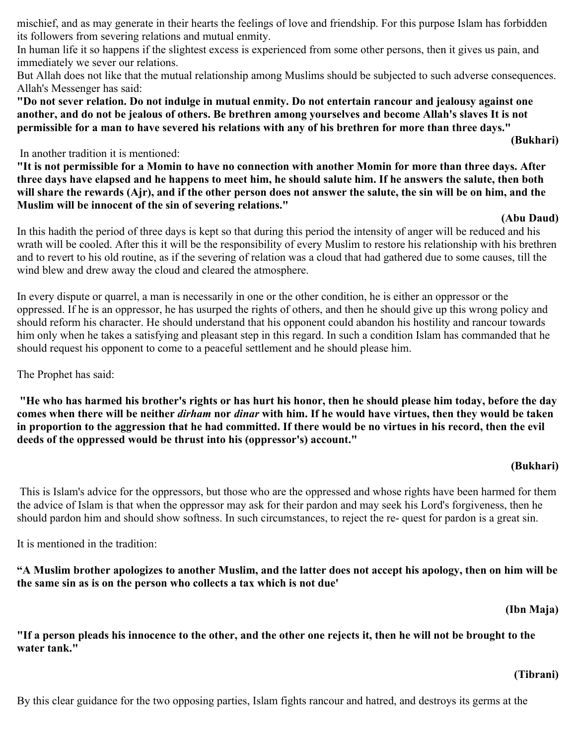mischief, and as may generate in their hearts the feelings of love and friendship. For this purpose Islam has forbidden its followers from severing relations and mutual enmity.

In human life it so happens if the slightest excess is experienced from some other persons, then it gives us pain, and immediately we sever our relations.

But Allah does not like that the mutual relationship among Muslims should be subjected to such adverse consequences. Allah's Messenger has said:

**"Do not sever relation. Do not indulge in mutual enmity. Do not entertain rancour and jealousy against one another, and do not be jealous of others. Be brethren among yourselves and become Allah's slaves It is not permissible for a man to have severed his relations with any of his brethren for more than three days." (Bukhari)**

In another tradition it is mentioned:

**"It is not permissible for a Momin to have no connection with another Momin for more than three days. After three days have elapsed and he happens to meet him, he should salute him. If he answers the salute, then both will share the rewards (Ajr), and if the other person does not answer the salute, the sin will be on him, and the Muslim will be innocent of the sin of severing relations."**

#### **(Abu Daud)**

In this hadith the period of three days is kept so that during this period the intensity of anger will be reduced and his wrath will be cooled. After this it will be the responsibility of every Muslim to restore his relationship with his brethren and to revert to his old routine, as if the severing of relation was a cloud that had gathered due to some causes, till the wind blew and drew away the cloud and cleared the atmosphere.

In every dispute or quarrel, a man is necessarily in one or the other condition, he is either an oppressor or the oppressed. If he is an oppressor, he has usurped the rights of others, and then he should give up this wrong policy and should reform his character. He should understand that his opponent could abandon his hostility and rancour towards him only when he takes a satisfying and pleasant step in this regard. In such a condition Islam has commanded that he should request his opponent to come to a peaceful settlement and he should please him.

The Prophet has said:

 **"He who has harmed his brother's rights or has hurt his honor, then he should please him today, before the day comes when there will be neither** *dirham* **nor** *dinar* **with him. If he would have virtues, then they would be taken in proportion to the aggression that he had committed. If there would be no virtues in his record, then the evil deeds of the oppressed would be thrust into his (oppressor's) account."**

## **(Bukhari)**

 This is Islam's advice for the oppressors, but those who are the oppressed and whose rights have been harmed for them the advice of Islam is that when the oppressor may ask for their pardon and may seek his Lord's forgiveness, then he should pardon him and should show softness. In such circumstances, to reject the re- quest for pardon is a great sin.

It is mentioned in the tradition:

**"A Muslim brother apologizes to another Muslim, and the latter does not accept his apology, then on him will be the same sin as is on the person who collects a tax which is not due'**

**(Ibn Maja)**

**"If a person pleads his innocence to the other, and the other one rejects it, then he will not be brought to the water tank."**

#### **(Tibrani)**

By this clear guidance for the two opposing parties, Islam fights rancour and hatred, and destroys its germs at the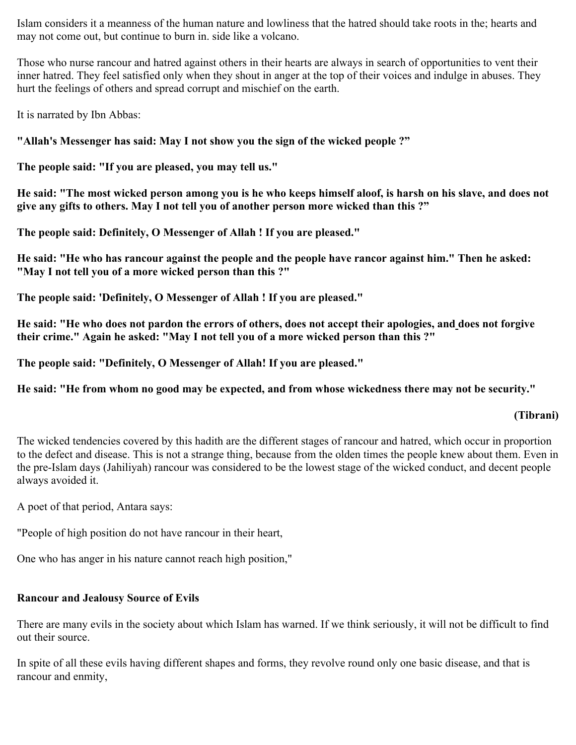Islam considers it a meanness of the human nature and lowliness that the hatred should take roots in the; hearts and may not come out, but continue to burn in. side like a volcano.

Those who nurse rancour and hatred against others in their hearts are always in search of opportunities to vent their inner hatred. They feel satisfied only when they shout in anger at the top of their voices and indulge in abuses. They hurt the feelings of others and spread corrupt and mischief on the earth.

It is narrated by Ibn Abbas:

**"Allah's Messenger has said: May I not show you the sign of the wicked people ?"**

**The people said: "If you are pleased, you may tell us."**

**He said: "The most wicked person among you is he who keeps himself aloof, is harsh on his slave, and does not give any gifts to others. May I not tell you of another person more wicked than this ?"**

**The people said: Definitely, O Messenger of Allah ! If you are pleased."**

**He said: "He who has rancour against the people and the people have rancor against him." Then he asked: "May I not tell you of a more wicked person than this ?"**

**The people said: 'Definitely, O Messenger of Allah ! If you are pleased."**

**He said: "He who does not pardon the errors of others, does not accept their apologies, and does not forgive their crime." Again he asked: "May I not tell you of a more wicked person than this ?"**

**The people said: "Definitely, O Messenger of Allah! If you are pleased."**

**He said: "He from whom no good may be expected, and from whose wickedness there may not be security."**

## **(Tibrani)**

The wicked tendencies covered by this hadith are the different stages of rancour and hatred, which occur in proportion to the defect and disease. This is not a strange thing, because from the olden times the people knew about them. Even in the pre-Islam days (Jahiliyah) rancour was considered to be the lowest stage of the wicked conduct, and decent people always avoided it.

A poet of that period, Antara says:

"People of high position do not have rancour in their heart,

One who has anger in his nature cannot reach high position,"

## **Rancour and Jealousy Source of Evils**

There are many evils in the society about which Islam has warned. If we think seriously, it will not be difficult to find out their source.

In spite of all these evils having different shapes and forms, they revolve round only one basic disease, and that is rancour and enmity,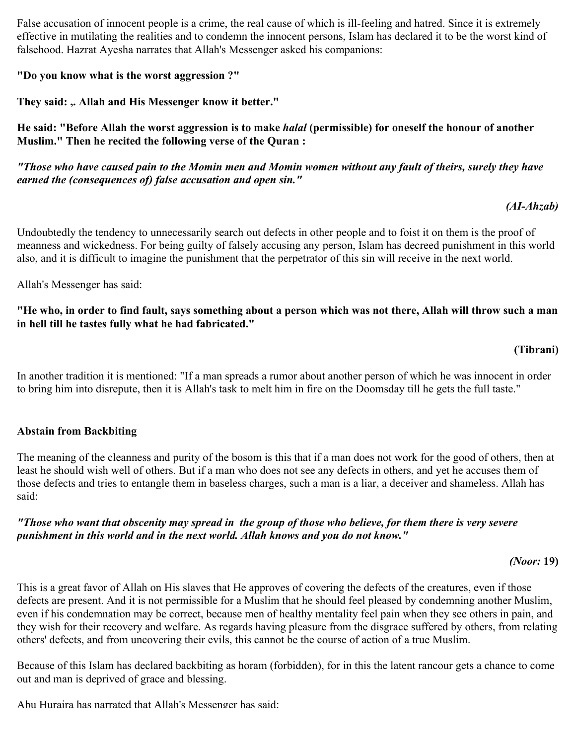False accusation of innocent people is a crime, the real cause of which is ill-feeling and hatred. Since it is extremely effective in mutilating the realities and to condemn the innocent persons, Islam has declared it to be the worst kind of falsehood. Hazrat Ayesha narrates that Allah's Messenger asked his companions:

**"Do you know what is the worst aggression ?"**

**They said: ,. Allah and His Messenger know it better."**

**He said: "Before Allah the worst aggression is to make** *halal* **(permissible) for oneself the honour of another Muslim." Then he recited the following verse of the Quran :**

*"Those who have caused pain to the Momin men and Momin women without any fault of theirs, surely they have earned the (consequences of) false accusation and open sin."*

## *(AI-Ahzab)*

Undoubtedly the tendency to unnecessarily search out defects in other people and to foist it on them is the proof of meanness and wickedness. For being guilty of falsely accusing any person, Islam has decreed punishment in this world also, and it is difficult to imagine the punishment that the perpetrator of this sin will receive in the next world.

Allah's Messenger has said:

**"He who, in order to find fault, says something about a person which was not there, Allah will throw such a man in hell till he tastes fully what he had fabricated."**

## **(Tibrani)**

In another tradition it is mentioned: "If a man spreads a rumor about another person of which he was innocent in order to bring him into disrepute, then it is Allah's task to melt him in fire on the Doomsday till he gets the full taste."

## **Abstain from Backbiting**

The meaning of the cleanness and purity of the bosom is this that if a man does not work for the good of others, then at least he should wish well of others. But if a man who does not see any defects in others, and yet he accuses them of those defects and tries to entangle them in baseless charges, such a man is a liar, a deceiver and shameless. Allah has said:

## *"Those who want that obscenity may spread in the group of those who believe, for them there is very severe punishment in this world and in the next world. Allah knows and you do not know."*

*(Noor:* **19)**

This is a great favor of Allah on His slaves that He approves of covering the defects of the creatures, even if those defects are present. And it is not permissible for a Muslim that he should feel pleased by condemning another Muslim, even if his condemnation may be correct, because men of healthy mentality feel pain when they see others in pain, and they wish for their recovery and welfare. As regards having pleasure from the disgrace suffered by others, from relating others' defects, and from uncovering their evils, this cannot be the course of action of a true Muslim.

Because of this Islam has declared backbiting as horam (forbidden), for in this the latent rancour gets a chance to come out and man is deprived of grace and blessing.

Abu Huraira has narrated that Allah's Messenger has said: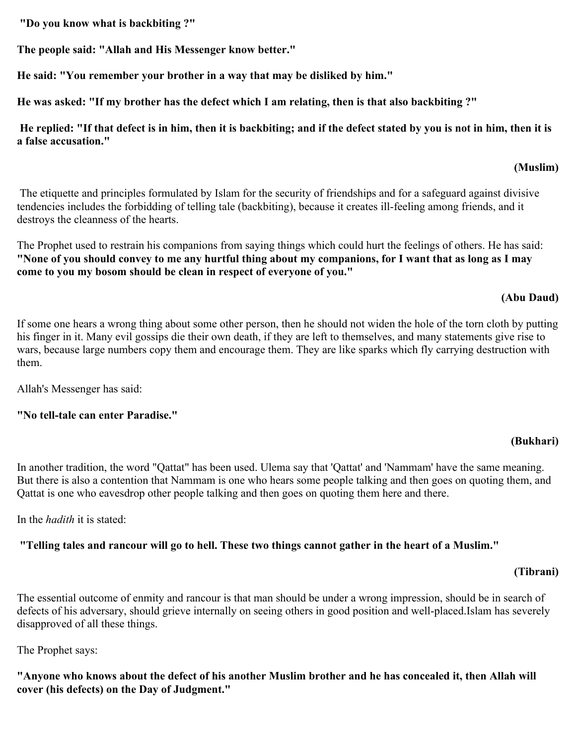**"Do you know what is backbiting ?"**

**The people said: "Allah and His Messenger know better."**

**He said: "You remember your brother in a way that may be disliked by him."**

**He was asked: "If my brother has the defect which I am relating, then is that also backbiting ?"**

## **He replied: "If that defect is in him, then it is backbiting; and if the defect stated by you is not in him, then it is a false accusation."**

## **(Muslim)**

 The etiquette and principles formulated by Islam for the security of friendships and for a safeguard against divisive tendencies includes the forbidding of telling tale (backbiting), because it creates ill-feeling among friends, and it destroys the cleanness of the hearts.

The Prophet used to restrain his companions from saying things which could hurt the feelings of others. He has said: **"None of you should convey to me any hurtful thing about my companions, for I want that as long as I may come to you my bosom should be clean in respect of everyone of you."**

## **(Abu Daud)**

If some one hears a wrong thing about some other person, then he should not widen the hole of the torn cloth by putting his finger in it. Many evil gossips die their own death, if they are left to themselves, and many statements give rise to wars, because large numbers copy them and encourage them. They are like sparks which fly carrying destruction with them.

Allah's Messenger has said:

## **"No tell-tale can enter Paradise."**

#### **(Bukhari)**

In another tradition, the word "Qattat" has been used. Ulema say that 'Qattat' and 'Nammam' have the same meaning. But there is also a contention that Nammam is one who hears some people talking and then goes on quoting them, and Qattat is one who eavesdrop other people talking and then goes on quoting them here and there.

In the *hadith* it is stated:

 **"Telling tales and rancour will go to hell. These two things cannot gather in the heart of a Muslim."**

#### **(Tibrani)**

The essential outcome of enmity and rancour is that man should be under a wrong impression, should be in search of defects of his adversary, should grieve internally on seeing others in good position and well-placed.Islam has severely disapproved of all these things.

The Prophet says:

**"Anyone who knows about the defect of his another Muslim brother and he has concealed it, then Allah will cover (his defects) on the Day of Judgment."**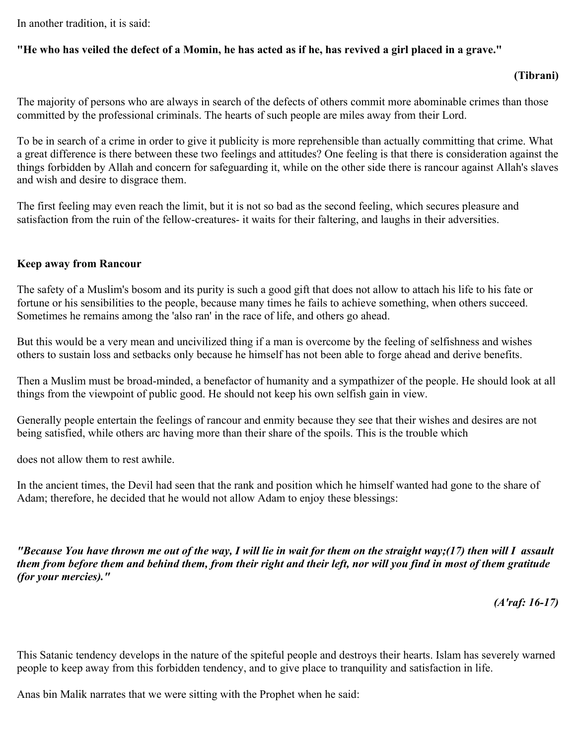In another tradition, it is said:

## **"He who has veiled the defect of a Momin, he has acted as if he, has revived a girl placed in a grave."**

## **(Tibrani)**

The majority of persons who are always in search of the defects of others commit more abominable crimes than those committed by the professional criminals. The hearts of such people are miles away from their Lord.

To be in search of a crime in order to give it publicity is more reprehensible than actually committing that crime. What a great difference is there between these two feelings and attitudes? One feeling is that there is consideration against the things forbidden by Allah and concern for safeguarding it, while on the other side there is rancour against Allah's slaves and wish and desire to disgrace them.

The first feeling may even reach the limit, but it is not so bad as the second feeling, which secures pleasure and satisfaction from the ruin of the fellow-creatures- it waits for their faltering, and laughs in their adversities.

#### **Keep away from Rancour**

The safety of a Muslim's bosom and its purity is such a good gift that does not allow to attach his life to his fate or fortune or his sensibilities to the people, because many times he fails to achieve something, when others succeed. Sometimes he remains among the 'also ran' in the race of life, and others go ahead.

But this would be a very mean and uncivilized thing if a man is overcome by the feeling of selfishness and wishes others to sustain loss and setbacks only because he himself has not been able to forge ahead and derive benefits.

Then a Muslim must be broad-minded, a benefactor of humanity and a sympathizer of the people. He should look at all things from the viewpoint of public good. He should not keep his own selfish gain in view.

Generally people entertain the feelings of rancour and enmity because they see that their wishes and desires are not being satisfied, while others arc having more than their share of the spoils. This is the trouble which

does not allow them to rest awhile.

In the ancient times, the Devil had seen that the rank and position which he himself wanted had gone to the share of Adam; therefore, he decided that he would not allow Adam to enjoy these blessings:

*"Because You have thrown me out of the way, I will lie in wait for them on the straight way;(17) then will I assault them from before them and behind them, from their right and their left, nor will you find in most of them gratitude (for your mercies)."*

*(A'raf: 16-17)*

This Satanic tendency develops in the nature of the spiteful people and destroys their hearts. Islam has severely warned people to keep away from this forbidden tendency, and to give place to tranquility and satisfaction in life.

Anas bin Malik narrates that we were sitting with the Prophet when he said: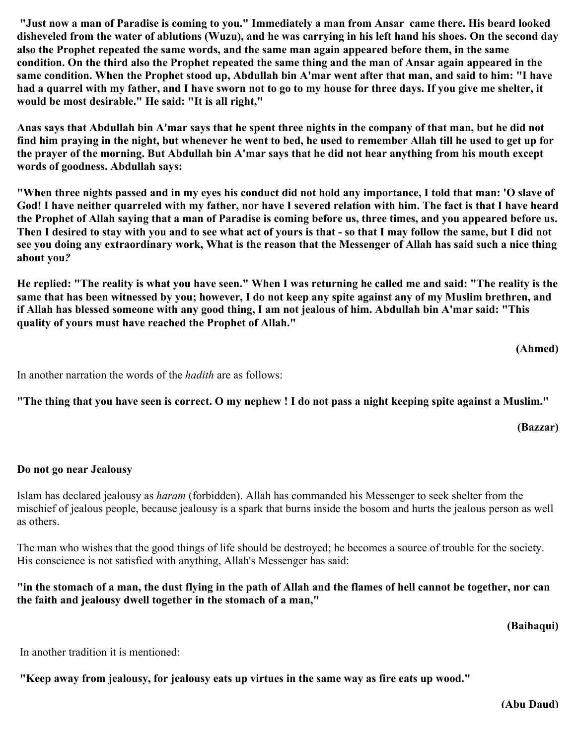**"Just now a man of Paradise is coming to you." Immediately a man from Ansar came there. His beard looked disheveled from the water of ablutions (Wuzu), and he was carrying in his left hand his shoes. On the second day also the Prophet repeated the same words, and the same man again appeared before them, in the same condition. On the third also the Prophet repeated the same thing and the man of Ansar again appeared in the same condition. When the Prophet stood up, Abdullah bin A'mar went after that man, and said to him: "I have had a quarrel with my father, and I have sworn not to go to my house for three days. If you give me shelter, it would be most desirable." He said: "It is all right,"**

**Anas says that Abdullah bin A'mar says that he spent three nights in the company of that man, but he did not find him praying in the night, but whenever he went to bed, he used to remember Allah till he used to get up for the prayer of the morning. But Abdullah bin A'mar says that he did not hear anything from his mouth except words of goodness. Abdullah says:**

**"When three nights passed and in my eyes his conduct did not hold any importance, I told that man: 'O slave of God! I have neither quarreled with my father, nor have I severed relation with him. The fact is that I have heard the Prophet of Allah saying that a man of Paradise is coming before us, three times, and you appeared before us. Then I desired to stay with you and to see what act of yours is that - so that I may follow the same, but I did not see you doing any extraordinary work, What is the reason that the Messenger of Allah has said such a nice thing about you***?*

**He replied: "The reality is what you have seen." When I was returning he called me and said: "The reality is the same that has been witnessed by you; however, I do not keep any spite against any of my Muslim brethren, and if Allah has blessed someone with any good thing, I am not jealous of him. Abdullah bin A'mar said: "This quality of yours must have reached the Prophet of Allah."**

**(Ahmed)**

In another narration the words of the *hadith* are as follows:

**"The thing that you have seen is correct. O my nephew ! I do not pass a night keeping spite against a Muslim."**

**(Bazzar)**

#### **Do not go near Jealousy**

Islam has declared jealousy as *haram* (forbidden). Allah has commanded his Messenger to seek shelter from the mischief of jealous people, because jealousy is a spark that burns inside the bosom and hurts the jealous person as well as others.

The man who wishes that the good things of life should be destroyed; he becomes a source of trouble for the society. His conscience is not satisfied with anything, Allah's Messenger has said:

#### **"in the stomach of a man, the dust flying in the path of Allah and the flames of hell cannot be together, nor can the faith and jealousy dwell together in the stomach of a man,"**

**(Baihaqui)**

In another tradition it is mentioned:

 **"Keep away from jealousy, for jealousy eats up virtues in the same way as fire eats up wood."**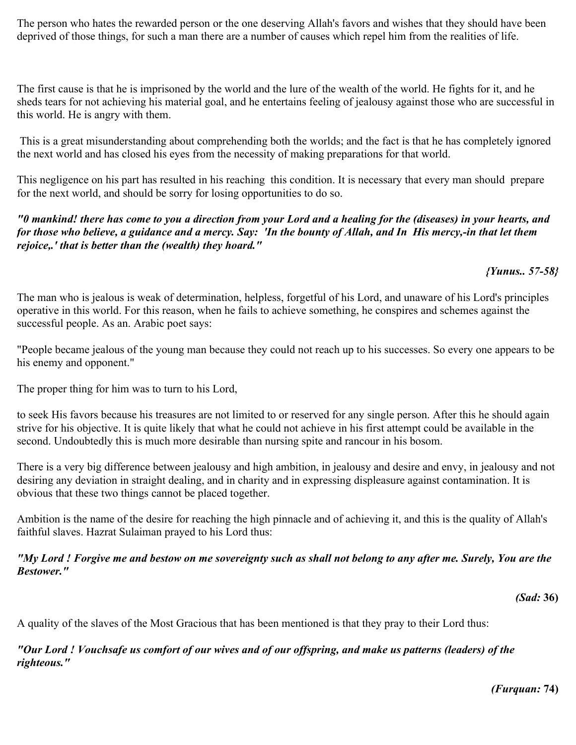The person who hates the rewarded person or the one deserving Allah's favors and wishes that they should have been deprived of those things, for such a man there are a number of causes which repel him from the realities of life.

The first cause is that he is imprisoned by the world and the lure of the wealth of the world. He fights for it, and he sheds tears for not achieving his material goal, and he entertains feeling of jealousy against those who are successful in this world. He is angry with them.

 This is a great misunderstanding about comprehending both the worlds; and the fact is that he has completely ignored the next world and has closed his eyes from the necessity of making preparations for that world.

This negligence on his part has resulted in his reaching this condition. It is necessary that every man should prepare for the next world, and should be sorry for losing opportunities to do so.

## *"0 mankind! there has come to you a direction from your Lord and a healing for the (diseases) in your hearts, and for those who believe, a guidance and a mercy. Say: 'In the bounty of Allah, and In His mercy,-in that let them rejoice,.' that is better than the (wealth) they hoard."*

 *{Yunus.. 57-58}*

The man who is jealous is weak of determination, helpless, forgetful of his Lord, and unaware of his Lord's principles operative in this world. For this reason, when he fails to achieve something, he conspires and schemes against the successful people. As an. Arabic poet says:

"People became jealous of the young man because they could not reach up to his successes. So every one appears to be his enemy and opponent."

The proper thing for him was to turn to his Lord,

to seek His favors because his treasures are not limited to or reserved for any single person. After this he should again strive for his objective. It is quite likely that what he could not achieve in his first attempt could be available in the second. Undoubtedly this is much more desirable than nursing spite and rancour in his bosom.

There is a very big difference between jealousy and high ambition, in jealousy and desire and envy, in jealousy and not desiring any deviation in straight dealing, and in charity and in expressing displeasure against contamination. It is obvious that these two things cannot be placed together.

Ambition is the name of the desire for reaching the high pinnacle and of achieving it, and this is the quality of Allah's faithful slaves. Hazrat Sulaiman prayed to his Lord thus:

## *"My Lord ! Forgive me and bestow on me sovereignty such as shall not belong to any after me. Surely, You are the Bestower."*

*(Sad:* **36)**

A quality of the slaves of the Most Gracious that has been mentioned is that they pray to their Lord thus:

## *"Our Lord ! Vouchsafe us comfort of our wives and of our offspring, and make us patterns (leaders) of the righteous."*

*(Furquan:* **74)**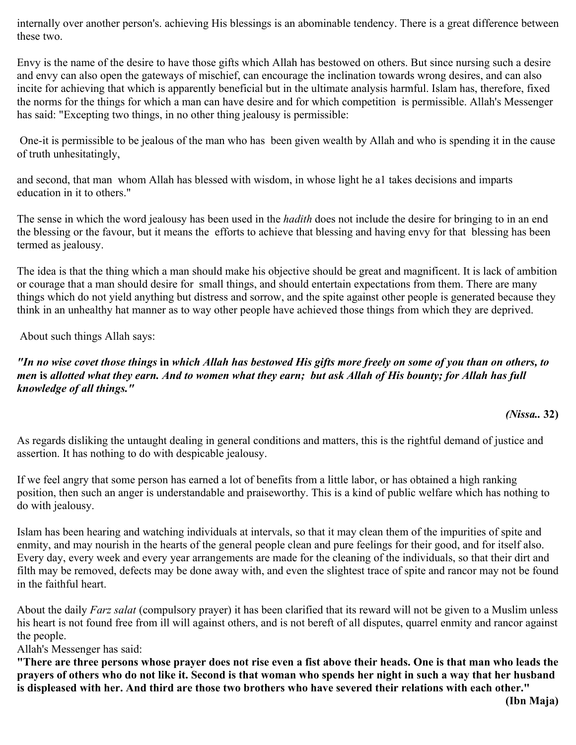internally over another person's. achieving His blessings is an abominable tendency. There is a great difference between these two.

Envy is the name of the desire to have those gifts which Allah has bestowed on others. But since nursing such a desire and envy can also open the gateways of mischief, can encourage the inclination towards wrong desires, and can also incite for achieving that which is apparently beneficial but in the ultimate analysis harmful. Islam has, therefore, fixed the norms for the things for which a man can have desire and for which competition is permissible. Allah's Messenger has said: "Excepting two things, in no other thing jealousy is permissible:

 One-it is permissible to be jealous of the man who has been given wealth by Allah and who is spending it in the cause of truth unhesitatingly,

and second, that man whom Allah has blessed with wisdom, in whose light he a1 takes decisions and imparts education in it to others."

The sense in which the word jealousy has been used in the *hadith* does not include the desire for bringing to in an end the blessing or the favour, but it means the efforts to achieve that blessing and having envy for that blessing has been termed as jealousy.

The idea is that the thing which a man should make his objective should be great and magnificent. It is lack of ambition or courage that a man should desire for small things, and should entertain expectations from them. There are many things which do not yield anything but distress and sorrow, and the spite against other people is generated because they think in an unhealthy hat manner as to way other people have achieved those things from which they are deprived.

About such things Allah says:

## *"In no wise covet those things* **in** *which Allah has bestowed His gifts more freely on some of you than on others, to men* **is** *allotted what they earn. And to women what they earn; but ask Allah of His bounty; for Allah has full knowledge of all things."*

*(Nissa..* **32)**

As regards disliking the untaught dealing in general conditions and matters, this is the rightful demand of justice and assertion. It has nothing to do with despicable jealousy.

If we feel angry that some person has earned a lot of benefits from a little labor, or has obtained a high ranking position, then such an anger is understandable and praiseworthy. This is a kind of public welfare which has nothing to do with jealousy.

Islam has been hearing and watching individuals at intervals, so that it may clean them of the impurities of spite and enmity, and may nourish in the hearts of the general people clean and pure feelings for their good, and for itself also. Every day, every week and every year arrangements are made for the cleaning of the individuals, so that their dirt and filth may be removed, defects may be done away with, and even the slightest trace of spite and rancor may not be found in the faithful heart.

About the daily *Farz salat* (compulsory prayer) it has been clarified that its reward will not be given to a Muslim unless his heart is not found free from ill will against others, and is not bereft of all disputes, quarrel enmity and rancor against the people.

Allah's Messenger has said:

**"There are three persons whose prayer does not rise even a fist above their heads. One is that man who leads the prayers of others who do not like it. Second is that woman who spends her night in such a way that her husband is displeased with her. And third are those two brothers who have severed their relations with each other."**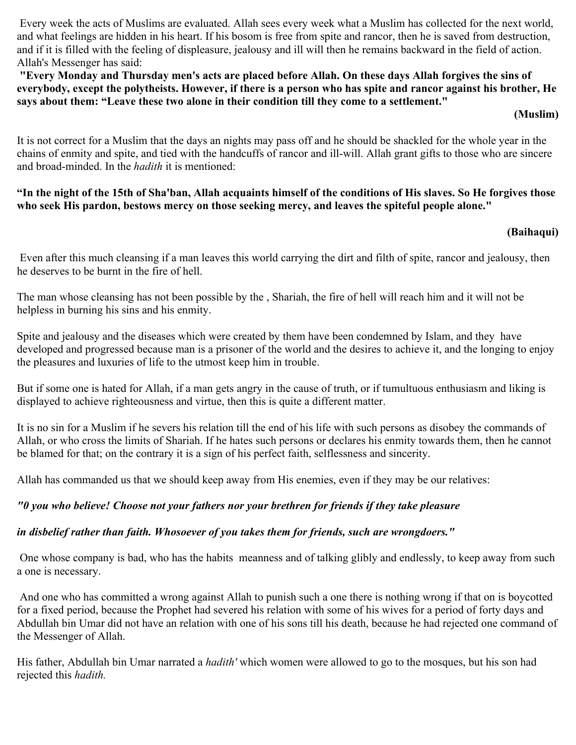Every week the acts of Muslims are evaluated. Allah sees every week what a Muslim has collected for the next world, and what feelings are hidden in his heart. If his bosom is free from spite and rancor, then he is saved from destruction, and if it is filled with the feeling of displeasure, jealousy and ill will then he remains backward in the field of action. Allah's Messenger has said:

 **"Every Monday and Thursday men's acts are placed before Allah. On these days Allah forgives the sins of everybody, except the polytheists. However, if there is a person who has spite and rancor against his brother, He says about them: "Leave these two alone in their condition till they come to a settlement."**

#### **(Muslim)**

It is not correct for a Muslim that the days an nights may pass off and he should be shackled for the whole year in the chains of enmity and spite, and tied with the handcuffs of rancor and ill-will. Allah grant gifts to those who are sincere and broad-minded. In the *hadith* it is mentioned:

## **"In the night of the 15th of Sha'ban, Allah acquaints himself of the conditions of His slaves. So He forgives those who seek His pardon, bestows mercy on those seeking mercy, and leaves the spiteful people alone."**

#### **(Baihaqui)**

 Even after this much cleansing if a man leaves this world carrying the dirt and filth of spite, rancor and jealousy, then he deserves to be burnt in the fire of hell.

The man whose cleansing has not been possible by the , Shariah, the fire of hell will reach him and it will not be helpless in burning his sins and his enmity.

Spite and jealousy and the diseases which were created by them have been condemned by Islam, and they have developed and progressed because man is a prisoner of the world and the desires to achieve it, and the longing to enjoy the pleasures and luxuries of life to the utmost keep him in trouble.

But if some one is hated for Allah, if a man gets angry in the cause of truth, or if tumultuous enthusiasm and liking is displayed to achieve righteousness and virtue, then this is quite a different matter.

It is no sin for a Muslim if he severs his relation till the end of his life with such persons as disobey the commands of Allah, or who cross the limits of Shariah. If he hates such persons or declares his enmity towards them, then he cannot be blamed for that; on the contrary it is a sign of his perfect faith, selflessness and sincerity.

Allah has commanded us that we should keep away from His enemies, even if they may be our relatives:

#### *"0 you who believe! Choose not your fathers nor your brethren for friends if they take pleasure*

#### *in disbelief rather than faith. Whosoever of you takes them for friends, such are wrongdoers."*

 One whose company is bad, who has the habits meanness and of talking glibly and endlessly, to keep away from such a one is necessary.

 And one who has committed a wrong against Allah to punish such a one there is nothing wrong if that on is boycotted for a fixed period, because the Prophet had severed his relation with some of his wives for a period of forty days and Abdullah bin Umar did not have an relation with one of his sons till his death, because he had rejected one command of the Messenger of Allah.

His father, Abdullah bin Umar narrated a *hadith'* which women were allowed to go to the mosques, but his son had rejected this *hadith.*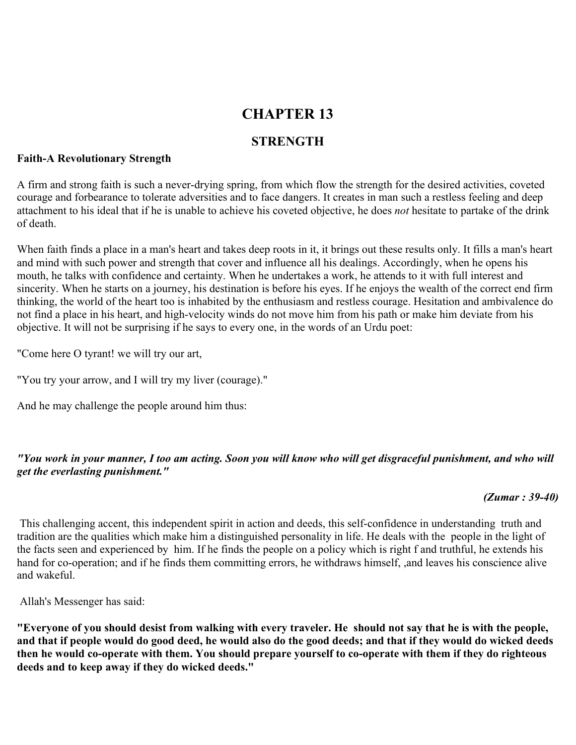# **CHAPTER 13**

## **STRENGTH**

#### **Faith-A Revolutionary Strength**

A firm and strong faith is such a never-drying spring, from which flow the strength for the desired activities, coveted courage and forbearance to tolerate adversities and to face dangers. It creates in man such a restless feeling and deep attachment to his ideal that if he is unable to achieve his coveted objective, he does *not* hesitate to partake of the drink of death.

When faith finds a place in a man's heart and takes deep roots in it, it brings out these results only. It fills a man's heart and mind with such power and strength that cover and influence all his dealings. Accordingly, when he opens his mouth, he talks with confidence and certainty. When he undertakes a work, he attends to it with full interest and sincerity. When he starts on a journey, his destination is before his eyes. If he enjoys the wealth of the correct end firm thinking, the world of the heart too is inhabited by the enthusiasm and restless courage. Hesitation and ambivalence do not find a place in his heart, and high-velocity winds do not move him from his path or make him deviate from his objective. It will not be surprising if he says to every one, in the words of an Urdu poet:

"Come here O tyrant! we will try our art,

"You try your arrow, and I will try my liver (courage)."

And he may challenge the people around him thus:

## *"You work in your manner, I too am acting. Soon you will know who will get disgraceful punishment, and who will get the everlasting punishment."*

## *(Zumar : 39-40)*

This challenging accent, this independent spirit in action and deeds, this self-confidence in understanding truth and tradition are the qualities which make him a distinguished personality in life. He deals with the people in the light of the facts seen and experienced by him. If he finds the people on a policy which is right f and truthful, he extends his hand for co-operation; and if he finds them committing errors, he withdraws himself, ,and leaves his conscience alive and wakeful.

Allah's Messenger has said:

**"Everyone of you should desist from walking with every traveler. He should not say that he is with the people, and that if people would do good deed, he would also do the good deeds; and that if they would do wicked deeds then he would co-operate with them. You should prepare yourself to co-operate with them if they do righteous deeds and to keep away if they do wicked deeds."**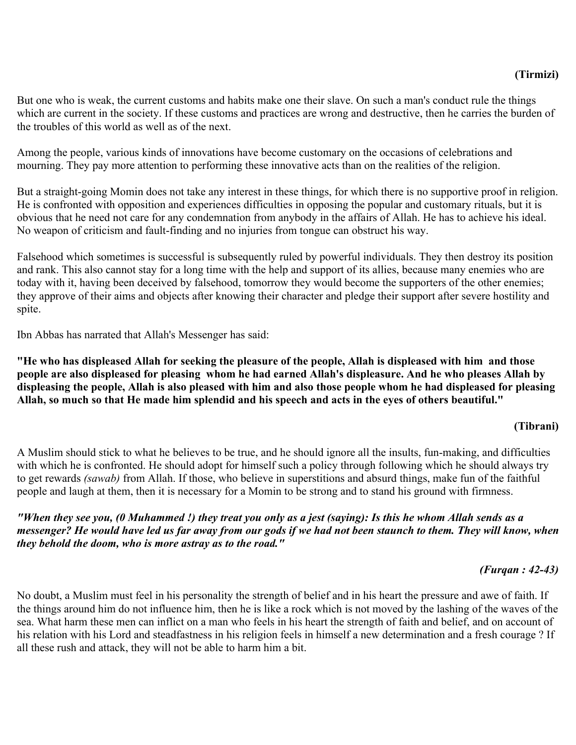But one who is weak, the current customs and habits make one their slave. On such a man's conduct rule the things which are current in the society. If these customs and practices are wrong and destructive, then he carries the burden of the troubles of this world as well as of the next.

Among the people, various kinds of innovations have become customary on the occasions of celebrations and mourning. They pay more attention to performing these innovative acts than on the realities of the religion.

But a straight-going Momin does not take any interest in these things, for which there is no supportive proof in religion. He is confronted with opposition and experiences difficulties in opposing the popular and customary rituals, but it is obvious that he need not care for any condemnation from anybody in the affairs of Allah. He has to achieve his ideal. No weapon of criticism and fault-finding and no injuries from tongue can obstruct his way.

Falsehood which sometimes is successful is subsequently ruled by powerful individuals. They then destroy its position and rank. This also cannot stay for a long time with the help and support of its allies, because many enemies who are today with it, having been deceived by falsehood, tomorrow they would become the supporters of the other enemies; they approve of their aims and objects after knowing their character and pledge their support after severe hostility and spite.

Ibn Abbas has narrated that Allah's Messenger has said:

**"He who has displeased Allah for seeking the pleasure of the people, Allah is displeased with him and those people are also displeased for pleasing whom he had earned Allah's displeasure. And he who pleases Allah by displeasing the people, Allah is also pleased with him and also those people whom he had displeased for pleasing Allah, so much so that He made him splendid and his speech and acts in the eyes of others beautiful."**

#### **(Tibrani)**

A Muslim should stick to what he believes to be true, and he should ignore all the insults, fun-making, and difficulties with which he is confronted. He should adopt for himself such a policy through following which he should always try to get rewards *(sawab)* from Allah. If those, who believe in superstitions and absurd things, make fun of the faithful people and laugh at them, then it is necessary for a Momin to be strong and to stand his ground with firmness.

#### *"When they see you, (0 Muhammed !) they treat you only as a jest (saying): Is this he whom Allah sends as a messenger? He would have led us far away from our gods if we had not been staunch to them. They will know, when they behold the doom, who is more astray as to the road."*

#### *(Furqan : 42-43)*

No doubt, a Muslim must feel in his personality the strength of belief and in his heart the pressure and awe of faith. If the things around him do not influence him, then he is like a rock which is not moved by the lashing of the waves of the sea. What harm these men can inflict on a man who feels in his heart the strength of faith and belief, and on account of his relation with his Lord and steadfastness in his religion feels in himself a new determination and a fresh courage ? If all these rush and attack, they will not be able to harm him a bit.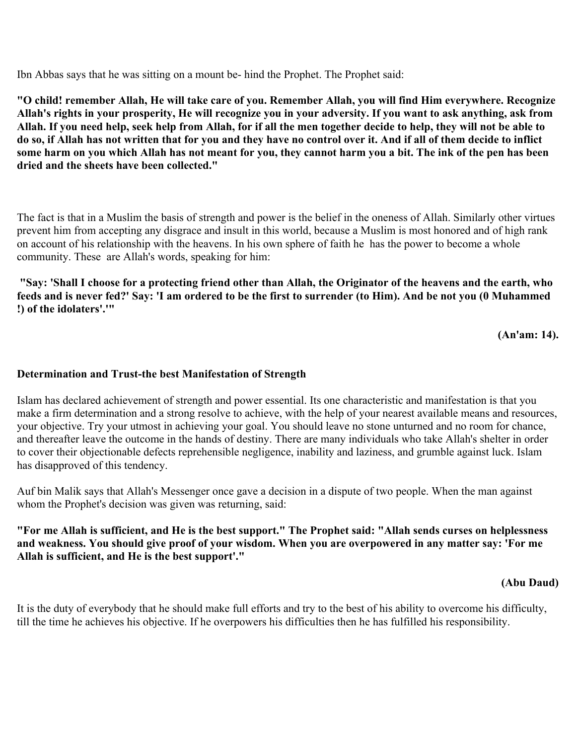Ibn Abbas says that he was sitting on a mount be- hind the Prophet. The Prophet said:

**"O child! remember Allah, He will take care of you. Remember Allah, you will find Him everywhere. Recognize Allah's rights in your prosperity, He will recognize you in your adversity. If you want to ask anything, ask from Allah. If you need help, seek help from Allah, for if all the men together decide to help, they will not be able to do so, if Allah has not written that for you and they have no control over it. And if all of them decide to inflict some harm on you which Allah has not meant for you, they cannot harm you a bit. The ink of the pen has been dried and the sheets have been collected."**

The fact is that in a Muslim the basis of strength and power is the belief in the oneness of Allah. Similarly other virtues prevent him from accepting any disgrace and insult in this world, because a Muslim is most honored and of high rank on account of his relationship with the heavens. In his own sphere of faith he has the power to become a whole community. These are Allah's words, speaking for him:

**"Say: 'Shall I choose for a protecting friend other than Allah, the Originator of the heavens and the earth, who feeds and is never fed?' Say: 'I am ordered to be the first to surrender (to Him). And be not you (0 Muhammed !) of the idolaters'.'"**

**(An'am: 14).**

### **Determination and Trust-the best Manifestation of Strength**

Islam has declared achievement of strength and power essential. Its one characteristic and manifestation is that you make a firm determination and a strong resolve to achieve, with the help of your nearest available means and resources, your objective. Try your utmost in achieving your goal. You should leave no stone unturned and no room for chance, and thereafter leave the outcome in the hands of destiny. There are many individuals who take Allah's shelter in order to cover their objectionable defects reprehensible negligence, inability and laziness, and grumble against luck. Islam has disapproved of this tendency.

Auf bin Malik says that Allah's Messenger once gave a decision in a dispute of two people. When the man against whom the Prophet's decision was given was returning, said:

## **"For me Allah is sufficient, and He is the best support." The Prophet said: "Allah sends curses on helplessness and weakness. You should give proof of your wisdom. When you are overpowered in any matter say: 'For me Allah is sufficient, and He is the best support'."**

#### **(Abu Daud)**

It is the duty of everybody that he should make full efforts and try to the best of his ability to overcome his difficulty, till the time he achieves his objective. If he overpowers his difficulties then he has fulfilled his responsibility.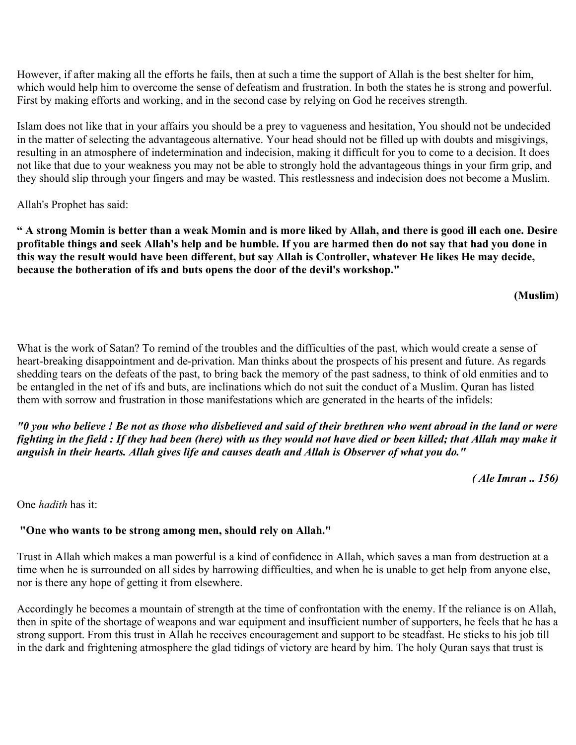However, if after making all the efforts he fails, then at such a time the support of Allah is the best shelter for him, which would help him to overcome the sense of defeatism and frustration. In both the states he is strong and powerful. First by making efforts and working, and in the second case by relying on God he receives strength.

Islam does not like that in your affairs you should be a prey to vagueness and hesitation, You should not be undecided in the matter of selecting the advantageous alternative. Your head should not be filled up with doubts and misgivings, resulting in an atmosphere of indetermination and indecision, making it difficult for you to come to a decision. It does not like that due to your weakness you may not be able to strongly hold the advantageous things in your firm grip, and they should slip through your fingers and may be wasted. This restlessness and indecision does not become a Muslim.

Allah's Prophet has said:

**" A strong Momin is better than a weak Momin and is more liked by Allah, and there is good ill each one. Desire profitable things and seek Allah's help and be humble. If you are harmed then do not say that had you done in this way the result would have been different, but say Allah is Controller, whatever He likes He may decide, because the botheration of ifs and buts opens the door of the devil's workshop."**

What is the work of Satan? To remind of the troubles and the difficulties of the past, which would create a sense of heart-breaking disappointment and de-privation. Man thinks about the prospects of his present and future. As regards shedding tears on the defeats of the past, to bring back the memory of the past sadness, to think of old enmities and to be entangled in the net of ifs and buts, are inclinations which do not suit the conduct of a Muslim. Quran has listed them with sorrow and frustration in those manifestations which are generated in the hearts of the infidels:

*"0 you who believe ! Be not as those who disbelieved and said of their brethren who went abroad in the land or were fighting in the field : If they had been (here) with us they would not have died or been killed; that Allah may make it anguish in their hearts. Allah gives life and causes death and Allah is Observer of what you do."*

*( Ale Imran .. 156)*

One *hadith* has it:

## **"One who wants to be strong among men, should rely on Allah."**

Trust in Allah which makes a man powerful is a kind of confidence in Allah, which saves a man from destruction at a time when he is surrounded on all sides by harrowing difficulties, and when he is unable to get help from anyone else, nor is there any hope of getting it from elsewhere.

Accordingly he becomes a mountain of strength at the time of confrontation with the enemy. If the reliance is on Allah, then in spite of the shortage of weapons and war equipment and insufficient number of supporters, he feels that he has a strong support. From this trust in Allah he receives encouragement and support to be steadfast. He sticks to his job till in the dark and frightening atmosphere the glad tidings of victory are heard by him. The holy Quran says that trust is

**<sup>(</sup>Muslim)**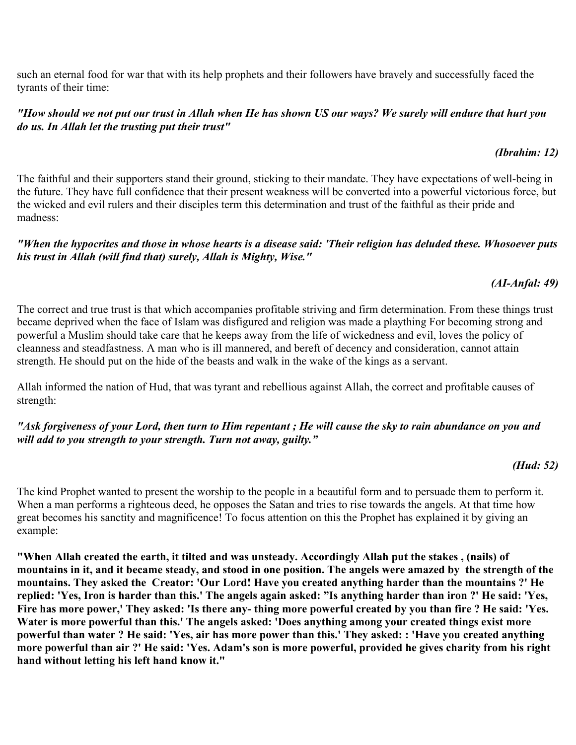such an eternal food for war that with its help prophets and their followers have bravely and successfully faced the tyrants of their time:

## *"How should we not put our trust in Allah when He has shown US our ways? We surely will endure that hurt you do us. In Allah let the trusting put their trust"*

#### *(Ibrahim: 12)*

The faithful and their supporters stand their ground, sticking to their mandate. They have expectations of well-being in the future. They have full confidence that their present weakness will be converted into a powerful victorious force, but the wicked and evil rulers and their disciples term this determination and trust of the faithful as their pride and madness:

#### *"When the hypocrites and those in whose hearts is a disease said: 'Their religion has deluded these. Whosoever puts his trust in Allah (will find that) surely, Allah is Mighty, Wise."*

## *(AI-Anfal: 49)*

The correct and true trust is that which accompanies profitable striving and firm determination. From these things trust became deprived when the face of Islam was disfigured and religion was made a plaything For becoming strong and powerful a Muslim should take care that he keeps away from the life of wickedness and evil, loves the policy of cleanness and steadfastness. A man who is ill mannered, and bereft of decency and consideration, cannot attain strength. He should put on the hide of the beasts and walk in the wake of the kings as a servant.

Allah informed the nation of Hud, that was tyrant and rebellious against Allah, the correct and profitable causes of strength:

### *"Ask forgiveness of your Lord, then turn to Him repentant ; He will cause the sky to rain abundance on you and will add to you strength to your strength. Turn not away, guilty."*

#### *(Hud: 52)*

The kind Prophet wanted to present the worship to the people in a beautiful form and to persuade them to perform it. When a man performs a righteous deed, he opposes the Satan and tries to rise towards the angels. At that time how great becomes his sanctity and magnificence! To focus attention on this the Prophet has explained it by giving an example:

**"When Allah created the earth, it tilted and was unsteady. Accordingly Allah put the stakes , (nails) of mountains in it, and it became steady, and stood in one position. The angels were amazed by the strength of the mountains. They asked the Creator: 'Our Lord! Have you created anything harder than the mountains ?' He replied: 'Yes, Iron is harder than this.' The angels again asked: "Is anything harder than iron ?' He said: 'Yes, Fire has more power,' They asked: 'Is there any- thing more powerful created by you than fire ? He said: 'Yes. Water is more powerful than this.' The angels asked: 'Does anything among your created things exist more powerful than water ? He said: 'Yes, air has more power than this.' They asked: : 'Have you created anything more powerful than air ?' He said: 'Yes. Adam's son is more powerful, provided he gives charity from his right hand without letting his left hand know it."**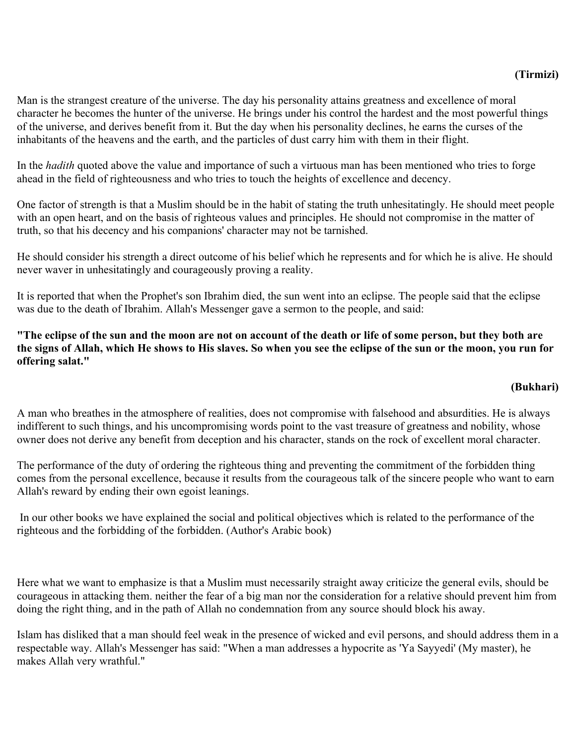Man is the strangest creature of the universe. The day his personality attains greatness and excellence of moral character he becomes the hunter of the universe. He brings under his control the hardest and the most powerful things of the universe, and derives benefit from it. But the day when his personality declines, he earns the curses of the inhabitants of the heavens and the earth, and the particles of dust carry him with them in their flight.

In the *hadith* quoted above the value and importance of such a virtuous man has been mentioned who tries to forge ahead in the field of righteousness and who tries to touch the heights of excellence and decency.

One factor of strength is that a Muslim should be in the habit of stating the truth unhesitatingly. He should meet people with an open heart, and on the basis of righteous values and principles. He should not compromise in the matter of truth, so that his decency and his companions' character may not be tarnished.

He should consider his strength a direct outcome of his belief which he represents and for which he is alive. He should never waver in unhesitatingly and courageously proving a reality.

It is reported that when the Prophet's son Ibrahim died, the sun went into an eclipse. The people said that the eclipse was due to the death of Ibrahim. Allah's Messenger gave a sermon to the people, and said:

**"The eclipse of the sun and the moon are not on account of the death or life of some person, but they both are the signs of Allah, which He shows to His slaves. So when you see the eclipse of the sun or the moon, you run for offering salat."**

## **(Bukhari)**

A man who breathes in the atmosphere of realities, does not compromise with falsehood and absurdities. He is always indifferent to such things, and his uncompromising words point to the vast treasure of greatness and nobility, whose owner does not derive any benefit from deception and his character, stands on the rock of excellent moral character.

The performance of the duty of ordering the righteous thing and preventing the commitment of the forbidden thing comes from the personal excellence, because it results from the courageous talk of the sincere people who want to earn Allah's reward by ending their own egoist leanings.

 In our other books we have explained the social and political objectives which is related to the performance of the righteous and the forbidding of the forbidden. (Author's Arabic book)

Here what we want to emphasize is that a Muslim must necessarily straight away criticize the general evils, should be courageous in attacking them. neither the fear of a big man nor the consideration for a relative should prevent him from doing the right thing, and in the path of Allah no condemnation from any source should block his away.

Islam has disliked that a man should feel weak in the presence of wicked and evil persons, and should address them in a respectable way. Allah's Messenger has said: "When a man addresses a hypocrite as 'Ya Sayyedi' (My master), he makes Allah very wrathful."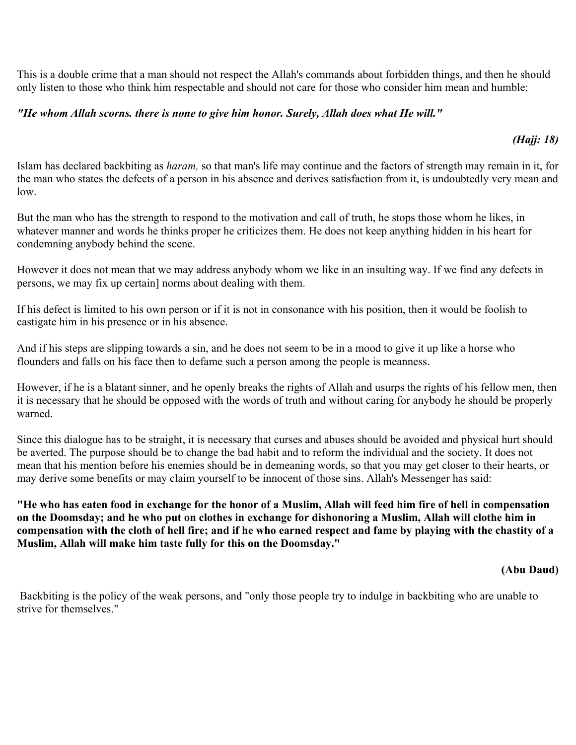This is a double crime that a man should not respect the Allah's commands about forbidden things, and then he should only listen to those who think him respectable and should not care for those who consider him mean and humble:

### *"He whom Allah scorns. there is none to give him honor. Surely, Allah does what He will."*

### *(Hajj: 18)*

Islam has declared backbiting as *haram,* so that man's life may continue and the factors of strength may remain in it, for the man who states the defects of a person in his absence and derives satisfaction from it, is undoubtedly very mean and low.

But the man who has the strength to respond to the motivation and call of truth, he stops those whom he likes, in whatever manner and words he thinks proper he criticizes them. He does not keep anything hidden in his heart for condemning anybody behind the scene.

However it does not mean that we may address anybody whom we like in an insulting way. If we find any defects in persons, we may fix up certain] norms about dealing with them.

If his defect is limited to his own person or if it is not in consonance with his position, then it would be foolish to castigate him in his presence or in his absence.

And if his steps are slipping towards a sin, and he does not seem to be in a mood to give it up like a horse who flounders and falls on his face then to defame such a person among the people is meanness.

However, if he is a blatant sinner, and he openly breaks the rights of Allah and usurps the rights of his fellow men, then it is necessary that he should be opposed with the words of truth and without caring for anybody he should be properly warned.

Since this dialogue has to be straight, it is necessary that curses and abuses should be avoided and physical hurt should be averted. The purpose should be to change the bad habit and to reform the individual and the society. It does not mean that his mention before his enemies should be in demeaning words, so that you may get closer to their hearts, or may derive some benefits or may claim yourself to be innocent of those sins. Allah's Messenger has said:

**"He who has eaten food in exchange for the honor of a Muslim, Allah will feed him fire of hell in compensation on the Doomsday; and he who put on clothes in exchange for dishonoring a Muslim, Allah will clothe him in compensation with the cloth of hell fire; and if he who earned respect and fame by playing with the chastity of a Muslim, Allah will make him taste fully for this on the Doomsday."**

#### **(Abu Daud)**

 Backbiting is the policy of the weak persons, and "only those people try to indulge in backbiting who are unable to strive for themselves."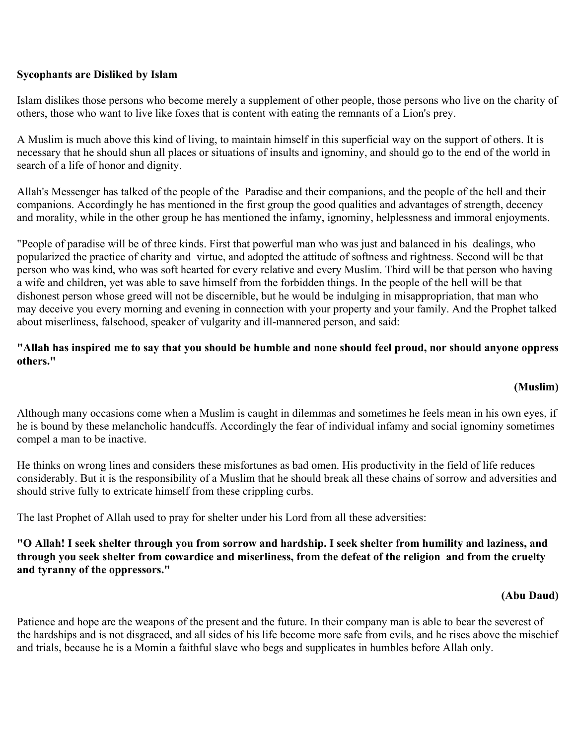### **Sycophants are Disliked by Islam**

Islam dislikes those persons who become merely a supplement of other people, those persons who live on the charity of others, those who want to live like foxes that is content with eating the remnants of a Lion's prey.

A Muslim is much above this kind of living, to maintain himself in this superficial way on the support of others. It is necessary that he should shun all places or situations of insults and ignominy, and should go to the end of the world in search of a life of honor and dignity.

Allah's Messenger has talked of the people of the Paradise and their companions, and the people of the hell and their companions. Accordingly he has mentioned in the first group the good qualities and advantages of strength, decency and morality, while in the other group he has mentioned the infamy, ignominy, helplessness and immoral enjoyments.

"People of paradise will be of three kinds. First that powerful man who was just and balanced in his dealings, who popularized the practice of charity and virtue, and adopted the attitude of softness and rightness. Second will be that person who was kind, who was soft hearted for every relative and every Muslim. Third will be that person who having a wife and children, yet was able to save himself from the forbidden things. In the people of the hell will be that dishonest person whose greed will not be discernible, but he would be indulging in misappropriation, that man who may deceive you every morning and evening in connection with your property and your family. And the Prophet talked about miserliness, falsehood, speaker of vulgarity and ill-mannered person, and said:

**"Allah has inspired me to say that you should be humble and none should feel proud, nor should anyone oppress others."**

#### **(Muslim)**

Although many occasions come when a Muslim is caught in dilemmas and sometimes he feels mean in his own eyes, if he is bound by these melancholic handcuffs. Accordingly the fear of individual infamy and social ignominy sometimes compel a man to be inactive.

He thinks on wrong lines and considers these misfortunes as bad omen. His productivity in the field of life reduces considerably. But it is the responsibility of a Muslim that he should break all these chains of sorrow and adversities and should strive fully to extricate himself from these crippling curbs.

The last Prophet of Allah used to pray for shelter under his Lord from all these adversities:

### **"O Allah! I seek shelter through you from sorrow and hardship. I seek shelter from humility and laziness, and through you seek shelter from cowardice and miserliness, from the defeat of the religion and from the cruelty and tyranny of the oppressors."**

#### **(Abu Daud)**

Patience and hope are the weapons of the present and the future. In their company man is able to bear the severest of the hardships and is not disgraced, and all sides of his life become more safe from evils, and he rises above the mischief and trials, because he is a Momin a faithful slave who begs and supplicates in humbles before Allah only.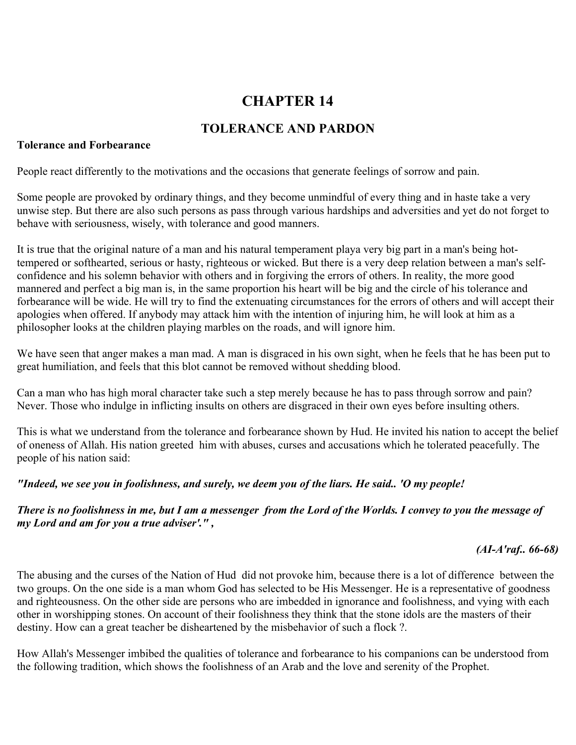# **CHAPTER 14**

## **TOLERANCE AND PARDON**

### **Tolerance and Forbearance**

People react differently to the motivations and the occasions that generate feelings of sorrow and pain.

Some people are provoked by ordinary things, and they become unmindful of every thing and in haste take a very unwise step. But there are also such persons as pass through various hardships and adversities and yet do not forget to behave with seriousness, wisely, with tolerance and good manners.

It is true that the original nature of a man and his natural temperament playa very big part in a man's being hottempered or softhearted, serious or hasty, righteous or wicked. But there is a very deep relation between a man's selfconfidence and his solemn behavior with others and in forgiving the errors of others. In reality, the more good mannered and perfect a big man is, in the same proportion his heart will be big and the circle of his tolerance and forbearance will be wide. He will try to find the extenuating circumstances for the errors of others and will accept their apologies when offered. If anybody may attack him with the intention of injuring him, he will look at him as a philosopher looks at the children playing marbles on the roads, and will ignore him.

We have seen that anger makes a man mad. A man is disgraced in his own sight, when he feels that he has been put to great humiliation, and feels that this blot cannot be removed without shedding blood.

Can a man who has high moral character take such a step merely because he has to pass through sorrow and pain? Never. Those who indulge in inflicting insults on others are disgraced in their own eyes before insulting others.

This is what we understand from the tolerance and forbearance shown by Hud. He invited his nation to accept the belief of oneness of Allah. His nation greeted him with abuses, curses and accusations which he tolerated peacefully. The people of his nation said:

## *"Indeed, we see you in foolishness, and surely, we deem you of the liars. He said.. 'O my people!*

## *There is no foolishness in me, but I am a messenger from the Lord of the Worlds. I convey to you the message of my Lord and am for you a true adviser'." ,*

## *(AI-A'raf.. 66-68)*

The abusing and the curses of the Nation of Hud did not provoke him, because there is a lot of difference between the two groups. On the one side is a man whom God has selected to be His Messenger. He is a representative of goodness and righteousness. On the other side are persons who are imbedded in ignorance and foolishness, and vying with each other in worshipping stones. On account of their foolishness they think that the stone idols are the masters of their destiny. How can a great teacher be disheartened by the misbehavior of such a flock ?.

How Allah's Messenger imbibed the qualities of tolerance and forbearance to his companions can be understood from the following tradition, which shows the foolishness of an Arab and the love and serenity of the Prophet.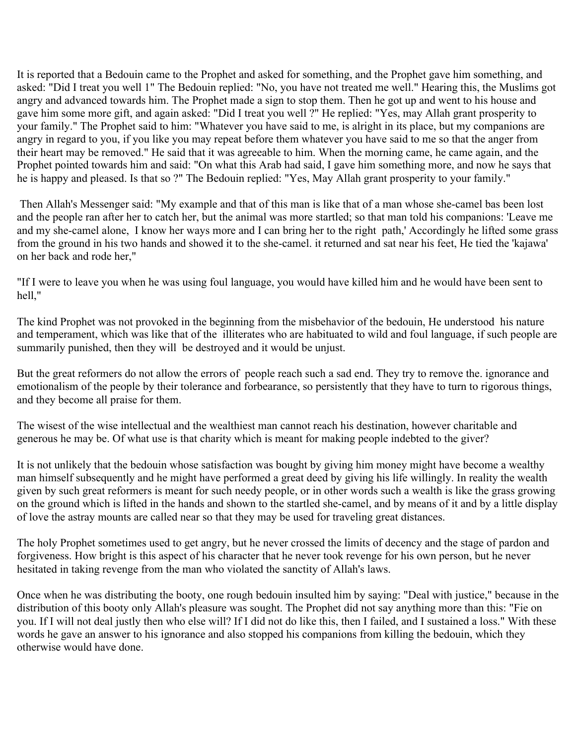It is reported that a Bedouin came to the Prophet and asked for something, and the Prophet gave him something, and asked: "Did I treat you well 1" The Bedouin replied: "No, you have not treated me well." Hearing this, the Muslims got angry and advanced towards him. The Prophet made a sign to stop them. Then he got up and went to his house and gave him some more gift, and again asked: "Did I treat you well ?" He replied: "Yes, may Allah grant prosperity to your family." The Prophet said to him: "Whatever you have said to me, is alright in its place, but my companions are angry in regard to you, if you like you may repeat before them whatever you have said to me so that the anger from their heart may be removed." He said that it was agreeable to him. When the morning came, he came again, and the Prophet pointed towards him and said: "On what this Arab had said, I gave him something more, and now he says that he is happy and pleased. Is that so ?" The Bedouin replied: "Yes, May Allah grant prosperity to your family."

 Then Allah's Messenger said: "My example and that of this man is like that of a man whose she-camel bas been lost and the people ran after her to catch her, but the animal was more startled; so that man told his companions: 'Leave me and my she-camel alone, I know her ways more and I can bring her to the right path,' Accordingly he lifted some grass from the ground in his two hands and showed it to the she-camel. it returned and sat near his feet, He tied the 'kajawa' on her back and rode her,"

"If I were to leave you when he was using foul language, you would have killed him and he would have been sent to hell,"

The kind Prophet was not provoked in the beginning from the misbehavior of the bedouin, He understood his nature and temperament, which was like that of the illiterates who are habituated to wild and foul language, if such people are summarily punished, then they will be destroyed and it would be unjust.

But the great reformers do not allow the errors of people reach such a sad end. They try to remove the. ignorance and emotionalism of the people by their tolerance and forbearance, so persistently that they have to turn to rigorous things, and they become all praise for them.

The wisest of the wise intellectual and the wealthiest man cannot reach his destination, however charitable and generous he may be. Of what use is that charity which is meant for making people indebted to the giver?

It is not unlikely that the bedouin whose satisfaction was bought by giving him money might have become a wealthy man himself subsequently and he might have performed a great deed by giving his life willingly. In reality the wealth given by such great reformers is meant for such needy people, or in other words such a wealth is like the grass growing on the ground which is lifted in the hands and shown to the startled she-camel, and by means of it and by a little display of love the astray mounts are called near so that they may be used for traveling great distances.

The holy Prophet sometimes used to get angry, but he never crossed the limits of decency and the stage of pardon and forgiveness. How bright is this aspect of his character that he never took revenge for his own person, but he never hesitated in taking revenge from the man who violated the sanctity of Allah's laws.

Once when he was distributing the booty, one rough bedouin insulted him by saying: "Deal with justice," because in the distribution of this booty only Allah's pleasure was sought. The Prophet did not say anything more than this: "Fie on you. If I will not deal justly then who else will? If I did not do like this, then I failed, and I sustained a loss." With these words he gave an answer to his ignorance and also stopped his companions from killing the bedouin, which they otherwise would have done.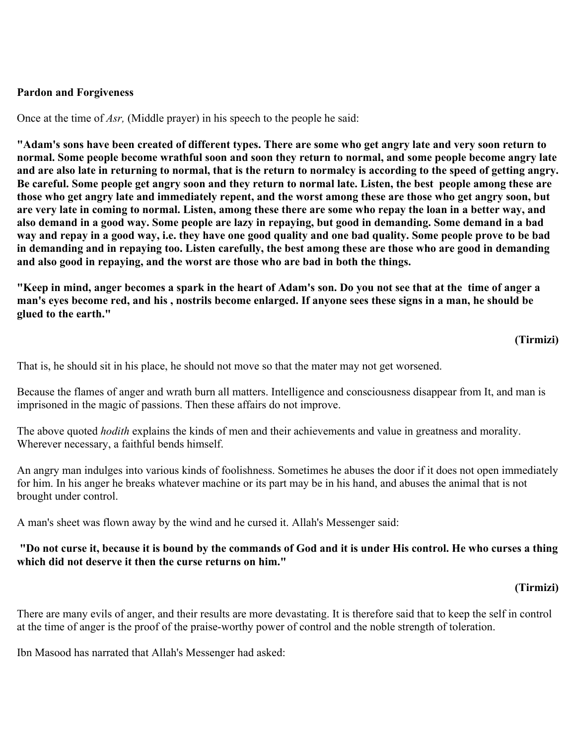#### **Pardon and Forgiveness**

Once at the time of *Asr,* (Middle prayer) in his speech to the people he said:

**"Adam's sons have been created of different types. There are some who get angry late and very soon return to normal. Some people become wrathful soon and soon they return to normal, and some people become angry late and are also late in returning to normal, that is the return to normalcy is according to the speed of getting angry. Be careful. Some people get angry soon and they return to normal late. Listen, the best people among these are those who get angry late and immediately repent, and the worst among these are those who get angry soon, but are very late in coming to normal. Listen, among these there are some who repay the loan in a better way, and also demand in a good way. Some people are lazy in repaying, but good in demanding. Some demand in a bad way and repay in a good way, i.e. they have one good quality and one bad quality. Some people prove to be bad in demanding and in repaying too. Listen carefully, the best among these are those who are good in demanding and also good in repaying, and the worst are those who are bad in both the things.**

**"Keep in mind, anger becomes a spark in the heart of Adam's son. Do you not see that at the time of anger a man's eyes become red, and his , nostrils become enlarged. If anyone sees these signs in a man, he should be glued to the earth."**

**(Tirmizi)**

That is, he should sit in his place, he should not move so that the mater may not get worsened.

Because the flames of anger and wrath burn all matters. Intelligence and consciousness disappear from It, and man is imprisoned in the magic of passions. Then these affairs do not improve.

The above quoted *hodith* explains the kinds of men and their achievements and value in greatness and morality. Wherever necessary, a faithful bends himself.

An angry man indulges into various kinds of foolishness. Sometimes he abuses the door if it does not open immediately for him. In his anger he breaks whatever machine or its part may be in his hand, and abuses the animal that is not brought under control.

A man's sheet was flown away by the wind and he cursed it. Allah's Messenger said:

#### **"Do not curse it, because it is bound by the commands of God and it is under His control. He who curses a thing which did not deserve it then the curse returns on him."**

**(Tirmizi)**

There are many evils of anger, and their results are more devastating. It is therefore said that to keep the self in control at the time of anger is the proof of the praise-worthy power of control and the noble strength of toleration.

Ibn Masood has narrated that Allah's Messenger had asked: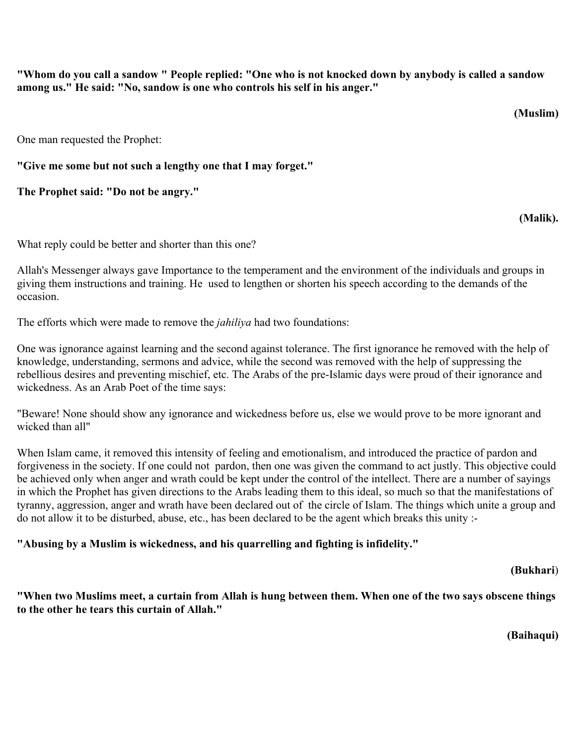**"Whom do you call a sandow " People replied: "One who is not knocked down by anybody is called a sandow among us." He said: "No, sandow is one who controls his self in his anger."**

**(Muslim)**

One man requested the Prophet:

**"Give me some but not such a lengthy one that I may forget."**

**The Prophet said: "Do not be angry."**

**(Malik).**

What reply could be better and shorter than this one?

Allah's Messenger always gave Importance to the temperament and the environment of the individuals and groups in giving them instructions and training. He used to lengthen or shorten his speech according to the demands of the occasion.

The efforts which were made to remove the *jahiliya* had two foundations:

One was ignorance against learning and the second against tolerance. The first ignorance he removed with the help of knowledge, understanding, sermons and advice, while the second was removed with the help of suppressing the rebellious desires and preventing mischief, etc. The Arabs of the pre-Islamic days were proud of their ignorance and wickedness. As an Arab Poet of the time says:

"Beware! None should show any ignorance and wickedness before us, else we would prove to be more ignorant and wicked than all"

When Islam came, it removed this intensity of feeling and emotionalism, and introduced the practice of pardon and forgiveness in the society. If one could not pardon, then one was given the command to act justly. This objective could be achieved only when anger and wrath could be kept under the control of the intellect. There are a number of sayings in which the Prophet has given directions to the Arabs leading them to this ideal, so much so that the manifestations of tyranny, aggression, anger and wrath have been declared out of the circle of Islam. The things which unite a group and do not allow it to be disturbed, abuse, etc., has been declared to be the agent which breaks this unity :-

**"Abusing by a Muslim is wickedness, and his quarrelling and fighting is infidelity."**

**(Bukhari**)

**"When two Muslims meet, a curtain from Allah is hung between them. When one of the two says obscene things to the other he tears this curtain of Allah."**

**(Baihaqui)**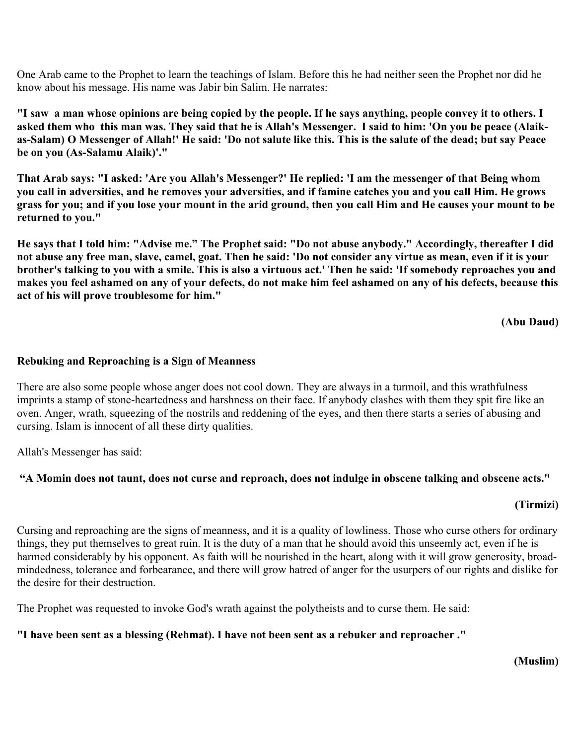One Arab came to the Prophet to learn the teachings of Islam. Before this he had neither seen the Prophet nor did he know about his message. His name was Jabir bin Salim. He narrates:

**"I saw a man whose opinions are being copied by the people. If he says anything, people convey it to others. I asked them who this man was. They said that he is Allah's Messenger. I said to him: 'On you be peace (Alaikas-Salam) O Messenger of Allah!' He said: 'Do not salute like this. This is the salute of the dead; but say Peace be on you (As-Salamu Alaik)'."**

**That Arab says: "I asked: 'Are you Allah's Messenger?' He replied: 'I am the messenger of that Being whom you call in adversities, and he removes your adversities, and if famine catches you and you call Him. He grows grass for you; and if you lose your mount in the arid ground, then you call Him and He causes your mount to be returned to you."**

**He says that I told him: "Advise me." The Prophet said: "Do not abuse anybody." Accordingly, thereafter I did not abuse any free man, slave, camel, goat. Then he said: 'Do not consider any virtue as mean, even if it is your brother's talking to you with a smile. This is also a virtuous act.' Then he said: 'If somebody reproaches you and makes you feel ashamed on any of your defects, do not make him feel ashamed on any of his defects, because this act of his will prove troublesome for him."**

**(Abu Daud)**

#### **Rebuking and Reproaching is a Sign of Meanness**

There are also some people whose anger does not cool down. They are always in a turmoil, and this wrathfulness imprints a stamp of stone-heartedness and harshness on their face. If anybody clashes with them they spit fire like an oven. Anger, wrath, squeezing of the nostrils and reddening of the eyes, and then there starts a series of abusing and cursing. Islam is innocent of all these dirty qualities.

Allah's Messenger has said:

## **"A Momin does not taunt, does not curse and reproach, does not indulge in obscene talking and obscene acts."**

## **(Tirmizi)**

Cursing and reproaching are the signs of meanness, and it is a quality of lowliness. Those who curse others for ordinary things, they put themselves to great ruin. It is the duty of a man that he should avoid this unseemly act, even if he is harmed considerably by his opponent. As faith will be nourished in the heart, along with it will grow generosity, broadmindedness, tolerance and forbearance, and there will grow hatred of anger for the usurpers of our rights and dislike for the desire for their destruction.

The Prophet was requested to invoke God's wrath against the polytheists and to curse them. He said:

## **"I have been sent as a blessing (Rehmat). I have not been sent as a rebuker and reproacher ."**

**(Muslim)**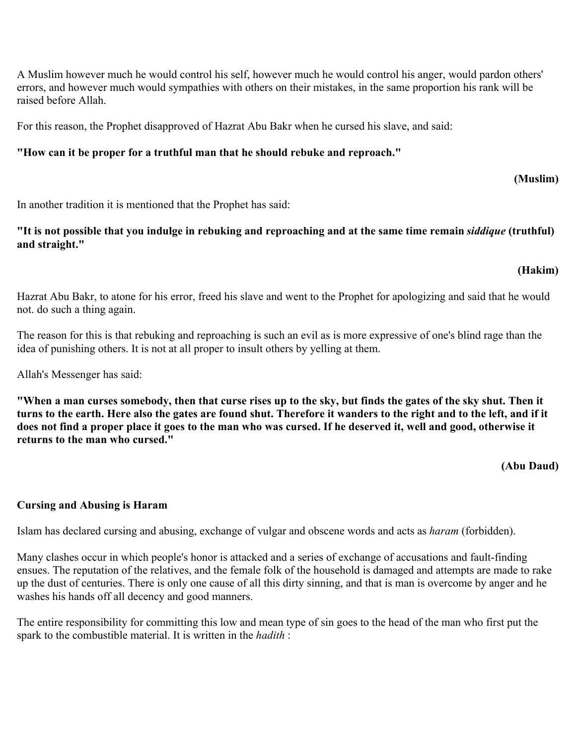A Muslim however much he would control his self, however much he would control his anger, would pardon others' errors, and however much would sympathies with others on their mistakes, in the same proportion his rank will be raised before Allah.

For this reason, the Prophet disapproved of Hazrat Abu Bakr when he cursed his slave, and said:

## **"How can it be proper for a truthful man that he should rebuke and reproach."**

**(Muslim)**

In another tradition it is mentioned that the Prophet has said:

**"It is not possible that you indulge in rebuking and reproaching and at the same time remain** *siddique* **(truthful) and straight."**

#### **(Hakim)**

Hazrat Abu Bakr, to atone for his error, freed his slave and went to the Prophet for apologizing and said that he would not. do such a thing again.

The reason for this is that rebuking and reproaching is such an evil as is more expressive of one's blind rage than the idea of punishing others. It is not at all proper to insult others by yelling at them.

Allah's Messenger has said:

**"When a man curses somebody, then that curse rises up to the sky, but finds the gates of the sky shut. Then it turns to the earth. Here also the gates are found shut. Therefore it wanders to the right and to the left, and if it does not find a proper place it goes to the man who was cursed. If he deserved it, well and good, otherwise it returns to the man who cursed."**

## **(Abu Daud)**

## **Cursing and Abusing is Haram**

Islam has declared cursing and abusing, exchange of vulgar and obscene words and acts as *haram* (forbidden).

Many clashes occur in which people's honor is attacked and a series of exchange of accusations and fault-finding ensues. The reputation of the relatives, and the female folk of the household is damaged and attempts are made to rake up the dust of centuries. There is only one cause of all this dirty sinning, and that is man is overcome by anger and he washes his hands off all decency and good manners.

The entire responsibility for committing this low and mean type of sin goes to the head of the man who first put the spark to the combustible material. It is written in the *hadith* :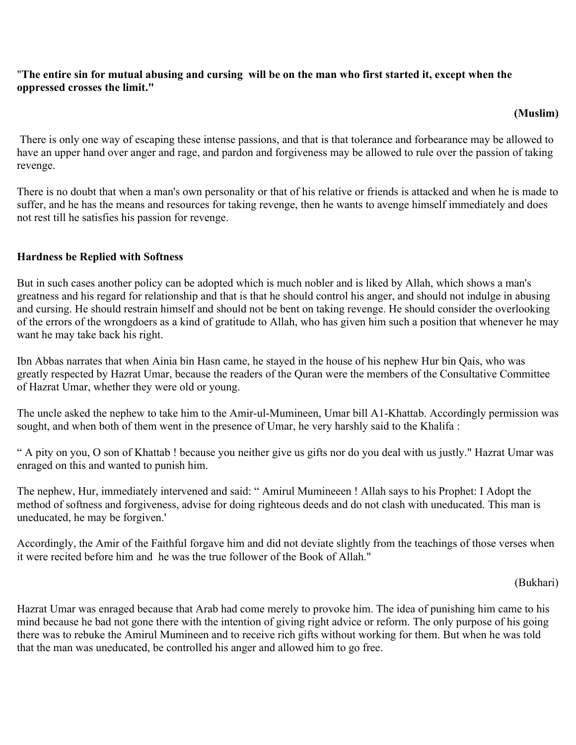#### "**The entire sin for mutual abusing and cursing will be on the man who first started it, except when the oppressed crosses the limit."**

#### **(Muslim)**

 There is only one way of escaping these intense passions, and that is that tolerance and forbearance may be allowed to have an upper hand over anger and rage, and pardon and forgiveness may be allowed to rule over the passion of taking revenge.

There is no doubt that when a man's own personality or that of his relative or friends is attacked and when he is made to suffer, and he has the means and resources for taking revenge, then he wants to avenge himself immediately and does not rest till he satisfies his passion for revenge.

## **Hardness be Replied with Softness**

But in such cases another policy can be adopted which is much nobler and is liked by Allah, which shows a man's greatness and his regard for relationship and that is that he should control his anger, and should not indulge in abusing and cursing. He should restrain himself and should not be bent on taking revenge. He should consider the overlooking of the errors of the wrongdoers as a kind of gratitude to Allah, who has given him such a position that whenever he may want he may take back his right.

Ibn Abbas narrates that when Ainia bin Hasn came, he stayed in the house of his nephew Hur bin Qais, who was greatly respected by Hazrat Umar, because the readers of the Quran were the members of the Consultative Committee of Hazrat Umar, whether they were old or young.

The uncle asked the nephew to take him to the Amir-ul-Mumineen, Umar bill A1-Khattab. Accordingly permission was sought, and when both of them went in the presence of Umar, he very harshly said to the Khalifa :

" A pity on you, O son of Khattab ! because you neither give us gifts nor do you deal with us justly." Hazrat Umar was enraged on this and wanted to punish him.

The nephew, Hur, immediately intervened and said: " Amirul Mumineeen ! Allah says to his Prophet: I Adopt the method of softness and forgiveness, advise for doing righteous deeds and do not clash with uneducated. This man is uneducated, he may be forgiven.'

Accordingly, the Amir of the Faithful forgave him and did not deviate slightly from the teachings of those verses when it were recited before him and he was the true follower of the Book of Allah."

(Bukhari)

Hazrat Umar was enraged because that Arab had come merely to provoke him. The idea of punishing him came to his mind because he bad not gone there with the intention of giving right advice or reform. The only purpose of his going there was to rebuke the Amirul Mumineen and to receive rich gifts without working for them. But when he was told that the man was uneducated, be controlled his anger and allowed him to go free.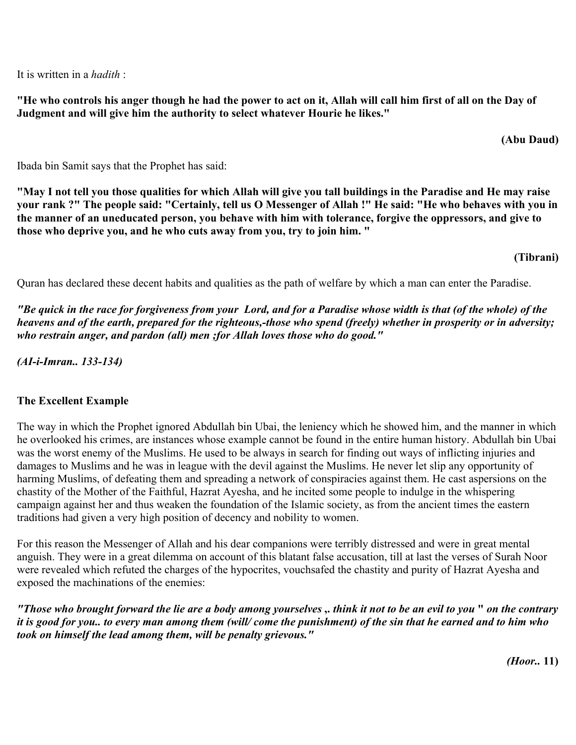It is written in a *hadith* :

**"He who controls his anger though he had the power to act on it, Allah will call him first of all on the Day of Judgment and will give him the authority to select whatever Hourie he likes."**

**(Abu Daud)**

Ibada bin Samit says that the Prophet has said:

**"May I not tell you those qualities for which Allah will give you tall buildings in the Paradise and He may raise your rank ?" The people said: "Certainly, tell us O Messenger of Allah !" He said: "He who behaves with you in the manner of an uneducated person, you behave with him with tolerance, forgive the oppressors, and give to those who deprive you, and he who cuts away from you, try to join him. "**

**(Tibrani)**

Quran has declared these decent habits and qualities as the path of welfare by which a man can enter the Paradise.

*"Be quick in the race for forgiveness from your Lord, and for a Paradise whose width is that (of the whole) of the heavens and of the earth, prepared for the righteous,-those who spend (freely) whether in prosperity or in adversity; who restrain anger, and pardon (all) men ;for Allah loves those who do good."*

*(AI-i-Imran.. 133-134)*

## **The Excellent Example**

The way in which the Prophet ignored Abdullah bin Ubai, the leniency which he showed him, and the manner in which he overlooked his crimes, are instances whose example cannot be found in the entire human history. Abdullah bin Ubai was the worst enemy of the Muslims. He used to be always in search for finding out ways of inflicting injuries and damages to Muslims and he was in league with the devil against the Muslims. He never let slip any opportunity of harming Muslims, of defeating them and spreading a network of conspiracies against them. He cast aspersions on the chastity of the Mother of the Faithful, Hazrat Ayesha, and he incited some people to indulge in the whispering campaign against her and thus weaken the foundation of the Islamic society, as from the ancient times the eastern traditions had given a very high position of decency and nobility to women.

For this reason the Messenger of Allah and his dear companions were terribly distressed and were in great mental anguish. They were in a great dilemma on account of this blatant false accusation, till at last the verses of Surah Noor were revealed which refuted the charges of the hypocrites, vouchsafed the chastity and purity of Hazrat Ayesha and exposed the machinations of the enemies:

*"Those who brought forward the lie are a body among yourselves* **,.** *think it not to be an evil to you* **"** *on the contrary it is good for you.. to every man among them (will/ come the punishment) of the sin that he earned and to him who took on himself the lead among them, will be penalty grievous."*

*(Hoor..* **11)**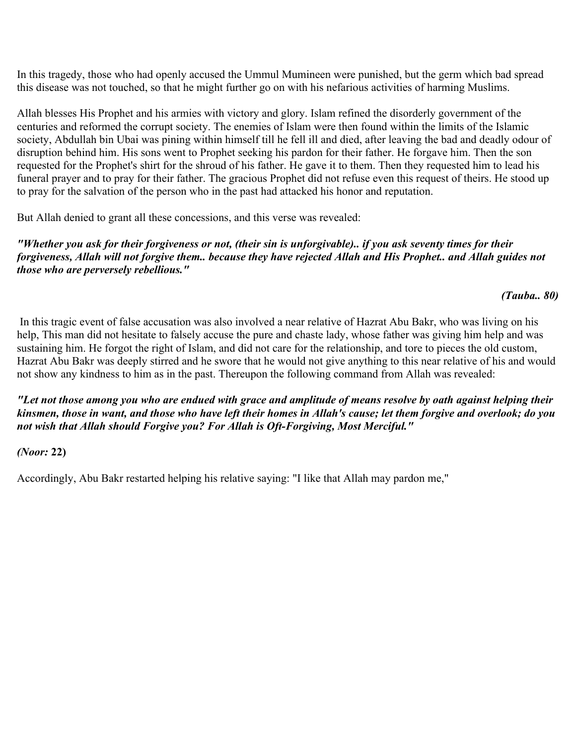In this tragedy, those who had openly accused the Ummul Mumineen were punished, but the germ which bad spread this disease was not touched, so that he might further go on with his nefarious activities of harming Muslims.

Allah blesses His Prophet and his armies with victory and glory. Islam refined the disorderly government of the centuries and reformed the corrupt society. The enemies of Islam were then found within the limits of the Islamic society, Abdullah bin Ubai was pining within himself till he fell ill and died, after leaving the bad and deadly odour of disruption behind him. His sons went to Prophet seeking his pardon for their father. He forgave him. Then the son requested for the Prophet's shirt for the shroud of his father. He gave it to them. Then they requested him to lead his funeral prayer and to pray for their father. The gracious Prophet did not refuse even this request of theirs. He stood up to pray for the salvation of the person who in the past had attacked his honor and reputation.

But Allah denied to grant all these concessions, and this verse was revealed:

## *"Whether you ask for their forgiveness or not, (their sin is unforgivable).. if you ask seventy times for their forgiveness, Allah will not forgive them.. because they have rejected Allah and His Prophet.. and Allah guides not those who are perversely rebellious."*

*(Tauba.. 80)*

In this tragic event of false accusation was also involved a near relative of Hazrat Abu Bakr, who was living on his help, This man did not hesitate to falsely accuse the pure and chaste lady, whose father was giving him help and was sustaining him. He forgot the right of Islam, and did not care for the relationship, and tore to pieces the old custom, Hazrat Abu Bakr was deeply stirred and he swore that he would not give anything to this near relative of his and would not show any kindness to him as in the past. Thereupon the following command from Allah was revealed:

*"Let not those among you who are endued with grace and amplitude of means resolve by oath against helping their kinsmen, those in want, and those who have left their homes in Allah's cause; let them forgive and overlook; do you not wish that Allah should Forgive you? For Allah is Oft-Forgiving, Most Merciful."*

## *(Noor:* **22)**

Accordingly, Abu Bakr restarted helping his relative saying: "I like that Allah may pardon me,"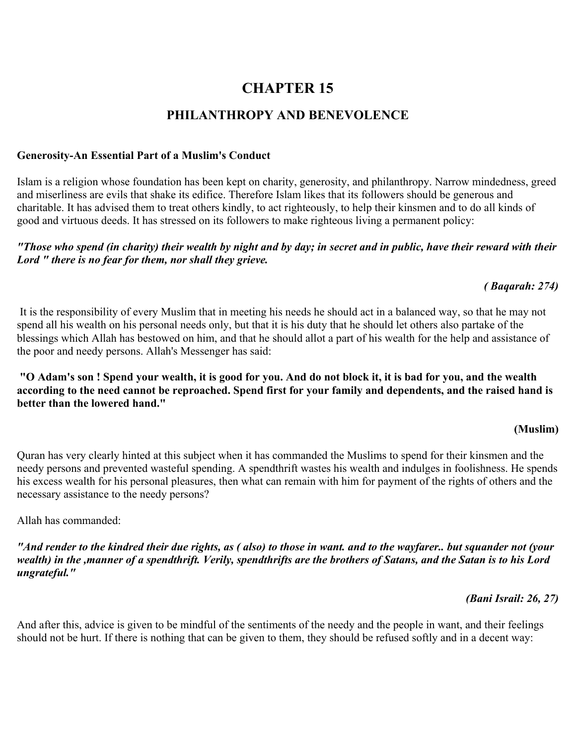# **CHAPTER 15**

## **PHILANTHROPY AND BENEVOLENCE**

#### **Generosity-An Essential Part of a Muslim's Conduct**

Islam is a religion whose foundation has been kept on charity, generosity, and philanthropy. Narrow mindedness, greed and miserliness are evils that shake its edifice. Therefore Islam likes that its followers should be generous and charitable. It has advised them to treat others kindly, to act righteously, to help their kinsmen and to do all kinds of good and virtuous deeds. It has stressed on its followers to make righteous living a permanent policy:

#### *"Those who spend (in charity) their wealth by night and by day; in secret and in public, have their reward with their Lord " there is no fear for them, nor shall they grieve.*

*( Baqarah: 274)*

 It is the responsibility of every Muslim that in meeting his needs he should act in a balanced way, so that he may not spend all his wealth on his personal needs only, but that it is his duty that he should let others also partake of the blessings which Allah has bestowed on him, and that he should allot a part of his wealth for the help and assistance of the poor and needy persons. Allah's Messenger has said:

 **"O Adam's son ! Spend your wealth, it is good for you. And do not block it, it is bad for you, and the wealth according to the need cannot be reproached. Spend first for your family and dependents, and the raised hand is better than the lowered hand."**

#### **(Muslim)**

Quran has very clearly hinted at this subject when it has commanded the Muslims to spend for their kinsmen and the needy persons and prevented wasteful spending. A spendthrift wastes his wealth and indulges in foolishness. He spends his excess wealth for his personal pleasures, then what can remain with him for payment of the rights of others and the necessary assistance to the needy persons?

Allah has commanded:

*"And render to the kindred their due rights, as ( also) to those in want. and to the wayfarer.. but squander not (your wealth) in the ,manner of a spendthrift. Verily, spendthrifts are the brothers of Satans, and the Satan is to his Lord ungrateful."*

*(Bani Israil: 26, 27)*

And after this, advice is given to be mindful of the sentiments of the needy and the people in want, and their feelings should not be hurt. If there is nothing that can be given to them, they should be refused softly and in a decent way: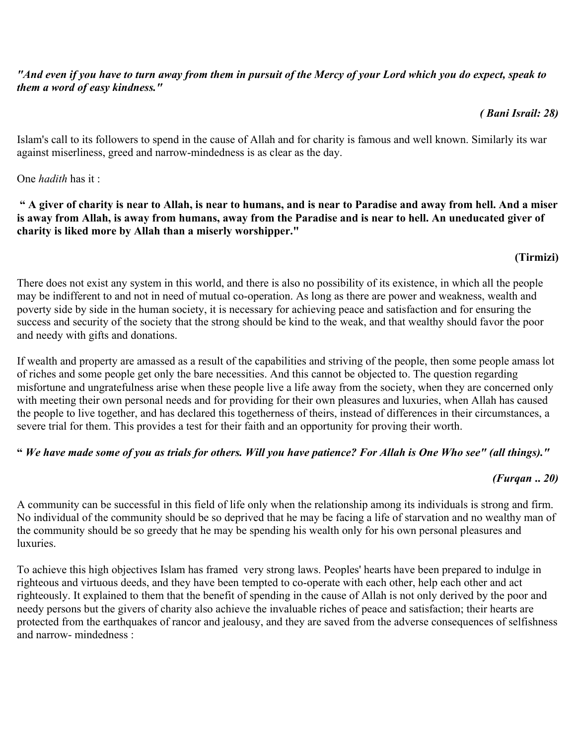## *"And even if you have to turn away from them in pursuit of the Mercy of your Lord which you do expect, speak to them a word of easy kindness."*

*( Bani Israil: 28)*

Islam's call to its followers to spend in the cause of Allah and for charity is famous and well known. Similarly its war against miserliness, greed and narrow-mindedness is as clear as the day.

One *hadith* has it :

 **" A giver of charity is near to Allah, is near to humans, and is near to Paradise and away from hell. And a miser is away from Allah, is away from humans, away from the Paradise and is near to hell. An uneducated giver of charity is liked more by Allah than a miserly worshipper."**

## **(Tirmizi)**

There does not exist any system in this world, and there is also no possibility of its existence, in which all the people may be indifferent to and not in need of mutual co-operation. As long as there are power and weakness, wealth and poverty side by side in the human society, it is necessary for achieving peace and satisfaction and for ensuring the success and security of the society that the strong should be kind to the weak, and that wealthy should favor the poor and needy with gifts and donations.

If wealth and property are amassed as a result of the capabilities and striving of the people, then some people amass lot of riches and some people get only the bare necessities. And this cannot be objected to. The question regarding misfortune and ungratefulness arise when these people live a life away from the society, when they are concerned only with meeting their own personal needs and for providing for their own pleasures and luxuries, when Allah has caused the people to live together, and has declared this togetherness of theirs, instead of differences in their circumstances, a severe trial for them. This provides a test for their faith and an opportunity for proving their worth.

## **"** *We have made some of you as trials for others. Will you have patience? For Allah is One Who see" (all things)."*

## *(Furqan* **..** *20)*

A community can be successful in this field of life only when the relationship among its individuals is strong and firm. No individual of the community should be so deprived that he may be facing a life of starvation and no wealthy man of the community should be so greedy that he may be spending his wealth only for his own personal pleasures and luxuries.

To achieve this high objectives Islam has framed very strong laws. Peoples' hearts have been prepared to indulge in righteous and virtuous deeds, and they have been tempted to co-operate with each other, help each other and act righteously. It explained to them that the benefit of spending in the cause of Allah is not only derived by the poor and needy persons but the givers of charity also achieve the invaluable riches of peace and satisfaction; their hearts are protected from the earthquakes of rancor and jealousy, and they are saved from the adverse consequences of selfishness and narrow- mindedness :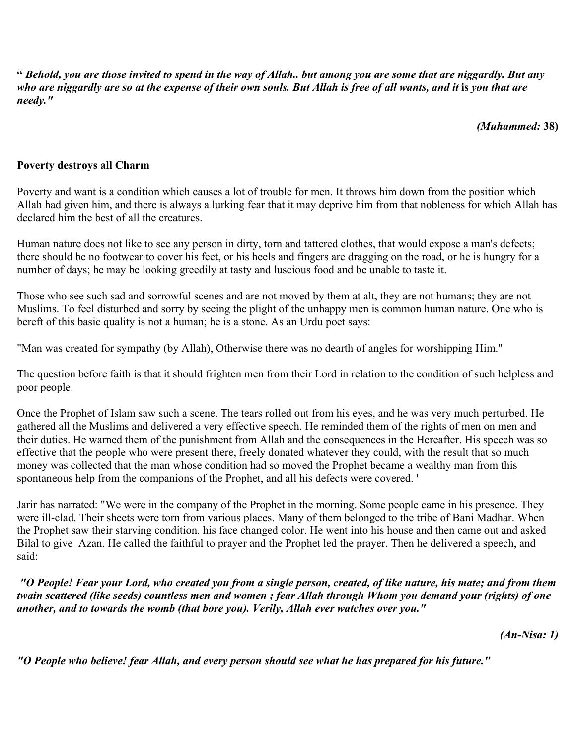**"** *Behold, you are those invited to spend in the way of Allah.. but among you are some that are niggardly. But any who are niggardly are so at the expense of their own souls. But Allah is free of all wants, and it is you that are needy."*

*(Muhammed:* **38)**

## **Poverty destroys all Charm**

Poverty and want is a condition which causes a lot of trouble for men. It throws him down from the position which Allah had given him, and there is always a lurking fear that it may deprive him from that nobleness for which Allah has declared him the best of all the creatures.

Human nature does not like to see any person in dirty, torn and tattered clothes, that would expose a man's defects; there should be no footwear to cover his feet, or his heels and fingers are dragging on the road, or he is hungry for a number of days; he may be looking greedily at tasty and luscious food and be unable to taste it.

Those who see such sad and sorrowful scenes and are not moved by them at alt, they are not humans; they are not Muslims. To feel disturbed and sorry by seeing the plight of the unhappy men is common human nature. One who is bereft of this basic quality is not a human; he is a stone. As an Urdu poet says:

"Man was created for sympathy (by Allah), Otherwise there was no dearth of angles for worshipping Him."

The question before faith is that it should frighten men from their Lord in relation to the condition of such helpless and poor people.

Once the Prophet of Islam saw such a scene. The tears rolled out from his eyes, and he was very much perturbed. He gathered all the Muslims and delivered a very effective speech. He reminded them of the rights of men on men and their duties. He warned them of the punishment from Allah and the consequences in the Hereafter. His speech was so effective that the people who were present there, freely donated whatever they could, with the result that so much money was collected that the man whose condition had so moved the Prophet became a wealthy man from this spontaneous help from the companions of the Prophet, and all his defects were covered. '

Jarir has narrated: "We were in the company of the Prophet in the morning. Some people came in his presence. They were ill-clad. Their sheets were torn from various places. Many of them belonged to the tribe of Bani Madhar. When the Prophet saw their starving condition. his face changed color. He went into his house and then came out and asked Bilal to give Azan. He called the faithful to prayer and the Prophet led the prayer. Then he delivered a speech, and said:

 *"O People! Fear your Lord, who created you from a single person, created, of like nature, his mate; and from them twain scattered (like seeds) countless men and women ; fear Allah through Whom you demand your (rights) of one another, and to towards the womb (that bore you). Verily, Allah ever watches over you."*

*(An-Nisa: 1)*

*"O People who believe! fear Allah, and every person should see what he has prepared for his future."*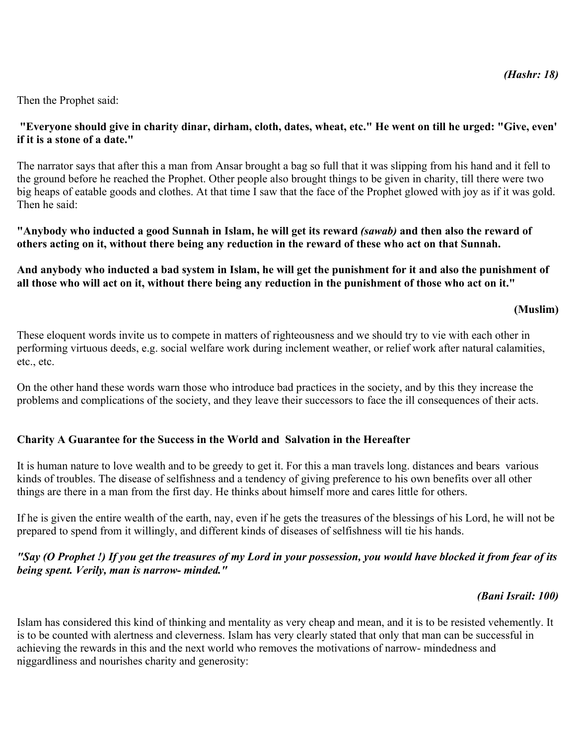Then the Prophet said:

 **"Everyone should give in charity dinar, dirham, cloth, dates, wheat, etc." He went on till he urged: "Give, even' if it is a stone of a date."**

The narrator says that after this a man from Ansar brought a bag so full that it was slipping from his hand and it fell to the ground before he reached the Prophet. Other people also brought things to be given in charity, till there were two big heaps of eatable goods and clothes. At that time I saw that the face of the Prophet glowed with joy as if it was gold. Then he said:

**"Anybody who inducted a good Sunnah in Islam, he will get its reward** *(sawab)* **and then also the reward of others acting on it, without there being any reduction in the reward of these who act on that Sunnah.**

### **And anybody who inducted a bad system in Islam, he will get the punishment for it and also the punishment of all those who will act on it, without there being any reduction in the punishment of those who act on it."**

#### **(Muslim)**

These eloquent words invite us to compete in matters of righteousness and we should try to vie with each other in performing virtuous deeds, e.g. social welfare work during inclement weather, or relief work after natural calamities, etc., etc.

On the other hand these words warn those who introduce bad practices in the society, and by this they increase the problems and complications of the society, and they leave their successors to face the ill consequences of their acts.

## **Charity A Guarantee for the Success in the World and Salvation in the Hereafter**

It is human nature to love wealth and to be greedy to get it. For this a man travels long. distances and bears various kinds of troubles. The disease of selfishness and a tendency of giving preference to his own benefits over all other things are there in a man from the first day. He thinks about himself more and cares little for others.

If he is given the entire wealth of the earth, nay, even if he gets the treasures of the blessings of his Lord, he will not be prepared to spend from it willingly, and different kinds of diseases of selfishness will tie his hands.

#### *"Say (O Prophet !) If you get the treasures of my Lord in your possession, you would have blocked it from fear of its being spent. Verily, man is narrow- minded."*

## *(Bani Israil: 100)*

Islam has considered this kind of thinking and mentality as very cheap and mean, and it is to be resisted vehemently. It is to be counted with alertness and cleverness. Islam has very clearly stated that only that man can be successful in achieving the rewards in this and the next world who removes the motivations of narrow- mindedness and niggardliness and nourishes charity and generosity: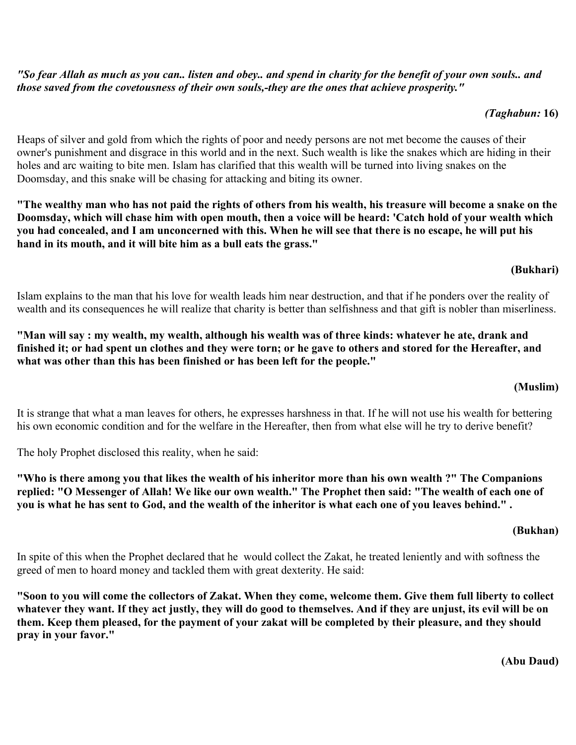*"So fear Allah as much as you can.. listen and obey.. and spend in charity for the benefit of your own souls.. and those saved from the covetousness of their own souls,-they are the ones that achieve prosperity."*

*(Taghabun:* **16)**

Heaps of silver and gold from which the rights of poor and needy persons are not met become the causes of their owner's punishment and disgrace in this world and in the next. Such wealth is like the snakes which are hiding in their holes and arc waiting to bite men. Islam has clarified that this wealth will be turned into living snakes on the Doomsday, and this snake will be chasing for attacking and biting its owner.

**"The wealthy man who has not paid the rights of others from his wealth, his treasure will become a snake on the Doomsday, which will chase him with open mouth, then a voice will be heard: 'Catch hold of your wealth which you had concealed, and I am unconcerned with this. When he will see that there is no escape, he will put his hand in its mouth, and it will bite him as a bull eats the grass."**

**(Bukhari)**

Islam explains to the man that his love for wealth leads him near destruction, and that if he ponders over the reality of wealth and its consequences he will realize that charity is better than selfishness and that gift is nobler than miserliness.

**"Man will say : my wealth, my wealth, although his wealth was of three kinds: whatever he ate, drank and finished it; or had spent un clothes and they were torn; or he gave to others and stored for the Hereafter, and what was other than this has been finished or has been left for the people."**

**(Muslim)**

It is strange that what a man leaves for others, he expresses harshness in that. If he will not use his wealth for bettering his own economic condition and for the welfare in the Hereafter, then from what else will he try to derive benefit?

The holy Prophet disclosed this reality, when he said:

**"Who is there among you that likes the wealth of his inheritor more than his own wealth ?" The Companions replied: "O Messenger of Allah! We like our own wealth." The Prophet then said: "The wealth of each one of you is what he has sent to God, and the wealth of the inheritor is what each one of you leaves behind." .**

#### **(Bukhan)**

In spite of this when the Prophet declared that he would collect the Zakat, he treated leniently and with softness the greed of men to hoard money and tackled them with great dexterity. He said:

**"Soon to you will come the collectors of Zakat. When they come, welcome them. Give them full liberty to collect whatever they want. If they act justly, they will do good to themselves. And if they are unjust, its evil will be on them. Keep them pleased, for the payment of your zakat will be completed by their pleasure, and they should pray in your favor."**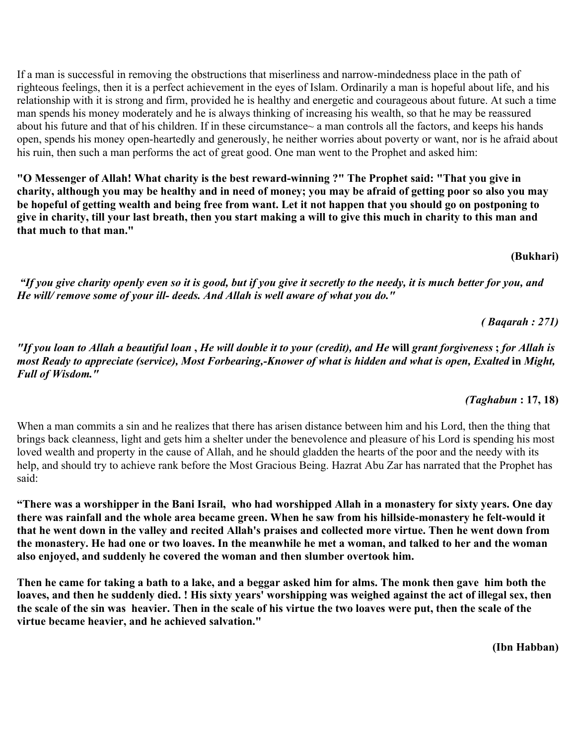If a man is successful in removing the obstructions that miserliness and narrow-mindedness place in the path of righteous feelings, then it is a perfect achievement in the eyes of Islam. Ordinarily a man is hopeful about life, and his relationship with it is strong and firm, provided he is healthy and energetic and courageous about future. At such a time man spends his money moderately and he is always thinking of increasing his wealth, so that he may be reassured about his future and that of his children. If in these circumstance~ a man controls all the factors, and keeps his hands open, spends his money open-heartedly and generously, he neither worries about poverty or want, nor is he afraid about his ruin, then such a man performs the act of great good. One man went to the Prophet and asked him:

**"O Messenger of Allah! What charity is the best reward-winning ?" The Prophet said: "That you give in charity, although you may be healthy and in need of money; you may be afraid of getting poor so also you may be hopeful of getting wealth and being free from want. Let it not happen that you should go on postponing to give in charity, till your last breath, then you start making a will to give this much in charity to this man and that much to that man."**

**(Bukhari)**

 *"If you give charity openly even so it is good, but if you give it secretly to the needy, it is much better for you, and He will/ remove some of your ill- deeds. And Allah is well aware of what you do."*

*( Baqarah : 271)*

*"If you loan to Allah a beautiful loan* **,** *He will double it to your (credit), and He* **will** *grant forgiveness* **;** *for Allah is most Ready to appreciate (service), Most Forbearing,-Knower of what is hidden and what is open, Exalted in Might, Full of Wisdom."*

*(Taghabun* **: 17, 18)**

When a man commits a sin and he realizes that there has arisen distance between him and his Lord, then the thing that brings back cleanness, light and gets him a shelter under the benevolence and pleasure of his Lord is spending his most loved wealth and property in the cause of Allah, and he should gladden the hearts of the poor and the needy with its help, and should try to achieve rank before the Most Gracious Being. Hazrat Abu Zar has narrated that the Prophet has said:

**"There was a worshipper in the Bani Israil, who had worshipped Allah in a monastery for sixty years. One day there was rainfall and the whole area became green. When he saw from his hillside-monastery he felt-would it that he went down in the valley and recited Allah's praises and collected more virtue. Then he went down from the monastery. He had one or two loaves. In the meanwhile he met a woman, and talked to her and the woman also enjoyed, and suddenly he covered the woman and then slumber overtook him.**

**Then he came for taking a bath to a lake, and a beggar asked him for alms. The monk then gave him both the loaves, and then he suddenly died. ! His sixty years' worshipping was weighed against the act of illegal sex, then the scale of the sin was heavier. Then in the scale of his virtue the two loaves were put, then the scale of the virtue became heavier, and he achieved salvation."**

**(Ibn Habban)**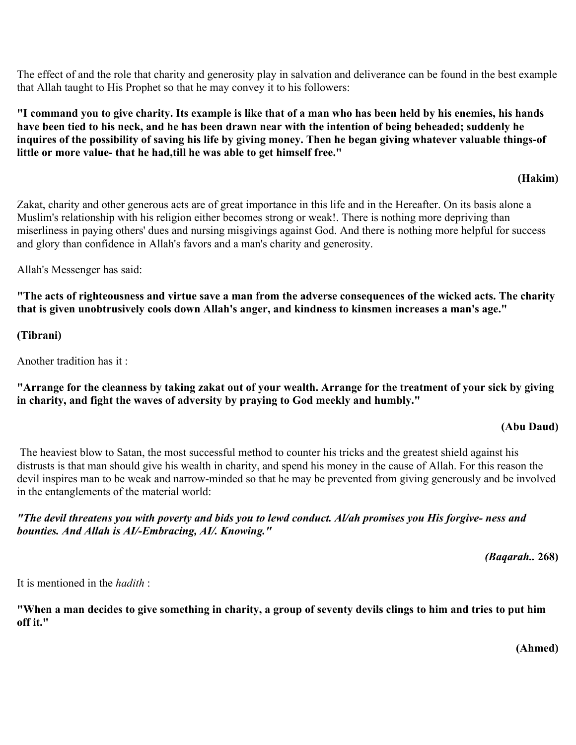The effect of and the role that charity and generosity play in salvation and deliverance can be found in the best example that Allah taught to His Prophet so that he may convey it to his followers:

**"I command you to give charity. Its example is like that of a man who has been held by his enemies, his hands have been tied to his neck, and he has been drawn near with the intention of being beheaded; suddenly he inquires of the possibility of saving his life by giving money. Then he began giving whatever valuable things-of little or more value- that he had,till he was able to get himself free."**

#### **(Hakim)**

Zakat, charity and other generous acts are of great importance in this life and in the Hereafter. On its basis alone a Muslim's relationship with his religion either becomes strong or weak!. There is nothing more depriving than miserliness in paying others' dues and nursing misgivings against God. And there is nothing more helpful for success and glory than confidence in Allah's favors and a man's charity and generosity.

Allah's Messenger has said:

**"The acts of righteousness and virtue save a man from the adverse consequences of the wicked acts. The charity that is given unobtrusively cools down Allah's anger, and kindness to kinsmen increases a man's age."**

**(Tibrani)**

Another tradition has it :

**"Arrange for the cleanness by taking zakat out of your wealth. Arrange for the treatment of your sick by giving in charity, and fight the waves of adversity by praying to God meekly and humbly."**

#### **(Abu Daud)**

 The heaviest blow to Satan, the most successful method to counter his tricks and the greatest shield against his distrusts is that man should give his wealth in charity, and spend his money in the cause of Allah. For this reason the devil inspires man to be weak and narrow-minded so that he may be prevented from giving generously and be involved in the entanglements of the material world:

*"The devil threatens you with poverty and bids you to lewd conduct. Al/ah promises you His forgive- ness and bounties. And Allah is AI/-Embracing, AI/. Knowing."*

*(Baqarah..* **268)**

It is mentioned in the *hadith* :

**"When a man decides to give something in charity, a group of seventy devils clings to him and tries to put him off it."**

**(Ahmed)**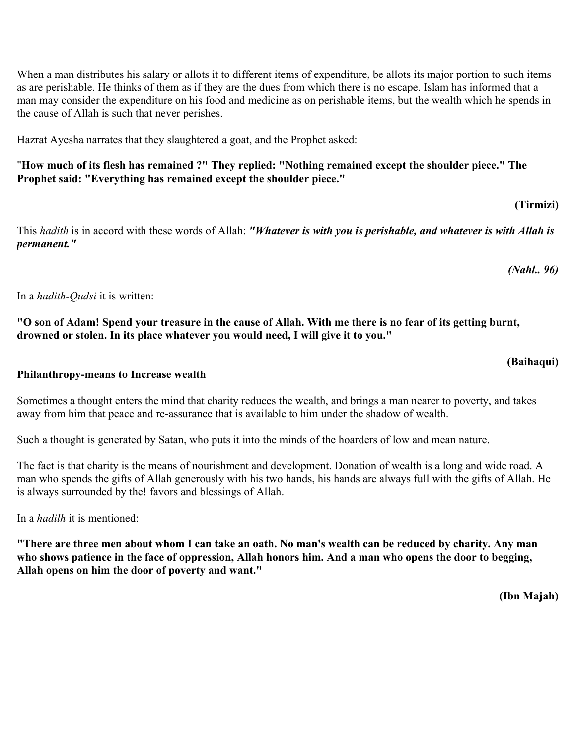When a man distributes his salary or allots it to different items of expenditure, be allots its major portion to such items as are perishable. He thinks of them as if they are the dues from which there is no escape. Islam has informed that a man may consider the expenditure on his food and medicine as on perishable items, but the wealth which he spends in the cause of Allah is such that never perishes.

Hazrat Ayesha narrates that they slaughtered a goat, and the Prophet asked:

## "**How much of its flesh has remained ?" They replied: "Nothing remained except the shoulder piece." The Prophet said: "Everything has remained except the shoulder piece."**

**(Tirmizi)**

This *hadith* is in accord with these words of Allah: *"Whatever is with you is perishable, and whatever is with Allah is permanent."*

*(Nahl.. 96)*

In a *hadith-Qudsi* it is written:

**"O son of Adam! Spend your treasure in the cause of Allah. With me there is no fear of its getting burnt, drowned or stolen. In its place whatever you would need, I will give it to you."**

#### **Philanthropy-means to Increase wealth**

Sometimes a thought enters the mind that charity reduces the wealth, and brings a man nearer to poverty, and takes away from him that peace and re-assurance that is available to him under the shadow of wealth.

Such a thought is generated by Satan, who puts it into the minds of the hoarders of low and mean nature.

The fact is that charity is the means of nourishment and development. Donation of wealth is a long and wide road. A man who spends the gifts of Allah generously with his two hands, his hands are always full with the gifts of Allah. He is always surrounded by the! favors and blessings of Allah.

In a *hadilh* it is mentioned:

**"There are three men about whom I can take an oath. No man's wealth can be reduced by charity. Any man who shows patience in the face of oppression, Allah honors him. And a man who opens the door to begging, Allah opens on him the door of poverty and want."**

**(Ibn Majah)**

**(Baihaqui)**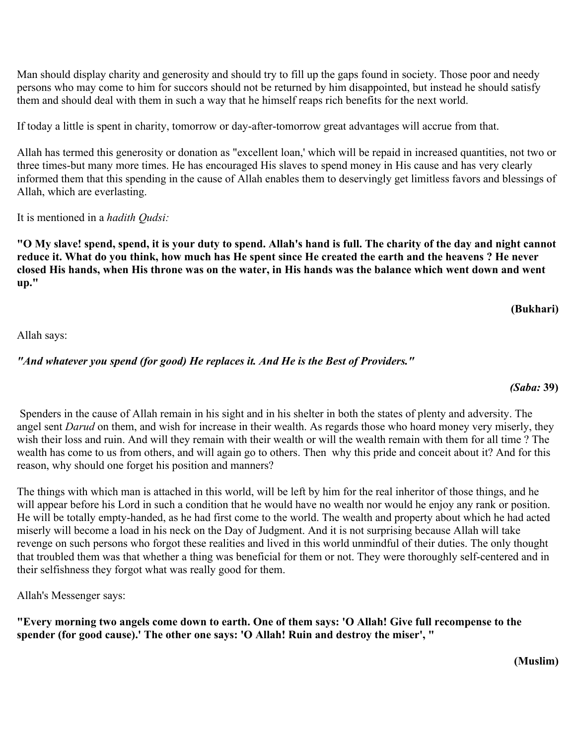Man should display charity and generosity and should try to fill up the gaps found in society. Those poor and needy persons who may come to him for succors should not be returned by him disappointed, but instead he should satisfy them and should deal with them in such a way that he himself reaps rich benefits for the next world.

If today a little is spent in charity, tomorrow or day-after-tomorrow great advantages will accrue from that.

Allah has termed this generosity or donation as "excellent loan,' which will be repaid in increased quantities, not two or three times-but many more times. He has encouraged His slaves to spend money in His cause and has very clearly informed them that this spending in the cause of Allah enables them to deservingly get limitless favors and blessings of Allah, which are everlasting.

It is mentioned in a *hadith Qudsi:*

**"O My slave! spend, spend, it is your duty to spend. Allah's hand is full. The charity of the day and night cannot reduce it. What do you think, how much has He spent since He created the earth and the heavens ? He never closed His hands, when His throne was on the water, in His hands was the balance which went down and went up."**

**(Bukhari)**

Allah says:

*"And whatever you spend (for good) He replaces it. And He is the Best of Providers."*

*(Saba:* **39)**

 Spenders in the cause of Allah remain in his sight and in his shelter in both the states of plenty and adversity. The angel sent *Darud* on them, and wish for increase in their wealth. As regards those who hoard money very miserly, they wish their loss and ruin. And will they remain with their wealth or will the wealth remain with them for all time? The wealth has come to us from others, and will again go to others. Then why this pride and conceit about it? And for this reason, why should one forget his position and manners?

The things with which man is attached in this world, will be left by him for the real inheritor of those things, and he will appear before his Lord in such a condition that he would have no wealth nor would he enjoy any rank or position. He will be totally empty-handed, as he had first come to the world. The wealth and property about which he had acted miserly will become a load in his neck on the Day of Judgment. And it is not surprising because Allah will take revenge on such persons who forgot these realities and lived in this world unmindful of their duties. The only thought that troubled them was that whether a thing was beneficial for them or not. They were thoroughly self-centered and in their selfishness they forgot what was really good for them.

Allah's Messenger says:

**"Every morning two angels come down to earth. One of them says: 'O Allah! Give full recompense to the spender (for good cause).' The other one says: 'O Allah! Ruin and destroy the miser', "**

**(Muslim)**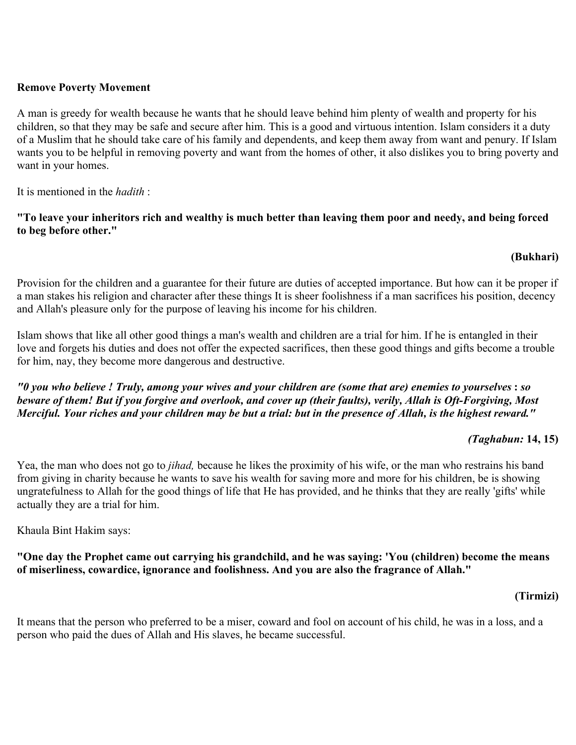#### **Remove Poverty Movement**

A man is greedy for wealth because he wants that he should leave behind him plenty of wealth and property for his children, so that they may be safe and secure after him. This is a good and virtuous intention. Islam considers it a duty of a Muslim that he should take care of his family and dependents, and keep them away from want and penury. If Islam wants you to be helpful in removing poverty and want from the homes of other, it also dislikes you to bring poverty and want in your homes.

It is mentioned in the *hadith* :

**"To leave your inheritors rich and wealthy is much better than leaving them poor and needy, and being forced to beg before other."**

#### **(Bukhari)**

Provision for the children and a guarantee for their future are duties of accepted importance. But how can it be proper if a man stakes his religion and character after these things It is sheer foolishness if a man sacrifices his position, decency and Allah's pleasure only for the purpose of leaving his income for his children.

Islam shows that like all other good things a man's wealth and children are a trial for him. If he is entangled in their love and forgets his duties and does not offer the expected sacrifices, then these good things and gifts become a trouble for him, nay, they become more dangerous and destructive.

*"0 you who believe ! Truly, among your wives and your children are (some that are) enemies to yourselves* **:** *so beware of them! But if you forgive and overlook, and cover up (their faults), verily, Allah is Oft-Forgiving, Most Merciful. Your riches and your children may be but a trial: but in the presence of Allah, is the highest reward."*

## *(Taghabun:* **14, 15)**

Yea, the man who does not go to *jihad,* because he likes the proximity of his wife, or the man who restrains his band from giving in charity because he wants to save his wealth for saving more and more for his children, be is showing ungratefulness to Allah for the good things of life that He has provided, and he thinks that they are really 'gifts' while actually they are a trial for him.

Khaula Bint Hakim says:

## **"One day the Prophet came out carrying his grandchild, and he was saying: 'You (children) become the means of miserliness, cowardice, ignorance and foolishness. And you are also the fragrance of Allah."**

## **(Tirmizi)**

It means that the person who preferred to be a miser, coward and fool on account of his child, he was in a loss, and a person who paid the dues of Allah and His slaves, he became successful.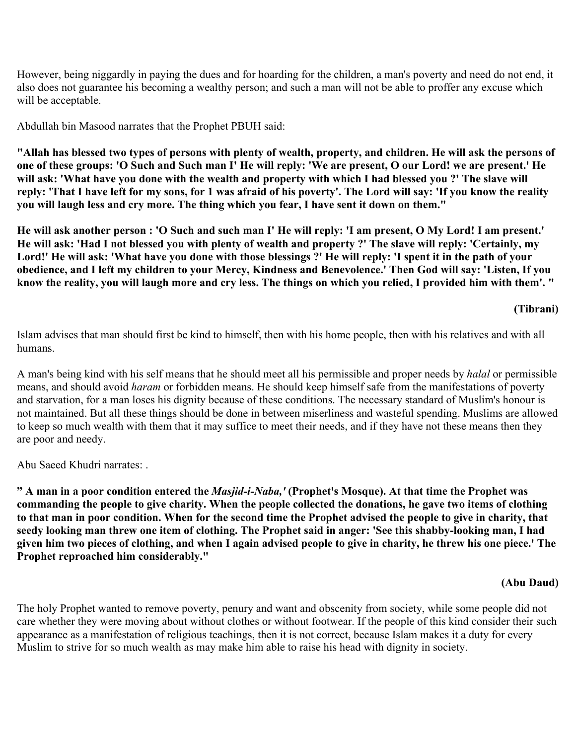However, being niggardly in paying the dues and for hoarding for the children, a man's poverty and need do not end, it also does not guarantee his becoming a wealthy person; and such a man will not be able to proffer any excuse which will be acceptable.

Abdullah bin Masood narrates that the Prophet PBUH said:

**"Allah has blessed two types of persons with plenty of wealth, property, and children. He will ask the persons of one of these groups: 'O Such and Such man I' He will reply: 'We are present, O our Lord! we are present.' He will ask: 'What have you done with the wealth and property with which I had blessed you ?' The slave will reply: 'That I have left for my sons, for 1 was afraid of his poverty'. The Lord will say: 'If you know the reality you will laugh less and cry more. The thing which you fear, I have sent it down on them."**

**He will ask another person : 'O Such and such man I' He will reply: 'I am present, O My Lord! I am present.' He will ask: 'Had I not blessed you with plenty of wealth and property ?' The slave will reply: 'Certainly, my Lord!' He will ask: 'What have you done with those blessings ?' He will reply: 'I spent it in the path of your obedience, and I left my children to your Mercy, Kindness and Benevolence.' Then God will say: 'Listen, If you know the reality, you will laugh more and cry less. The things on which you relied, I provided him with them'. "**

#### **(Tibrani)**

Islam advises that man should first be kind to himself, then with his home people, then with his relatives and with all humans.

A man's being kind with his self means that he should meet all his permissible and proper needs by *halal* or permissible means, and should avoid *haram* or forbidden means. He should keep himself safe from the manifestations of poverty and starvation, for a man loses his dignity because of these conditions. The necessary standard of Muslim's honour is not maintained. But all these things should be done in between miserliness and wasteful spending. Muslims are allowed to keep so much wealth with them that it may suffice to meet their needs, and if they have not these means then they are poor and needy.

Abu Saeed Khudri narrates: .

**" A man in a poor condition entered the** *Masjid-i-Naba,'* **(Prophet's Mosque). At that time the Prophet was commanding the people to give charity. When the people collected the donations, he gave two items of clothing to that man in poor condition. When for the second time the Prophet advised the people to give in charity, that seedy looking man threw one item of clothing. The Prophet said in anger: 'See this shabby-looking man, I had given him two pieces of clothing, and when I again advised people to give in charity, he threw his one piece.' The Prophet reproached him considerably."**

#### **(Abu Daud)**

The holy Prophet wanted to remove poverty, penury and want and obscenity from society, while some people did not care whether they were moving about without clothes or without footwear. If the people of this kind consider their such appearance as a manifestation of religious teachings, then it is not correct, because Islam makes it a duty for every Muslim to strive for so much wealth as may make him able to raise his head with dignity in society.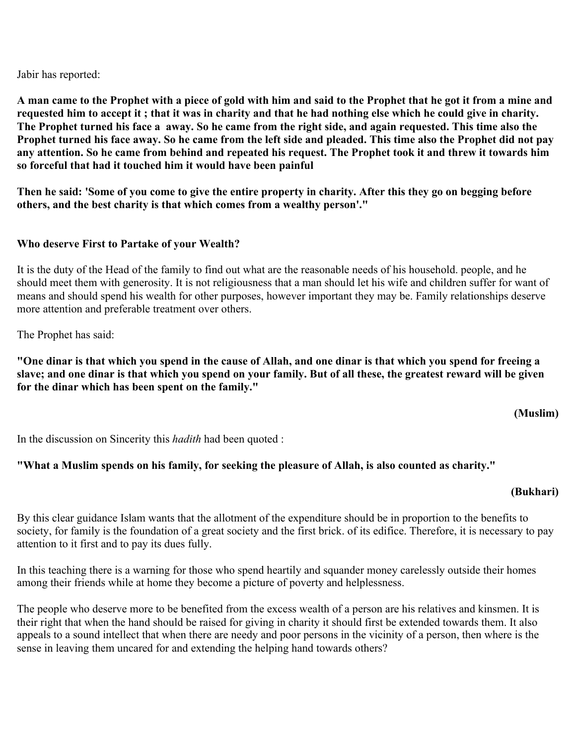Jabir has reported:

**A man came to the Prophet with a piece of gold with him and said to the Prophet that he got it from a mine and requested him to accept it ; that it was in charity and that he had nothing else which he could give in charity. The Prophet turned his face a away. So he came from the right side, and again requested. This time also the Prophet turned his face away. So he came from the left side and pleaded. This time also the Prophet did not pay any attention. So he came from behind and repeated his request. The Prophet took it and threw it towards him so forceful that had it touched him it would have been painful**

**Then he said: 'Some of you come to give the entire property in charity. After this they go on begging before others, and the best charity is that which comes from a wealthy person'."**

#### **Who deserve First to Partake of your Wealth?**

It is the duty of the Head of the family to find out what are the reasonable needs of his household. people, and he should meet them with generosity. It is not religiousness that a man should let his wife and children suffer for want of means and should spend his wealth for other purposes, however important they may be. Family relationships deserve more attention and preferable treatment over others.

The Prophet has said:

**"One dinar is that which you spend in the cause of Allah, and one dinar is that which you spend for freeing a slave; and one dinar is that which you spend on your family. But of all these, the greatest reward will be given for the dinar which has been spent on the family."**

**(Muslim)**

In the discussion on Sincerity this *hadith* had been quoted :

#### **"What a Muslim spends on his family, for seeking the pleasure of Allah, is also counted as charity."**

#### **(Bukhari)**

By this clear guidance Islam wants that the allotment of the expenditure should be in proportion to the benefits to society, for family is the foundation of a great society and the first brick. of its edifice. Therefore, it is necessary to pay attention to it first and to pay its dues fully.

In this teaching there is a warning for those who spend heartily and squander money carelessly outside their homes among their friends while at home they become a picture of poverty and helplessness.

The people who deserve more to be benefited from the excess wealth of a person are his relatives and kinsmen. It is their right that when the hand should be raised for giving in charity it should first be extended towards them. It also appeals to a sound intellect that when there are needy and poor persons in the vicinity of a person, then where is the sense in leaving them uncared for and extending the helping hand towards others?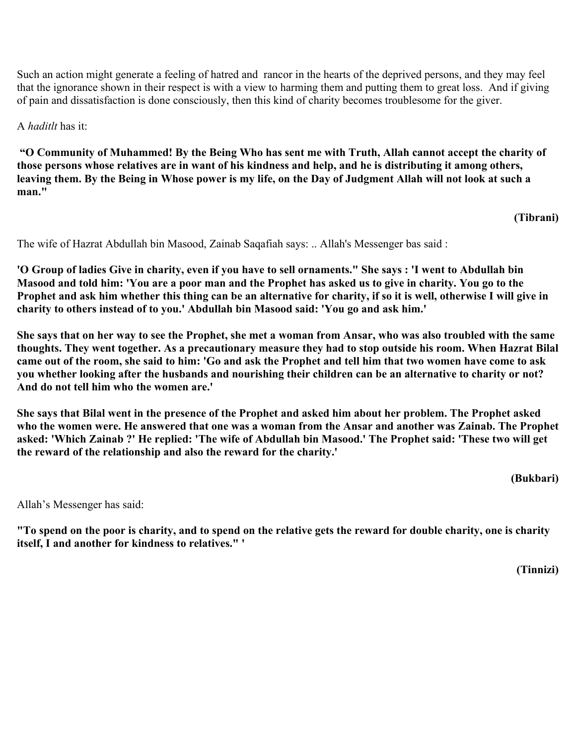Such an action might generate a feeling of hatred and rancor in the hearts of the deprived persons, and they may feel that the ignorance shown in their respect is with a view to harming them and putting them to great loss. And if giving of pain and dissatisfaction is done consciously, then this kind of charity becomes troublesome for the giver.

A *haditlt* has it:

 **"O Community of Muhammed! By the Being Who has sent me with Truth, Allah cannot accept the charity of those persons whose relatives are in want of his kindness and help, and he is distributing it among others, leaving them. By the Being in Whose power is my life, on the Day of Judgment Allah will not look at such a man."**

**(Tibrani)**

The wife of Hazrat Abdullah bin Masood, Zainab Saqafiah says: .. Allah's Messenger bas said :

**'O Group of ladies Give in charity, even if you have to sell ornaments." She says : 'I went to Abdullah bin Masood and told him: 'You are a poor man and the Prophet has asked us to give in charity. You go to the Prophet and ask him whether this thing can be an alternative for charity, if so it is well, otherwise I will give in charity to others instead of to you.' Abdullah bin Masood said: 'You go and ask him.'**

**She says that on her way to see the Prophet, she met a woman from Ansar, who was also troubled with the same thoughts. They went together. As a precautionary measure they had to stop outside his room. When Hazrat Bilal came out of the room, she said to him: 'Go and ask the Prophet and tell him that two women have come to ask you whether looking after the husbands and nourishing their children can be an alternative to charity or not? And do not tell him who the women are.'**

**She says that Bilal went in the presence of the Prophet and asked him about her problem. The Prophet asked who the women were. He answered that one was a woman from the Ansar and another was Zainab. The Prophet asked: 'Which Zainab ?' He replied: 'The wife of Abdullah bin Masood.' The Prophet said: 'These two will get the reward of the relationship and also the reward for the charity.'**

**(Bukbari)**

Allah's Messenger has said:

**"To spend on the poor is charity, and to spend on the relative gets the reward for double charity, one is charity itself, I and another for kindness to relatives." '**

**(Tinnizi)**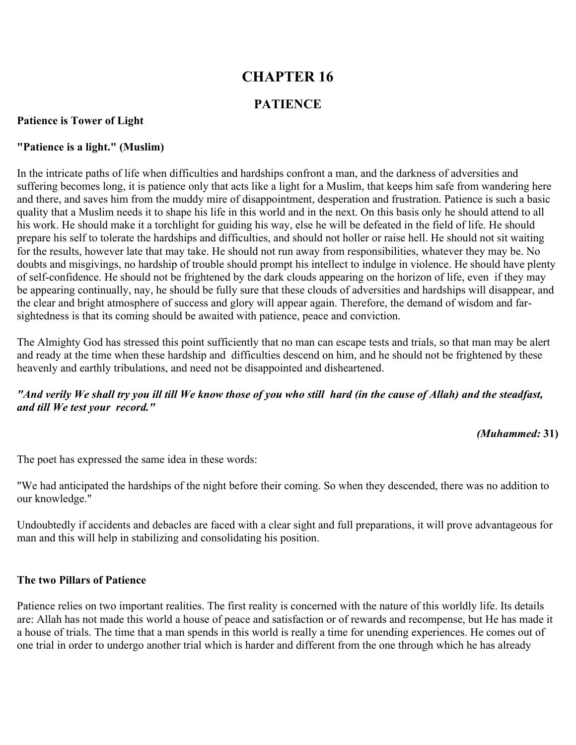# **CHAPTER 16**

## **PATIENCE**

## **Patience is Tower of Light**

## **"Patience is a light." (Muslim)**

In the intricate paths of life when difficulties and hardships confront a man, and the darkness of adversities and suffering becomes long, it is patience only that acts like a light for a Muslim, that keeps him safe from wandering here and there, and saves him from the muddy mire of disappointment, desperation and frustration. Patience is such a basic quality that a Muslim needs it to shape his life in this world and in the next. On this basis only he should attend to all his work. He should make it a torchlight for guiding his way, else he will be defeated in the field of life. He should prepare his self to tolerate the hardships and difficulties, and should not holler or raise hell. He should not sit waiting for the results, however late that may take. He should not run away from responsibilities, whatever they may be. No doubts and misgivings, no hardship of trouble should prompt his intellect to indulge in violence. He should have plenty of self-confidence. He should not be frightened by the dark clouds appearing on the horizon of life, even if they may be appearing continually, nay, he should be fully sure that these clouds of adversities and hardships will disappear, and the clear and bright atmosphere of success and glory will appear again. Therefore, the demand of wisdom and farsightedness is that its coming should be awaited with patience, peace and conviction.

The Almighty God has stressed this point sufficiently that no man can escape tests and trials, so that man may be alert and ready at the time when these hardship and difficulties descend on him, and he should not be frightened by these heavenly and earthly tribulations, and need not be disappointed and disheartened.

## *"And verily We shall try you ill till We know those of you who still hard (in the cause of Allah) and the steadfast, and till We test your record."*

*(Muhammed:* **31)**

The poet has expressed the same idea in these words:

"We had anticipated the hardships of the night before their coming. So when they descended, there was no addition to our knowledge."

Undoubtedly if accidents and debacles are faced with a clear sight and full preparations, it will prove advantageous for man and this will help in stabilizing and consolidating his position.

#### **The two Pillars of Patience**

Patience relies on two important realities. The first reality is concerned with the nature of this worldly life. Its details are: Allah has not made this world a house of peace and satisfaction or of rewards and recompense, but He has made it a house of trials. The time that a man spends in this world is really a time for unending experiences. He comes out of one trial in order to undergo another trial which is harder and different from the one through which he has already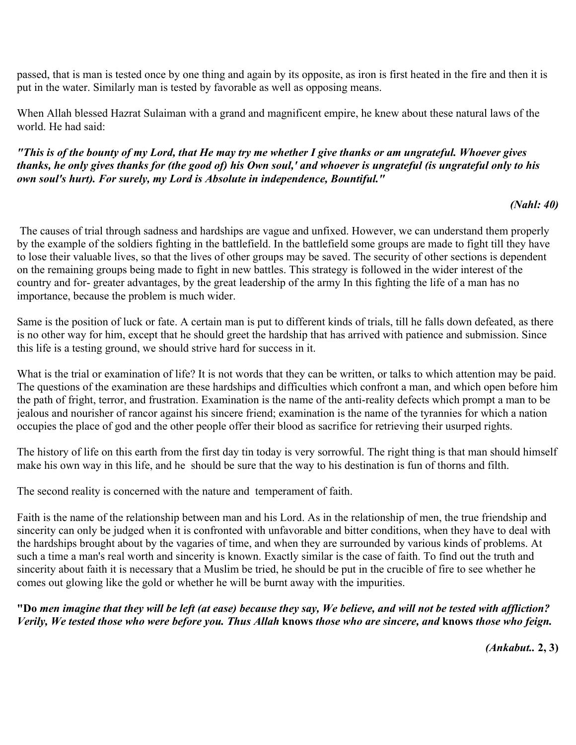passed, that is man is tested once by one thing and again by its opposite, as iron is first heated in the fire and then it is put in the water. Similarly man is tested by favorable as well as opposing means.

When Allah blessed Hazrat Sulaiman with a grand and magnificent empire, he knew about these natural laws of the world. He had said:

## *"This is of the bounty of my Lord, that He may try me whether I give thanks or am ungrateful. Whoever gives thanks, he only gives thanks for (the good of) his Own soul,' and whoever is ungrateful (is ungrateful only to his own soul's hurt). For surely, my Lord is Absolute in independence, Bountiful."*

#### *(Nahl: 40)*

 The causes of trial through sadness and hardships are vague and unfixed. However, we can understand them properly by the example of the soldiers fighting in the battlefield. In the battlefield some groups are made to fight till they have to lose their valuable lives, so that the lives of other groups may be saved. The security of other sections is dependent on the remaining groups being made to fight in new battles. This strategy is followed in the wider interest of the country and for- greater advantages, by the great leadership of the army In this fighting the life of a man has no importance, because the problem is much wider.

Same is the position of luck or fate. A certain man is put to different kinds of trials, till he falls down defeated, as there is no other way for him, except that he should greet the hardship that has arrived with patience and submission. Since this life is a testing ground, we should strive hard for success in it.

What is the trial or examination of life? It is not words that they can be written, or talks to which attention may be paid. The questions of the examination are these hardships and difficulties which confront a man, and which open before him the path of fright, terror, and frustration. Examination is the name of the anti-reality defects which prompt a man to be jealous and nourisher of rancor against his sincere friend; examination is the name of the tyrannies for which a nation occupies the place of god and the other people offer their blood as sacrifice for retrieving their usurped rights.

The history of life on this earth from the first day tin today is very sorrowful. The right thing is that man should himself make his own way in this life, and he should be sure that the way to his destination is fun of thorns and filth.

The second reality is concerned with the nature and temperament of faith.

Faith is the name of the relationship between man and his Lord. As in the relationship of men, the true friendship and sincerity can only be judged when it is confronted with unfavorable and bitter conditions, when they have to deal with the hardships brought about by the vagaries of time, and when they are surrounded by various kinds of problems. At such a time a man's real worth and sincerity is known. Exactly similar is the case of faith. To find out the truth and sincerity about faith it is necessary that a Muslim be tried, he should be put in the crucible of fire to see whether he comes out glowing like the gold or whether he will be burnt away with the impurities.

**"Do** *men imagine that they will be left (at ease) because they say, We believe, and will not be tested with affliction? Verily, We tested those who were before you. Thus Allah* **knows** *those who are sincere, and* **knows** *those who feign.*

*(Ankabut..* **2, 3)**